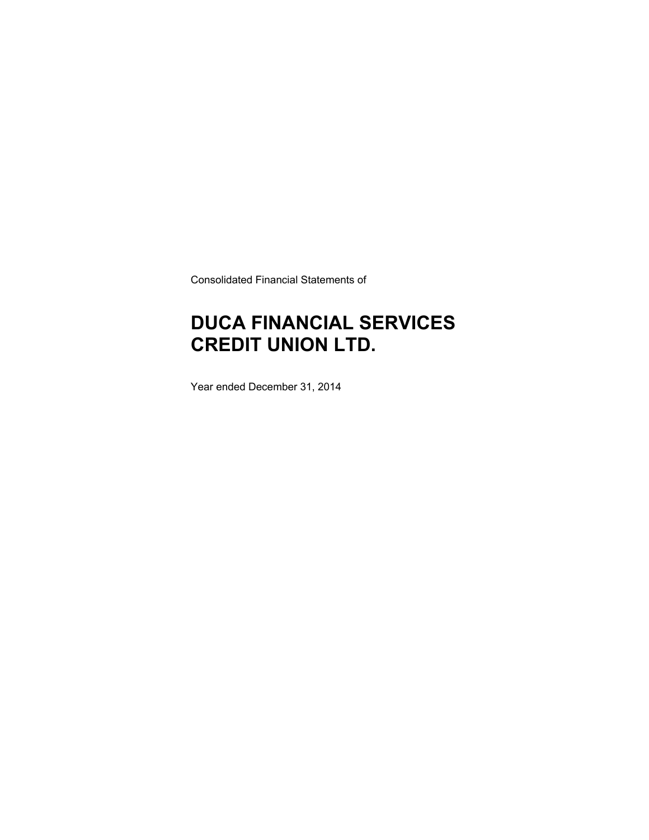Consolidated Financial Statements of

# **DUCA FINANCIAL SERVICES CREDIT UNION LTD.**

Year ended December 31, 2014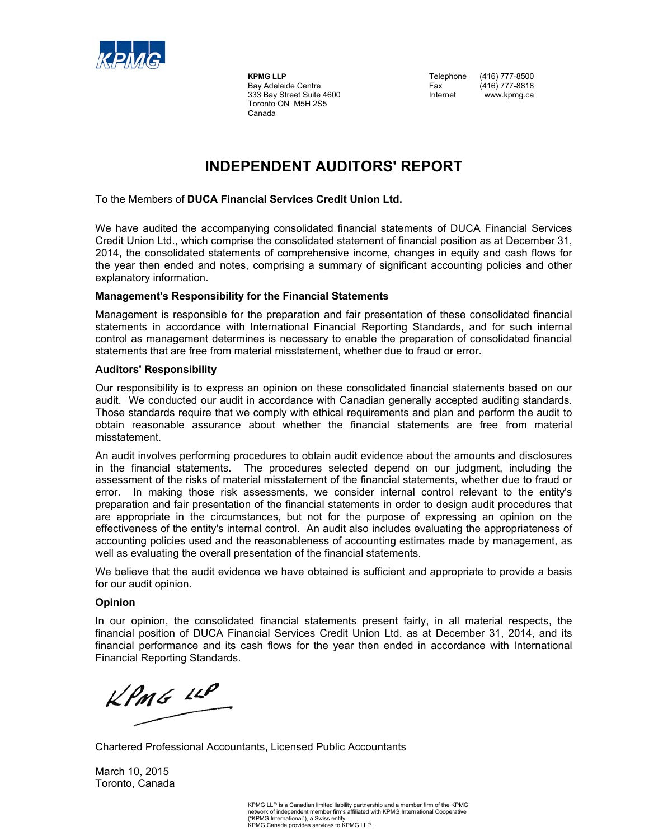

 Toronto ON M5H 2S5 Canada

**KPMG LLP** Telephone (416) 777-8500 Bay Adelaide Centre Fax (416) 777-8818<br>333 Bay Street Suite 4600 Fax Internet Www.kpmg.ca 333 Bay Street Suite 4600 **Internet** www.kpmg.ca

### **INDEPENDENT AUDITORS' REPORT**

#### To the Members of **DUCA Financial Services Credit Union Ltd.**

We have audited the accompanying consolidated financial statements of DUCA Financial Services Credit Union Ltd., which comprise the consolidated statement of financial position as at December 31, 2014, the consolidated statements of comprehensive income, changes in equity and cash flows for the year then ended and notes, comprising a summary of significant accounting policies and other explanatory information.

#### **Management's Responsibility for the Financial Statements**

Management is responsible for the preparation and fair presentation of these consolidated financial statements in accordance with International Financial Reporting Standards, and for such internal control as management determines is necessary to enable the preparation of consolidated financial statements that are free from material misstatement, whether due to fraud or error.

#### **Auditors' Responsibility**

Our responsibility is to express an opinion on these consolidated financial statements based on our audit. We conducted our audit in accordance with Canadian generally accepted auditing standards. Those standards require that we comply with ethical requirements and plan and perform the audit to obtain reasonable assurance about whether the financial statements are free from material misstatement.

An audit involves performing procedures to obtain audit evidence about the amounts and disclosures in the financial statements. The procedures selected depend on our judgment, including the assessment of the risks of material misstatement of the financial statements, whether due to fraud or error. In making those risk assessments, we consider internal control relevant to the entity's preparation and fair presentation of the financial statements in order to design audit procedures that are appropriate in the circumstances, but not for the purpose of expressing an opinion on the effectiveness of the entity's internal control. An audit also includes evaluating the appropriateness of accounting policies used and the reasonableness of accounting estimates made by management, as well as evaluating the overall presentation of the financial statements.

We believe that the audit evidence we have obtained is sufficient and appropriate to provide a basis for our audit opinion.

#### **Opinion**

In our opinion, the consolidated financial statements present fairly, in all material respects, the financial position of DUCA Financial Services Credit Union Ltd. as at December 31, 2014, and its financial performance and its cash flows for the year then ended in accordance with International Financial Reporting Standards.

 $KPMG$  11P

Chartered Professional Accountants, Licensed Public Accountants

March 10, 2015 Toronto, Canada

> KPMG LLP is a Canadian limited liability partnership and a member firm of the KPMG network of independent member firms affiliated with KPMG International Cooperative ("KPMG International"), a Swiss entity. KPMG Canada provides services to KPMG LLP.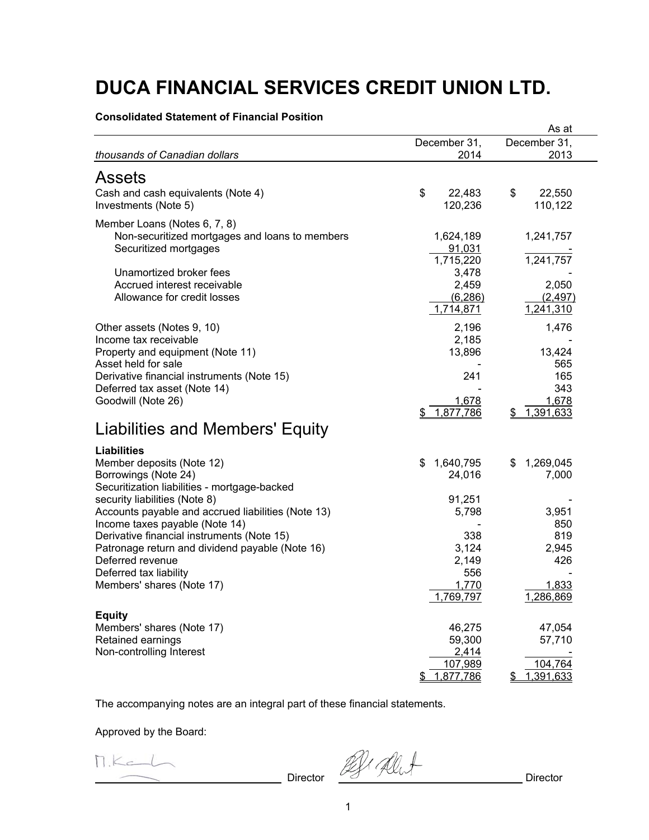**Consolidated Statement of Financial Position** 

| December 31,<br>December 31,<br>thousands of Canadian dollars<br>2014<br>2013<br>Assets<br>\$<br>\$<br>22,550<br>Cash and cash equivalents (Note 4)<br>22,483<br>110,122<br>Investments (Note 5)<br>120,236<br>Member Loans (Notes 6, 7, 8)<br>Non-securitized mortgages and loans to members<br>1,624,189<br>1,241,757<br>Securitized mortgages<br>91,031<br>1,715,220<br>1,241,757<br>Unamortized broker fees<br>3,478<br>Accrued interest receivable<br>2,459<br>2,050<br>Allowance for credit losses<br>(6, 286)<br>(2, 497)<br>1,714,871<br>1,241,310<br>2,196<br>1,476<br>Other assets (Notes 9, 10)<br>Income tax receivable<br>2,185<br>13,896<br>13,424<br>Property and equipment (Note 11)<br>Asset held for sale<br>565<br>165<br>Derivative financial instruments (Note 15)<br>241<br>343<br>Deferred tax asset (Note 14)<br>Goodwill (Note 26)<br>1,678<br>1,678<br>1,877,786<br>1,391,633<br>SS.<br>S.<br>Liabilities and Members' Equity<br><b>Liabilities</b><br>Member deposits (Note 12)<br>1,640,795<br>1,269,045<br>\$<br>\$<br>Borrowings (Note 24)<br>24,016<br>7,000<br>Securitization liabilities - mortgage-backed<br>91,251<br>security liabilities (Note 8)<br>Accounts payable and accrued liabilities (Note 13)<br>5,798<br>3,951<br>Income taxes payable (Note 14)<br>850<br>Derivative financial instruments (Note 15)<br>338<br>819<br>3,124<br>Patronage return and dividend payable (Note 16)<br>2,945<br>Deferred revenue<br>2,149<br>426<br>556<br>Deferred tax liability<br>Members' shares (Note 17)<br>1,770<br>1,833<br>1,286,869<br>1,769,797<br><b>Equity</b><br>Members' shares (Note 17)<br>46,275<br>47,054<br>Retained earnings<br>59,300<br>57,710<br>Non-controlling Interest<br>2,414<br>107,989<br>104,764 |           | As at   |
|--------------------------------------------------------------------------------------------------------------------------------------------------------------------------------------------------------------------------------------------------------------------------------------------------------------------------------------------------------------------------------------------------------------------------------------------------------------------------------------------------------------------------------------------------------------------------------------------------------------------------------------------------------------------------------------------------------------------------------------------------------------------------------------------------------------------------------------------------------------------------------------------------------------------------------------------------------------------------------------------------------------------------------------------------------------------------------------------------------------------------------------------------------------------------------------------------------------------------------------------------------------------------------------------------------------------------------------------------------------------------------------------------------------------------------------------------------------------------------------------------------------------------------------------------------------------------------------------------------------------------------------------------------------------------------------------------------------------------------------------------------------|-----------|---------|
|                                                                                                                                                                                                                                                                                                                                                                                                                                                                                                                                                                                                                                                                                                                                                                                                                                                                                                                                                                                                                                                                                                                                                                                                                                                                                                                                                                                                                                                                                                                                                                                                                                                                                                                                                              |           |         |
|                                                                                                                                                                                                                                                                                                                                                                                                                                                                                                                                                                                                                                                                                                                                                                                                                                                                                                                                                                                                                                                                                                                                                                                                                                                                                                                                                                                                                                                                                                                                                                                                                                                                                                                                                              |           |         |
|                                                                                                                                                                                                                                                                                                                                                                                                                                                                                                                                                                                                                                                                                                                                                                                                                                                                                                                                                                                                                                                                                                                                                                                                                                                                                                                                                                                                                                                                                                                                                                                                                                                                                                                                                              |           |         |
|                                                                                                                                                                                                                                                                                                                                                                                                                                                                                                                                                                                                                                                                                                                                                                                                                                                                                                                                                                                                                                                                                                                                                                                                                                                                                                                                                                                                                                                                                                                                                                                                                                                                                                                                                              |           |         |
|                                                                                                                                                                                                                                                                                                                                                                                                                                                                                                                                                                                                                                                                                                                                                                                                                                                                                                                                                                                                                                                                                                                                                                                                                                                                                                                                                                                                                                                                                                                                                                                                                                                                                                                                                              |           |         |
|                                                                                                                                                                                                                                                                                                                                                                                                                                                                                                                                                                                                                                                                                                                                                                                                                                                                                                                                                                                                                                                                                                                                                                                                                                                                                                                                                                                                                                                                                                                                                                                                                                                                                                                                                              |           |         |
|                                                                                                                                                                                                                                                                                                                                                                                                                                                                                                                                                                                                                                                                                                                                                                                                                                                                                                                                                                                                                                                                                                                                                                                                                                                                                                                                                                                                                                                                                                                                                                                                                                                                                                                                                              |           |         |
|                                                                                                                                                                                                                                                                                                                                                                                                                                                                                                                                                                                                                                                                                                                                                                                                                                                                                                                                                                                                                                                                                                                                                                                                                                                                                                                                                                                                                                                                                                                                                                                                                                                                                                                                                              |           |         |
|                                                                                                                                                                                                                                                                                                                                                                                                                                                                                                                                                                                                                                                                                                                                                                                                                                                                                                                                                                                                                                                                                                                                                                                                                                                                                                                                                                                                                                                                                                                                                                                                                                                                                                                                                              |           |         |
|                                                                                                                                                                                                                                                                                                                                                                                                                                                                                                                                                                                                                                                                                                                                                                                                                                                                                                                                                                                                                                                                                                                                                                                                                                                                                                                                                                                                                                                                                                                                                                                                                                                                                                                                                              |           |         |
|                                                                                                                                                                                                                                                                                                                                                                                                                                                                                                                                                                                                                                                                                                                                                                                                                                                                                                                                                                                                                                                                                                                                                                                                                                                                                                                                                                                                                                                                                                                                                                                                                                                                                                                                                              |           |         |
|                                                                                                                                                                                                                                                                                                                                                                                                                                                                                                                                                                                                                                                                                                                                                                                                                                                                                                                                                                                                                                                                                                                                                                                                                                                                                                                                                                                                                                                                                                                                                                                                                                                                                                                                                              |           |         |
|                                                                                                                                                                                                                                                                                                                                                                                                                                                                                                                                                                                                                                                                                                                                                                                                                                                                                                                                                                                                                                                                                                                                                                                                                                                                                                                                                                                                                                                                                                                                                                                                                                                                                                                                                              |           |         |
|                                                                                                                                                                                                                                                                                                                                                                                                                                                                                                                                                                                                                                                                                                                                                                                                                                                                                                                                                                                                                                                                                                                                                                                                                                                                                                                                                                                                                                                                                                                                                                                                                                                                                                                                                              |           |         |
|                                                                                                                                                                                                                                                                                                                                                                                                                                                                                                                                                                                                                                                                                                                                                                                                                                                                                                                                                                                                                                                                                                                                                                                                                                                                                                                                                                                                                                                                                                                                                                                                                                                                                                                                                              |           |         |
|                                                                                                                                                                                                                                                                                                                                                                                                                                                                                                                                                                                                                                                                                                                                                                                                                                                                                                                                                                                                                                                                                                                                                                                                                                                                                                                                                                                                                                                                                                                                                                                                                                                                                                                                                              |           |         |
|                                                                                                                                                                                                                                                                                                                                                                                                                                                                                                                                                                                                                                                                                                                                                                                                                                                                                                                                                                                                                                                                                                                                                                                                                                                                                                                                                                                                                                                                                                                                                                                                                                                                                                                                                              |           |         |
|                                                                                                                                                                                                                                                                                                                                                                                                                                                                                                                                                                                                                                                                                                                                                                                                                                                                                                                                                                                                                                                                                                                                                                                                                                                                                                                                                                                                                                                                                                                                                                                                                                                                                                                                                              |           |         |
|                                                                                                                                                                                                                                                                                                                                                                                                                                                                                                                                                                                                                                                                                                                                                                                                                                                                                                                                                                                                                                                                                                                                                                                                                                                                                                                                                                                                                                                                                                                                                                                                                                                                                                                                                              |           |         |
|                                                                                                                                                                                                                                                                                                                                                                                                                                                                                                                                                                                                                                                                                                                                                                                                                                                                                                                                                                                                                                                                                                                                                                                                                                                                                                                                                                                                                                                                                                                                                                                                                                                                                                                                                              |           |         |
|                                                                                                                                                                                                                                                                                                                                                                                                                                                                                                                                                                                                                                                                                                                                                                                                                                                                                                                                                                                                                                                                                                                                                                                                                                                                                                                                                                                                                                                                                                                                                                                                                                                                                                                                                              |           |         |
|                                                                                                                                                                                                                                                                                                                                                                                                                                                                                                                                                                                                                                                                                                                                                                                                                                                                                                                                                                                                                                                                                                                                                                                                                                                                                                                                                                                                                                                                                                                                                                                                                                                                                                                                                              |           |         |
|                                                                                                                                                                                                                                                                                                                                                                                                                                                                                                                                                                                                                                                                                                                                                                                                                                                                                                                                                                                                                                                                                                                                                                                                                                                                                                                                                                                                                                                                                                                                                                                                                                                                                                                                                              |           |         |
|                                                                                                                                                                                                                                                                                                                                                                                                                                                                                                                                                                                                                                                                                                                                                                                                                                                                                                                                                                                                                                                                                                                                                                                                                                                                                                                                                                                                                                                                                                                                                                                                                                                                                                                                                              |           |         |
|                                                                                                                                                                                                                                                                                                                                                                                                                                                                                                                                                                                                                                                                                                                                                                                                                                                                                                                                                                                                                                                                                                                                                                                                                                                                                                                                                                                                                                                                                                                                                                                                                                                                                                                                                              |           |         |
|                                                                                                                                                                                                                                                                                                                                                                                                                                                                                                                                                                                                                                                                                                                                                                                                                                                                                                                                                                                                                                                                                                                                                                                                                                                                                                                                                                                                                                                                                                                                                                                                                                                                                                                                                              |           |         |
|                                                                                                                                                                                                                                                                                                                                                                                                                                                                                                                                                                                                                                                                                                                                                                                                                                                                                                                                                                                                                                                                                                                                                                                                                                                                                                                                                                                                                                                                                                                                                                                                                                                                                                                                                              |           |         |
|                                                                                                                                                                                                                                                                                                                                                                                                                                                                                                                                                                                                                                                                                                                                                                                                                                                                                                                                                                                                                                                                                                                                                                                                                                                                                                                                                                                                                                                                                                                                                                                                                                                                                                                                                              |           |         |
|                                                                                                                                                                                                                                                                                                                                                                                                                                                                                                                                                                                                                                                                                                                                                                                                                                                                                                                                                                                                                                                                                                                                                                                                                                                                                                                                                                                                                                                                                                                                                                                                                                                                                                                                                              |           |         |
|                                                                                                                                                                                                                                                                                                                                                                                                                                                                                                                                                                                                                                                                                                                                                                                                                                                                                                                                                                                                                                                                                                                                                                                                                                                                                                                                                                                                                                                                                                                                                                                                                                                                                                                                                              |           |         |
|                                                                                                                                                                                                                                                                                                                                                                                                                                                                                                                                                                                                                                                                                                                                                                                                                                                                                                                                                                                                                                                                                                                                                                                                                                                                                                                                                                                                                                                                                                                                                                                                                                                                                                                                                              |           |         |
|                                                                                                                                                                                                                                                                                                                                                                                                                                                                                                                                                                                                                                                                                                                                                                                                                                                                                                                                                                                                                                                                                                                                                                                                                                                                                                                                                                                                                                                                                                                                                                                                                                                                                                                                                              |           |         |
|                                                                                                                                                                                                                                                                                                                                                                                                                                                                                                                                                                                                                                                                                                                                                                                                                                                                                                                                                                                                                                                                                                                                                                                                                                                                                                                                                                                                                                                                                                                                                                                                                                                                                                                                                              |           |         |
|                                                                                                                                                                                                                                                                                                                                                                                                                                                                                                                                                                                                                                                                                                                                                                                                                                                                                                                                                                                                                                                                                                                                                                                                                                                                                                                                                                                                                                                                                                                                                                                                                                                                                                                                                              |           |         |
|                                                                                                                                                                                                                                                                                                                                                                                                                                                                                                                                                                                                                                                                                                                                                                                                                                                                                                                                                                                                                                                                                                                                                                                                                                                                                                                                                                                                                                                                                                                                                                                                                                                                                                                                                              |           |         |
|                                                                                                                                                                                                                                                                                                                                                                                                                                                                                                                                                                                                                                                                                                                                                                                                                                                                                                                                                                                                                                                                                                                                                                                                                                                                                                                                                                                                                                                                                                                                                                                                                                                                                                                                                              |           |         |
|                                                                                                                                                                                                                                                                                                                                                                                                                                                                                                                                                                                                                                                                                                                                                                                                                                                                                                                                                                                                                                                                                                                                                                                                                                                                                                                                                                                                                                                                                                                                                                                                                                                                                                                                                              |           |         |
|                                                                                                                                                                                                                                                                                                                                                                                                                                                                                                                                                                                                                                                                                                                                                                                                                                                                                                                                                                                                                                                                                                                                                                                                                                                                                                                                                                                                                                                                                                                                                                                                                                                                                                                                                              |           |         |
|                                                                                                                                                                                                                                                                                                                                                                                                                                                                                                                                                                                                                                                                                                                                                                                                                                                                                                                                                                                                                                                                                                                                                                                                                                                                                                                                                                                                                                                                                                                                                                                                                                                                                                                                                              |           |         |
|                                                                                                                                                                                                                                                                                                                                                                                                                                                                                                                                                                                                                                                                                                                                                                                                                                                                                                                                                                                                                                                                                                                                                                                                                                                                                                                                                                                                                                                                                                                                                                                                                                                                                                                                                              | 1,877,786 | 391,633 |

The accompanying notes are an integral part of these financial statements.

Approved by the Board:

n.K. L. Director 2012 all t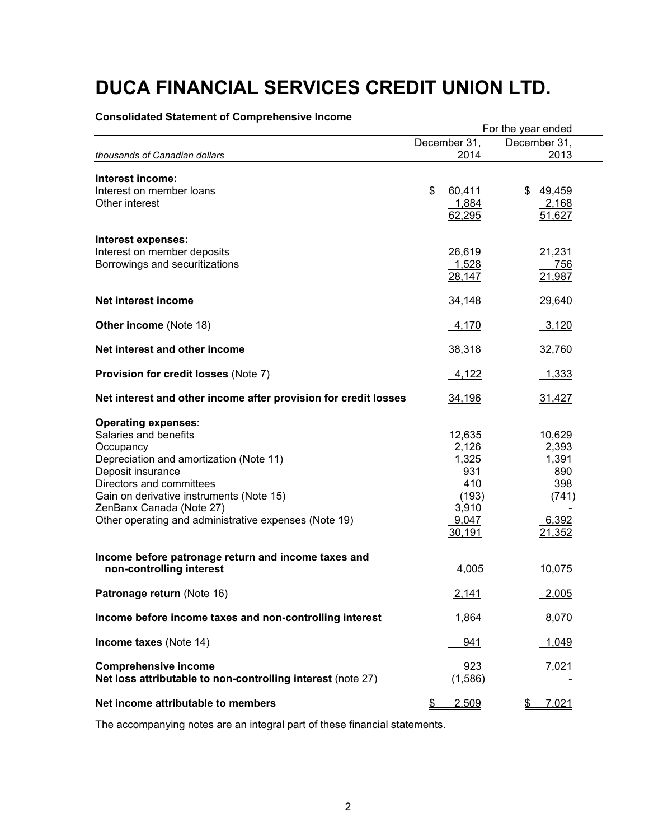#### **Consolidated Statement of Comprehensive Income**

|                                                                                                                                                                                                                                                                                               | For the year ended |                                                                             |                                                                    |  |
|-----------------------------------------------------------------------------------------------------------------------------------------------------------------------------------------------------------------------------------------------------------------------------------------------|--------------------|-----------------------------------------------------------------------------|--------------------------------------------------------------------|--|
|                                                                                                                                                                                                                                                                                               |                    | December 31,                                                                | December 31,                                                       |  |
| thousands of Canadian dollars                                                                                                                                                                                                                                                                 |                    | 2014                                                                        | 2013                                                               |  |
| Interest income:<br>Interest on member loans<br>Other interest                                                                                                                                                                                                                                | \$                 | 60,411<br>1,884<br>62,295                                                   | \$49,459<br>2,168<br>51,627                                        |  |
| Interest expenses:<br>Interest on member deposits<br>Borrowings and securitizations                                                                                                                                                                                                           |                    | 26,619<br>1,528<br>28,147                                                   | 21,231<br>756<br>21,987                                            |  |
| Net interest income                                                                                                                                                                                                                                                                           |                    | 34,148                                                                      | 29,640                                                             |  |
| <b>Other income (Note 18)</b>                                                                                                                                                                                                                                                                 |                    | 4,170                                                                       | 3,120                                                              |  |
| Net interest and other income                                                                                                                                                                                                                                                                 |                    | 38,318                                                                      | 32,760                                                             |  |
| Provision for credit losses (Note 7)                                                                                                                                                                                                                                                          |                    | 4,122                                                                       | <u>1,333</u>                                                       |  |
| Net interest and other income after provision for credit losses                                                                                                                                                                                                                               |                    | 34,196                                                                      | 31,427                                                             |  |
| <b>Operating expenses:</b><br>Salaries and benefits<br>Occupancy<br>Depreciation and amortization (Note 11)<br>Deposit insurance<br>Directors and committees<br>Gain on derivative instruments (Note 15)<br>ZenBanx Canada (Note 27)<br>Other operating and administrative expenses (Note 19) |                    | 12,635<br>2,126<br>1,325<br>931<br>410<br>(193)<br>3,910<br>9,047<br>30,191 | 10,629<br>2,393<br>1,391<br>890<br>398<br>(741)<br>6,392<br>21,352 |  |
| Income before patronage return and income taxes and<br>non-controlling interest                                                                                                                                                                                                               |                    | 4,005                                                                       | 10,075                                                             |  |
| Patronage return (Note 16)                                                                                                                                                                                                                                                                    |                    | 2,141                                                                       | 2,005                                                              |  |
| Income before income taxes and non-controlling interest                                                                                                                                                                                                                                       |                    | 1,864                                                                       | 8,070                                                              |  |
| Income taxes (Note 14)                                                                                                                                                                                                                                                                        |                    | 941                                                                         | 1,049                                                              |  |
| <b>Comprehensive income</b><br>Net loss attributable to non-controlling interest (note 27)                                                                                                                                                                                                    |                    | 923<br>(1,586)                                                              | 7,021                                                              |  |
| Net income attributable to members                                                                                                                                                                                                                                                            | <u>\$</u>          | 2,509                                                                       | 7,021<br>\$                                                        |  |

The accompanying notes are an integral part of these financial statements.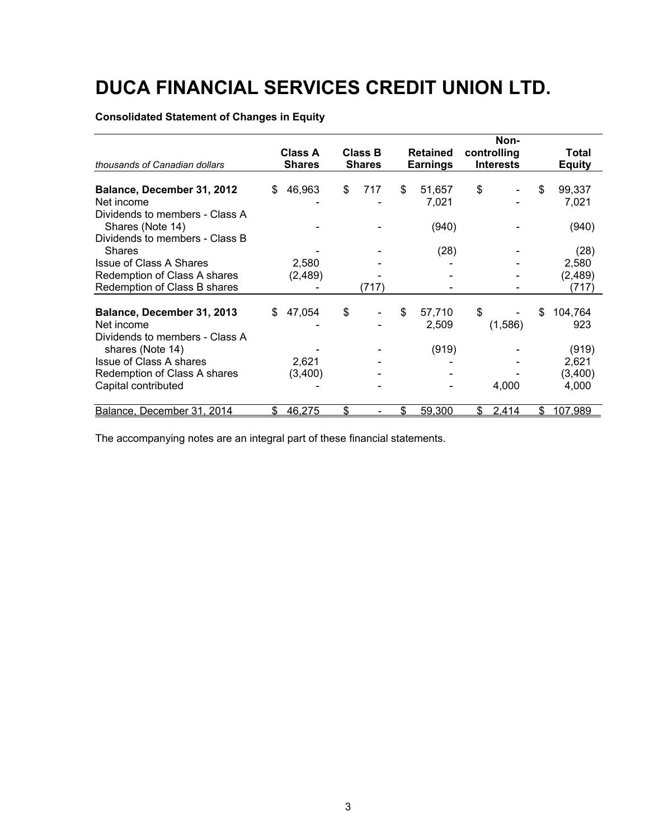### **Consolidated Statement of Changes in Equity**

|                                                                                      |     |                |               |                |                       |             | Non-             |    |                  |
|--------------------------------------------------------------------------------------|-----|----------------|---------------|----------------|-----------------------|-------------|------------------|----|------------------|
|                                                                                      |     | <b>Class A</b> |               | <b>Class B</b> | <b>Retained</b>       | controlling |                  |    | Total            |
| thousands of Canadian dollars                                                        |     | <b>Shares</b>  | <b>Shares</b> |                | <b>Earnings</b>       |             | <b>Interests</b> |    | <b>Equity</b>    |
| Balance, December 31, 2012<br>Net income                                             | \$  | 46,963         | \$            | 717            | \$<br>51,657<br>7,021 | \$          |                  | \$ | 99,337<br>7,021  |
| Dividends to members - Class A<br>Shares (Note 14)<br>Dividends to members - Class B |     |                |               |                | (940)                 |             |                  |    | (940)            |
| <b>Shares</b>                                                                        |     |                |               |                | (28)                  |             |                  |    | (28)             |
| <b>Issue of Class A Shares</b>                                                       |     | 2,580          |               |                |                       |             |                  |    | 2,580            |
| Redemption of Class A shares<br>Redemption of Class B shares                         |     | (2,489)        |               | (717)          |                       |             |                  |    | (2,489)<br>(717) |
| Balance, December 31, 2013<br>Net income                                             | \$. | 47,054         | \$            |                | \$<br>57,710<br>2,509 | \$          | (1,586)          | S  | 104,764<br>923   |
| Dividends to members - Class A<br>shares (Note 14)                                   |     |                |               |                | (919)                 |             |                  |    | (919)            |
| <b>Issue of Class A shares</b>                                                       |     | 2,621          |               |                |                       |             |                  |    | 2,621            |
| Redemption of Class A shares                                                         |     | (3,400)        |               |                |                       |             |                  |    | (3,400)          |
| Capital contributed                                                                  |     |                |               |                |                       |             | 4,000            |    | 4,000            |
| Balance, December 31, 2014                                                           | \$  | 46,275         | \$            |                | \$<br>59,300          | \$          | 2,414            | \$ | 107,989          |

The accompanying notes are an integral part of these financial statements.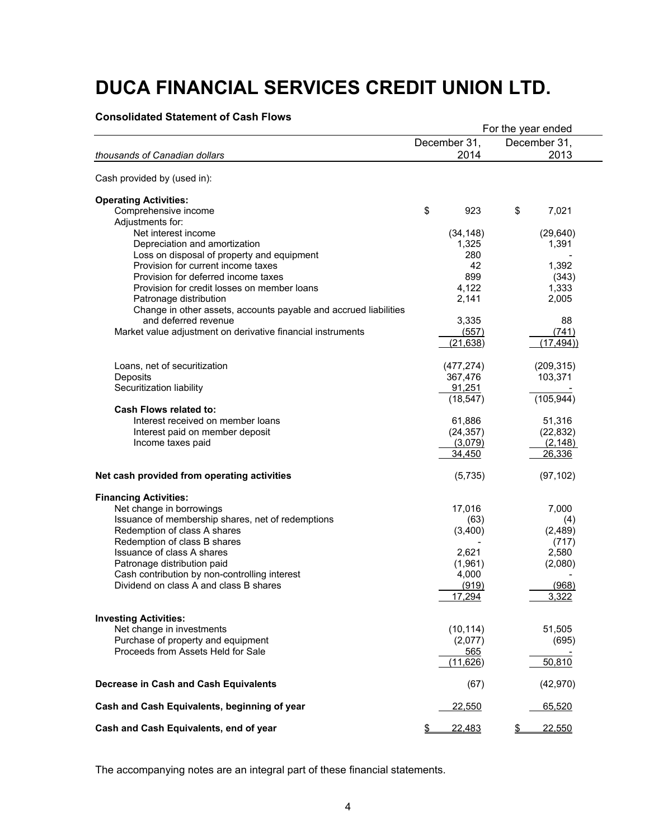#### **Consolidated Statement of Cash Flows**

|                                                                             |                    | For the year ended |
|-----------------------------------------------------------------------------|--------------------|--------------------|
|                                                                             | December 31,       | December 31,       |
| thousands of Canadian dollars                                               | 2014               | 2013               |
| Cash provided by (used in):                                                 |                    |                    |
| <b>Operating Activities:</b>                                                |                    |                    |
|                                                                             |                    |                    |
| Comprehensive income                                                        | \$<br>923          | \$<br>7,021        |
| Adjustments for:<br>Net interest income                                     |                    |                    |
|                                                                             | (34, 148)<br>1,325 | (29, 640)          |
| Depreciation and amortization<br>Loss on disposal of property and equipment | 280                | 1,391              |
| Provision for current income taxes                                          | 42                 | 1,392              |
| Provision for deferred income taxes                                         | 899                | (343)              |
| Provision for credit losses on member loans                                 | 4,122              | 1,333              |
| Patronage distribution                                                      | 2,141              | 2,005              |
| Change in other assets, accounts payable and accrued liabilities            |                    |                    |
| and deferred revenue                                                        | 3,335              | 88                 |
| Market value adjustment on derivative financial instruments                 | (557)              | (741)              |
|                                                                             | (21, 638)          | (17, 494)          |
|                                                                             |                    |                    |
| Loans, net of securitization                                                | (477, 274)         | (209, 315)         |
| Deposits                                                                    | 367,476            | 103,371            |
| Securitization liability                                                    | 91,251             |                    |
|                                                                             | (18, 547)          | (105, 944)         |
| <b>Cash Flows related to:</b>                                               |                    |                    |
| Interest received on member loans                                           | 61,886             | 51,316             |
| Interest paid on member deposit                                             | (24, 357)          | (22, 832)          |
| Income taxes paid                                                           | (3,079)            | (2, 148)           |
|                                                                             | 34,450             | 26,336             |
|                                                                             |                    |                    |
| Net cash provided from operating activities                                 | (5,735)            | (97, 102)          |
| <b>Financing Activities:</b>                                                |                    |                    |
| Net change in borrowings                                                    | 17,016             | 7,000              |
| Issuance of membership shares, net of redemptions                           | (63)               | (4)                |
| Redemption of class A shares                                                | (3,400)            | (2,489)            |
| Redemption of class B shares                                                |                    | (717)              |
| Issuance of class A shares                                                  | 2,621              | 2,580              |
| Patronage distribution paid                                                 | (1,961)            | (2,080)            |
| Cash contribution by non-controlling interest                               | 4,000              |                    |
| Dividend on class A and class B shares                                      | (919)              | (968)              |
|                                                                             | 17,294             | 3,322              |
|                                                                             |                    |                    |
| <b>Investing Activities:</b><br>Net change in investments                   |                    |                    |
| Purchase of property and equipment                                          | (10, 114)          | 51,505             |
| Proceeds from Assets Held for Sale                                          | (2,077)            | (695)              |
|                                                                             | 565<br>(11,626)    | 50,810             |
|                                                                             |                    |                    |
| Decrease in Cash and Cash Equivalents                                       | (67)               | (42, 970)          |
| Cash and Cash Equivalents, beginning of year                                | <u>22,550</u>      | 65,520             |
| Cash and Cash Equivalents, end of year                                      | \$<br>22,483       | \$<br>22,550       |

The accompanying notes are an integral part of these financial statements.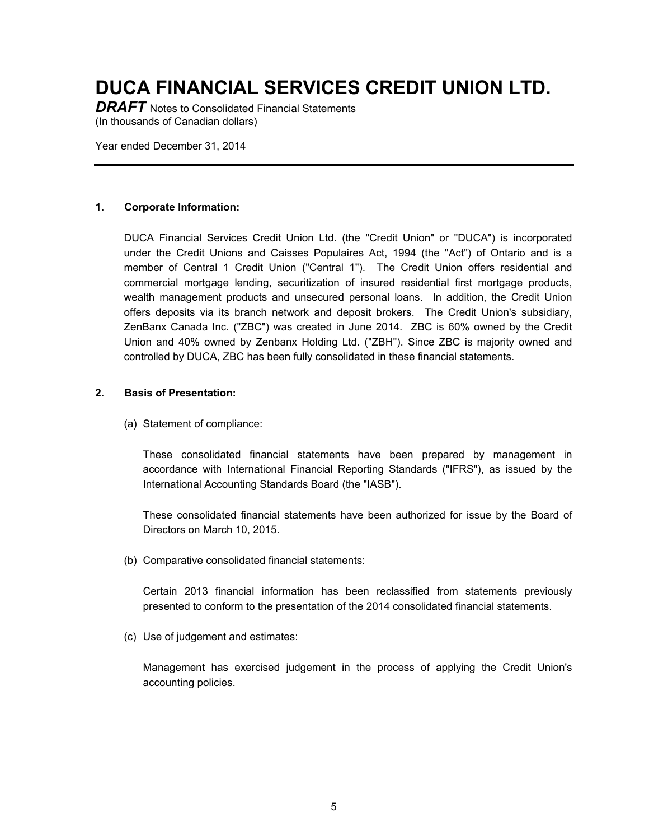**DRAFT** Notes to Consolidated Financial Statements (In thousands of Canadian dollars)

Year ended December 31, 2014

#### **1. Corporate Information:**

DUCA Financial Services Credit Union Ltd. (the "Credit Union" or "DUCA") is incorporated under the Credit Unions and Caisses Populaires Act, 1994 (the "Act") of Ontario and is a member of Central 1 Credit Union ("Central 1"). The Credit Union offers residential and commercial mortgage lending, securitization of insured residential first mortgage products, wealth management products and unsecured personal loans. In addition, the Credit Union offers deposits via its branch network and deposit brokers. The Credit Union's subsidiary, ZenBanx Canada Inc. ("ZBC") was created in June 2014. ZBC is 60% owned by the Credit Union and 40% owned by Zenbanx Holding Ltd. ("ZBH"). Since ZBC is majority owned and controlled by DUCA, ZBC has been fully consolidated in these financial statements.

#### **2. Basis of Presentation:**

(a) Statement of compliance:

These consolidated financial statements have been prepared by management in accordance with International Financial Reporting Standards ("IFRS"), as issued by the International Accounting Standards Board (the "IASB").

These consolidated financial statements have been authorized for issue by the Board of Directors on March 10, 2015.

(b) Comparative consolidated financial statements:

Certain 2013 financial information has been reclassified from statements previously presented to conform to the presentation of the 2014 consolidated financial statements.

(c) Use of judgement and estimates:

Management has exercised judgement in the process of applying the Credit Union's accounting policies.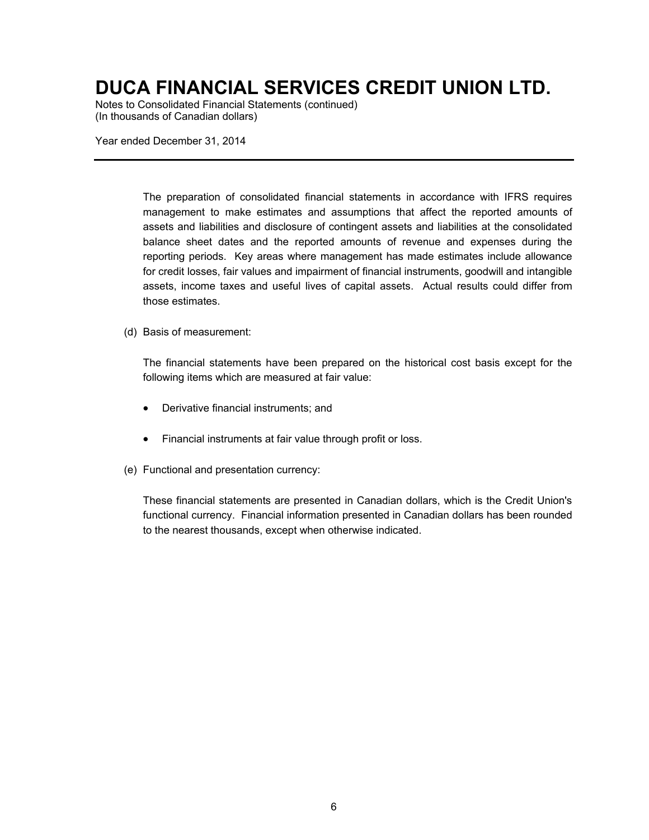Notes to Consolidated Financial Statements (continued) (In thousands of Canadian dollars)

Year ended December 31, 2014

The preparation of consolidated financial statements in accordance with IFRS requires management to make estimates and assumptions that affect the reported amounts of assets and liabilities and disclosure of contingent assets and liabilities at the consolidated balance sheet dates and the reported amounts of revenue and expenses during the reporting periods. Key areas where management has made estimates include allowance for credit losses, fair values and impairment of financial instruments, goodwill and intangible assets, income taxes and useful lives of capital assets. Actual results could differ from those estimates.

#### (d) Basis of measurement:

The financial statements have been prepared on the historical cost basis except for the following items which are measured at fair value:

- Derivative financial instruments; and
- Financial instruments at fair value through profit or loss.
- (e) Functional and presentation currency:

These financial statements are presented in Canadian dollars, which is the Credit Union's functional currency. Financial information presented in Canadian dollars has been rounded to the nearest thousands, except when otherwise indicated.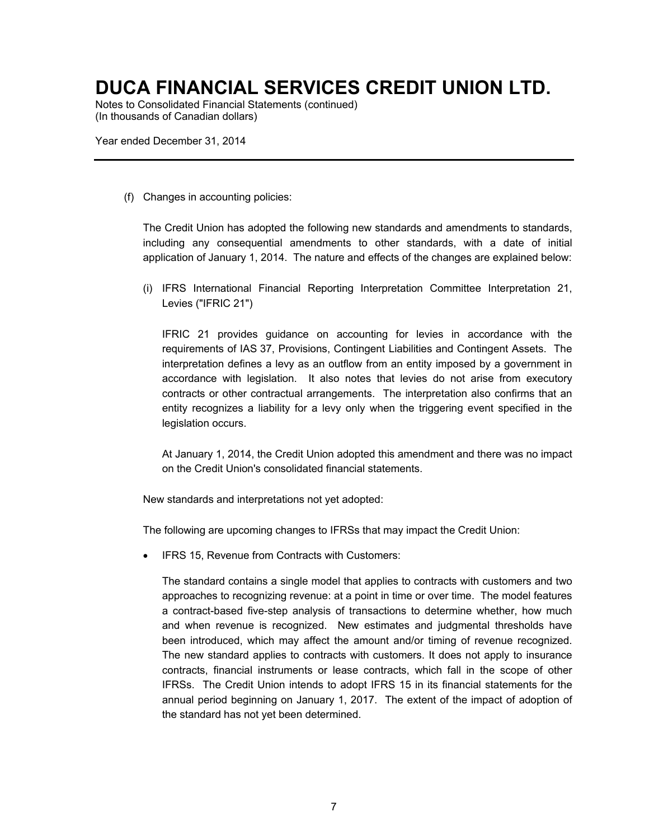Notes to Consolidated Financial Statements (continued) (In thousands of Canadian dollars)

Year ended December 31, 2014

(f) Changes in accounting policies:

The Credit Union has adopted the following new standards and amendments to standards, including any consequential amendments to other standards, with a date of initial application of January 1, 2014. The nature and effects of the changes are explained below:

(i) IFRS International Financial Reporting Interpretation Committee Interpretation 21, Levies ("IFRIC 21")

IFRIC 21 provides guidance on accounting for levies in accordance with the requirements of IAS 37, Provisions, Contingent Liabilities and Contingent Assets. The interpretation defines a levy as an outflow from an entity imposed by a government in accordance with legislation. It also notes that levies do not arise from executory contracts or other contractual arrangements. The interpretation also confirms that an entity recognizes a liability for a levy only when the triggering event specified in the legislation occurs.

At January 1, 2014, the Credit Union adopted this amendment and there was no impact on the Credit Union's consolidated financial statements.

New standards and interpretations not yet adopted:

The following are upcoming changes to IFRSs that may impact the Credit Union:

IFRS 15, Revenue from Contracts with Customers:

The standard contains a single model that applies to contracts with customers and two approaches to recognizing revenue: at a point in time or over time. The model features a contract-based five-step analysis of transactions to determine whether, how much and when revenue is recognized. New estimates and judgmental thresholds have been introduced, which may affect the amount and/or timing of revenue recognized. The new standard applies to contracts with customers. It does not apply to insurance contracts, financial instruments or lease contracts, which fall in the scope of other IFRSs. The Credit Union intends to adopt IFRS 15 in its financial statements for the annual period beginning on January 1, 2017. The extent of the impact of adoption of the standard has not yet been determined.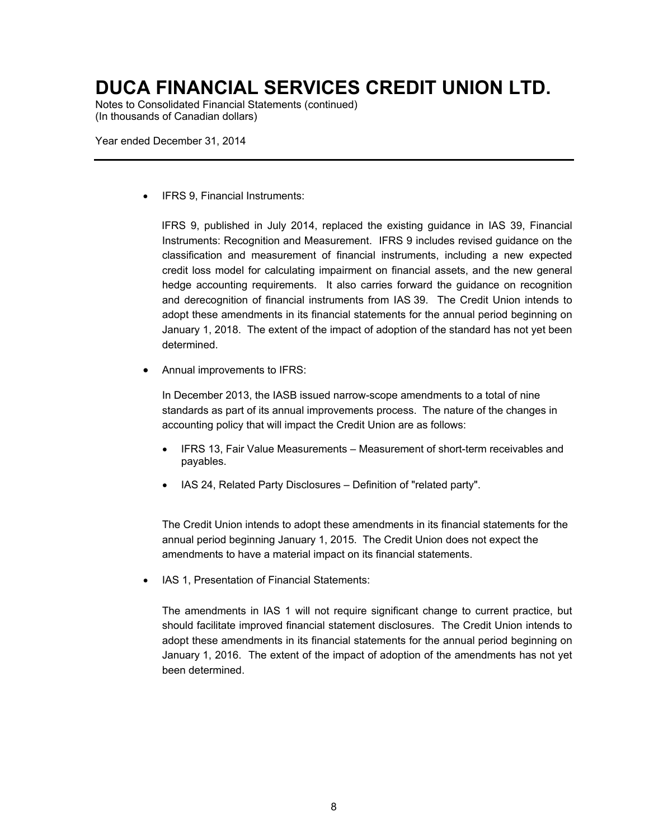Notes to Consolidated Financial Statements (continued) (In thousands of Canadian dollars)

Year ended December 31, 2014

• IFRS 9. Financial Instruments:

IFRS 9, published in July 2014, replaced the existing guidance in IAS 39, Financial Instruments: Recognition and Measurement. IFRS 9 includes revised guidance on the classification and measurement of financial instruments, including a new expected credit loss model for calculating impairment on financial assets, and the new general hedge accounting requirements. It also carries forward the guidance on recognition and derecognition of financial instruments from IAS 39. The Credit Union intends to adopt these amendments in its financial statements for the annual period beginning on January 1, 2018. The extent of the impact of adoption of the standard has not yet been determined.

Annual improvements to IFRS:

In December 2013, the IASB issued narrow-scope amendments to a total of nine standards as part of its annual improvements process. The nature of the changes in accounting policy that will impact the Credit Union are as follows:

- x IFRS 13, Fair Value Measurements Measurement of short-term receivables and payables.
- IAS 24, Related Party Disclosures Definition of "related party".

The Credit Union intends to adopt these amendments in its financial statements for the annual period beginning January 1, 2015. The Credit Union does not expect the amendments to have a material impact on its financial statements.

IAS 1, Presentation of Financial Statements:

The amendments in IAS 1 will not require significant change to current practice, but should facilitate improved financial statement disclosures. The Credit Union intends to adopt these amendments in its financial statements for the annual period beginning on January 1, 2016. The extent of the impact of adoption of the amendments has not yet been determined.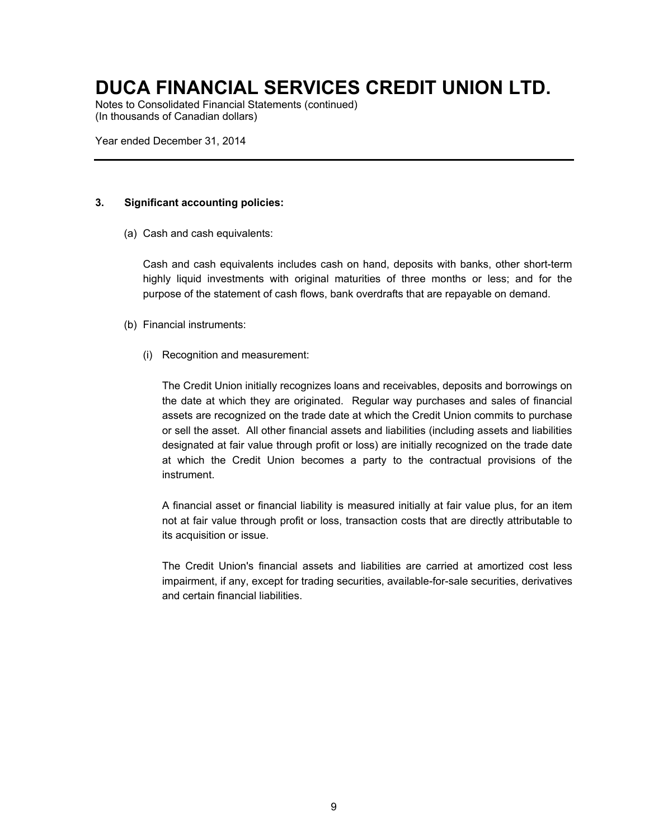Notes to Consolidated Financial Statements (continued) (In thousands of Canadian dollars)

Year ended December 31, 2014

#### **3. Significant accounting policies:**

(a) Cash and cash equivalents:

Cash and cash equivalents includes cash on hand, deposits with banks, other short-term highly liquid investments with original maturities of three months or less; and for the purpose of the statement of cash flows, bank overdrafts that are repayable on demand.

- (b) Financial instruments:
	- (i) Recognition and measurement:

The Credit Union initially recognizes loans and receivables, deposits and borrowings on the date at which they are originated. Regular way purchases and sales of financial assets are recognized on the trade date at which the Credit Union commits to purchase or sell the asset. All other financial assets and liabilities (including assets and liabilities designated at fair value through profit or loss) are initially recognized on the trade date at which the Credit Union becomes a party to the contractual provisions of the instrument.

A financial asset or financial liability is measured initially at fair value plus, for an item not at fair value through profit or loss, transaction costs that are directly attributable to its acquisition or issue.

The Credit Union's financial assets and liabilities are carried at amortized cost less impairment, if any, except for trading securities, available-for-sale securities, derivatives and certain financial liabilities.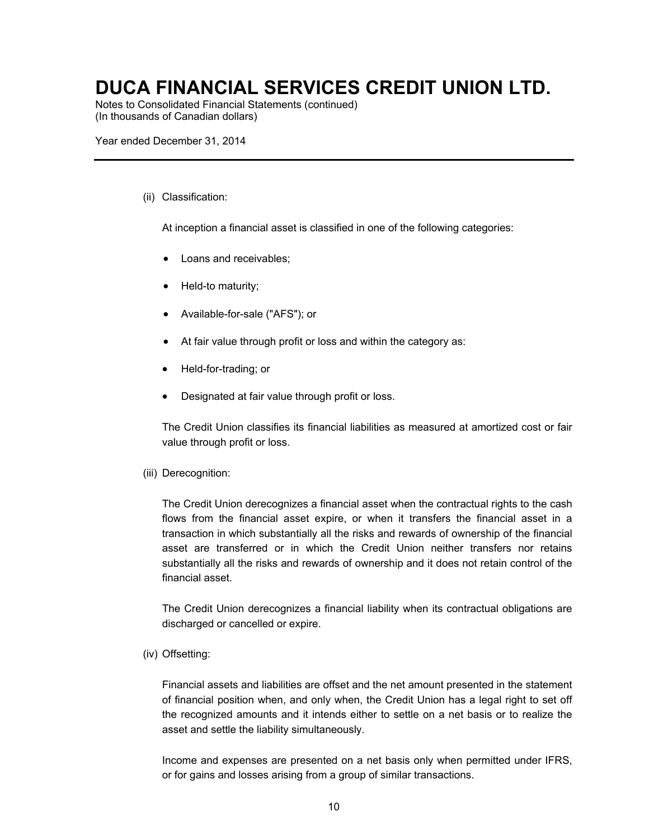Notes to Consolidated Financial Statements (continued) (In thousands of Canadian dollars)

Year ended December 31, 2014

#### (ii) Classification:

At inception a financial asset is classified in one of the following categories:

- Loans and receivables;
- Held-to maturity;
- Available-for-sale ("AFS"); or
- $\bullet$  At fair value through profit or loss and within the category as:
- x Held-for-trading; or
- Designated at fair value through profit or loss.

The Credit Union classifies its financial liabilities as measured at amortized cost or fair value through profit or loss.

#### (iii) Derecognition:

The Credit Union derecognizes a financial asset when the contractual rights to the cash flows from the financial asset expire, or when it transfers the financial asset in a transaction in which substantially all the risks and rewards of ownership of the financial asset are transferred or in which the Credit Union neither transfers nor retains substantially all the risks and rewards of ownership and it does not retain control of the financial asset.

The Credit Union derecognizes a financial liability when its contractual obligations are discharged or cancelled or expire.

#### (iv) Offsetting:

Financial assets and liabilities are offset and the net amount presented in the statement of financial position when, and only when, the Credit Union has a legal right to set off the recognized amounts and it intends either to settle on a net basis or to realize the asset and settle the liability simultaneously.

Income and expenses are presented on a net basis only when permitted under IFRS, or for gains and losses arising from a group of similar transactions.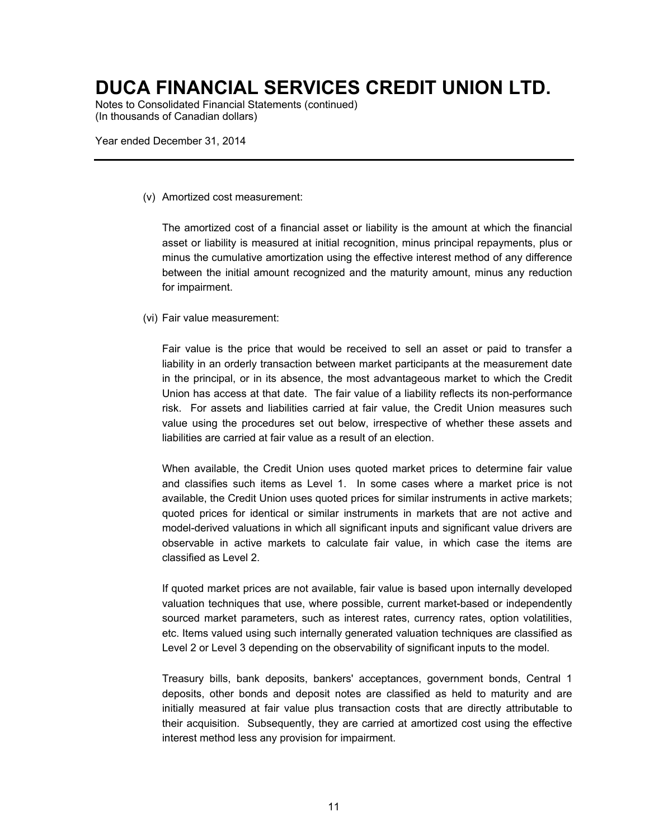Notes to Consolidated Financial Statements (continued) (In thousands of Canadian dollars)

Year ended December 31, 2014

(v) Amortized cost measurement:

The amortized cost of a financial asset or liability is the amount at which the financial asset or liability is measured at initial recognition, minus principal repayments, plus or minus the cumulative amortization using the effective interest method of any difference between the initial amount recognized and the maturity amount, minus any reduction for impairment.

(vi) Fair value measurement:

Fair value is the price that would be received to sell an asset or paid to transfer a liability in an orderly transaction between market participants at the measurement date in the principal, or in its absence, the most advantageous market to which the Credit Union has access at that date. The fair value of a liability reflects its non-performance risk. For assets and liabilities carried at fair value, the Credit Union measures such value using the procedures set out below, irrespective of whether these assets and liabilities are carried at fair value as a result of an election.

When available, the Credit Union uses quoted market prices to determine fair value and classifies such items as Level 1. In some cases where a market price is not available, the Credit Union uses quoted prices for similar instruments in active markets; quoted prices for identical or similar instruments in markets that are not active and model-derived valuations in which all significant inputs and significant value drivers are observable in active markets to calculate fair value, in which case the items are classified as Level 2.

If quoted market prices are not available, fair value is based upon internally developed valuation techniques that use, where possible, current market-based or independently sourced market parameters, such as interest rates, currency rates, option volatilities, etc. Items valued using such internally generated valuation techniques are classified as Level 2 or Level 3 depending on the observability of significant inputs to the model.

Treasury bills, bank deposits, bankers' acceptances, government bonds, Central 1 deposits, other bonds and deposit notes are classified as held to maturity and are initially measured at fair value plus transaction costs that are directly attributable to their acquisition. Subsequently, they are carried at amortized cost using the effective interest method less any provision for impairment.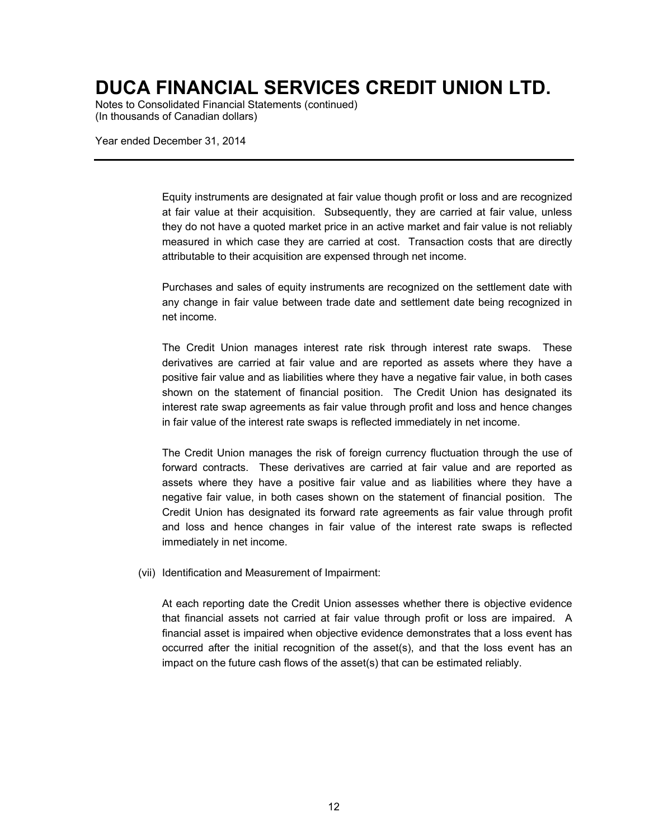Notes to Consolidated Financial Statements (continued) (In thousands of Canadian dollars)

Year ended December 31, 2014

Equity instruments are designated at fair value though profit or loss and are recognized at fair value at their acquisition. Subsequently, they are carried at fair value, unless they do not have a quoted market price in an active market and fair value is not reliably measured in which case they are carried at cost. Transaction costs that are directly attributable to their acquisition are expensed through net income.

Purchases and sales of equity instruments are recognized on the settlement date with any change in fair value between trade date and settlement date being recognized in net income.

The Credit Union manages interest rate risk through interest rate swaps. These derivatives are carried at fair value and are reported as assets where they have a positive fair value and as liabilities where they have a negative fair value, in both cases shown on the statement of financial position. The Credit Union has designated its interest rate swap agreements as fair value through profit and loss and hence changes in fair value of the interest rate swaps is reflected immediately in net income.

The Credit Union manages the risk of foreign currency fluctuation through the use of forward contracts. These derivatives are carried at fair value and are reported as assets where they have a positive fair value and as liabilities where they have a negative fair value, in both cases shown on the statement of financial position. The Credit Union has designated its forward rate agreements as fair value through profit and loss and hence changes in fair value of the interest rate swaps is reflected immediately in net income.

(vii) Identification and Measurement of Impairment:

At each reporting date the Credit Union assesses whether there is objective evidence that financial assets not carried at fair value through profit or loss are impaired. A financial asset is impaired when objective evidence demonstrates that a loss event has occurred after the initial recognition of the asset(s), and that the loss event has an impact on the future cash flows of the asset(s) that can be estimated reliably.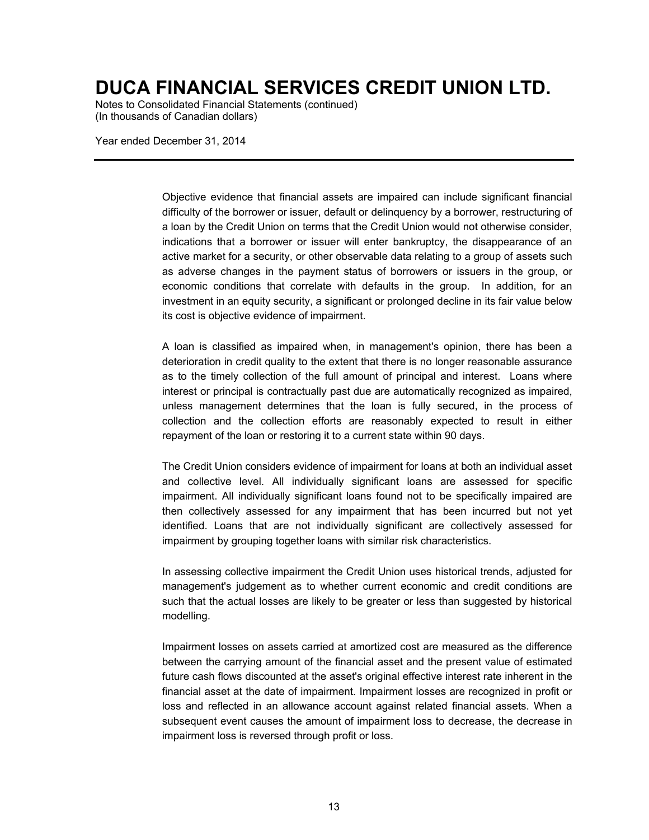Notes to Consolidated Financial Statements (continued) (In thousands of Canadian dollars)

Year ended December 31, 2014

Objective evidence that financial assets are impaired can include significant financial difficulty of the borrower or issuer, default or delinquency by a borrower, restructuring of a loan by the Credit Union on terms that the Credit Union would not otherwise consider, indications that a borrower or issuer will enter bankruptcy, the disappearance of an active market for a security, or other observable data relating to a group of assets such as adverse changes in the payment status of borrowers or issuers in the group, or economic conditions that correlate with defaults in the group. In addition, for an investment in an equity security, a significant or prolonged decline in its fair value below its cost is objective evidence of impairment.

A loan is classified as impaired when, in management's opinion, there has been a deterioration in credit quality to the extent that there is no longer reasonable assurance as to the timely collection of the full amount of principal and interest. Loans where interest or principal is contractually past due are automatically recognized as impaired, unless management determines that the loan is fully secured, in the process of collection and the collection efforts are reasonably expected to result in either repayment of the loan or restoring it to a current state within 90 days.

The Credit Union considers evidence of impairment for loans at both an individual asset and collective level. All individually significant loans are assessed for specific impairment. All individually significant loans found not to be specifically impaired are then collectively assessed for any impairment that has been incurred but not yet identified. Loans that are not individually significant are collectively assessed for impairment by grouping together loans with similar risk characteristics.

In assessing collective impairment the Credit Union uses historical trends, adjusted for management's judgement as to whether current economic and credit conditions are such that the actual losses are likely to be greater or less than suggested by historical modelling.

Impairment losses on assets carried at amortized cost are measured as the difference between the carrying amount of the financial asset and the present value of estimated future cash flows discounted at the asset's original effective interest rate inherent in the financial asset at the date of impairment. Impairment losses are recognized in profit or loss and reflected in an allowance account against related financial assets. When a subsequent event causes the amount of impairment loss to decrease, the decrease in impairment loss is reversed through profit or loss.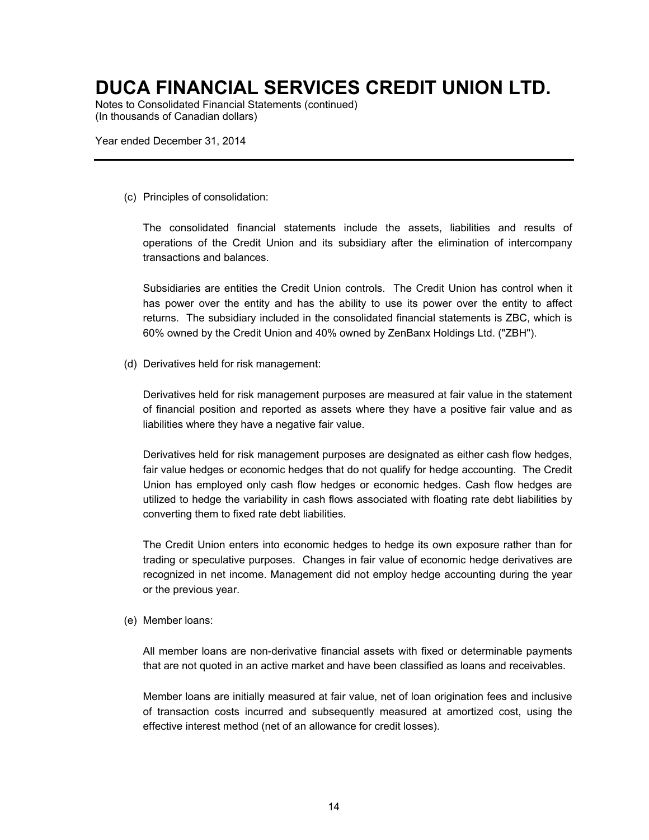Notes to Consolidated Financial Statements (continued) (In thousands of Canadian dollars)

Year ended December 31, 2014

(c) Principles of consolidation:

The consolidated financial statements include the assets, liabilities and results of operations of the Credit Union and its subsidiary after the elimination of intercompany transactions and balances.

Subsidiaries are entities the Credit Union controls. The Credit Union has control when it has power over the entity and has the ability to use its power over the entity to affect returns. The subsidiary included in the consolidated financial statements is ZBC, which is 60% owned by the Credit Union and 40% owned by ZenBanx Holdings Ltd. ("ZBH").

(d) Derivatives held for risk management:

Derivatives held for risk management purposes are measured at fair value in the statement of financial position and reported as assets where they have a positive fair value and as liabilities where they have a negative fair value.

Derivatives held for risk management purposes are designated as either cash flow hedges, fair value hedges or economic hedges that do not qualify for hedge accounting. The Credit Union has employed only cash flow hedges or economic hedges. Cash flow hedges are utilized to hedge the variability in cash flows associated with floating rate debt liabilities by converting them to fixed rate debt liabilities.

The Credit Union enters into economic hedges to hedge its own exposure rather than for trading or speculative purposes. Changes in fair value of economic hedge derivatives are recognized in net income. Management did not employ hedge accounting during the year or the previous year.

(e) Member loans:

All member loans are non-derivative financial assets with fixed or determinable payments that are not quoted in an active market and have been classified as loans and receivables.

Member loans are initially measured at fair value, net of loan origination fees and inclusive of transaction costs incurred and subsequently measured at amortized cost, using the effective interest method (net of an allowance for credit losses).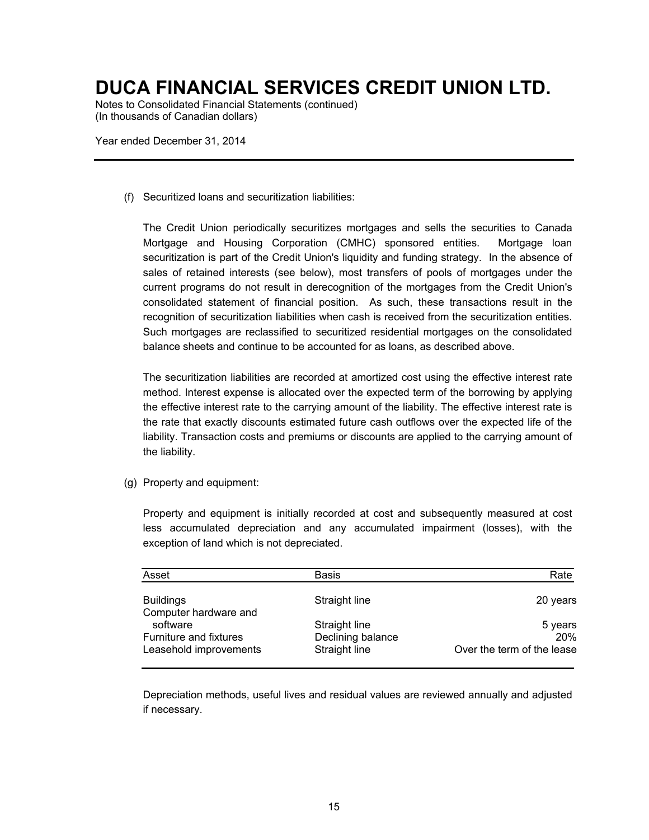Notes to Consolidated Financial Statements (continued) (In thousands of Canadian dollars)

Year ended December 31, 2014

(f) Securitized loans and securitization liabilities:

The Credit Union periodically securitizes mortgages and sells the securities to Canada Mortgage and Housing Corporation (CMHC) sponsored entities. Mortgage loan securitization is part of the Credit Union's liquidity and funding strategy. In the absence of sales of retained interests (see below), most transfers of pools of mortgages under the current programs do not result in derecognition of the mortgages from the Credit Union's consolidated statement of financial position. As such, these transactions result in the recognition of securitization liabilities when cash is received from the securitization entities. Such mortgages are reclassified to securitized residential mortgages on the consolidated balance sheets and continue to be accounted for as loans, as described above.

The securitization liabilities are recorded at amortized cost using the effective interest rate method. Interest expense is allocated over the expected term of the borrowing by applying the effective interest rate to the carrying amount of the liability. The effective interest rate is the rate that exactly discounts estimated future cash outflows over the expected life of the liability. Transaction costs and premiums or discounts are applied to the carrying amount of the liability.

(g) Property and equipment:

Property and equipment is initially recorded at cost and subsequently measured at cost less accumulated depreciation and any accumulated impairment (losses), with the exception of land which is not depreciated.

| Asset                                            | Basis                              | Rate                       |
|--------------------------------------------------|------------------------------------|----------------------------|
| <b>Buildings</b><br>Computer hardware and        | Straight line                      | 20 years                   |
| software                                         | Straight line                      | 5 years<br>20%             |
| Furniture and fixtures<br>Leasehold improvements | Declining balance<br>Straight line | Over the term of the lease |

Depreciation methods, useful lives and residual values are reviewed annually and adjusted if necessary.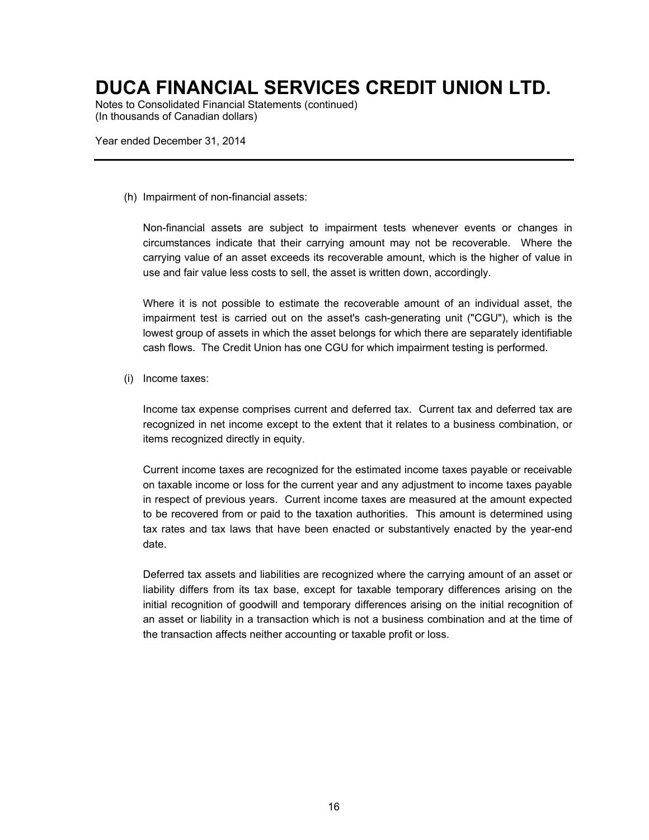Notes to Consolidated Financial Statements (continued) (In thousands of Canadian dollars)

Year ended December 31, 2014

(h) Impairment of non-financial assets:

Non-financial assets are subject to impairment tests whenever events or changes in circumstances indicate that their carrying amount may not be recoverable. Where the carrying value of an asset exceeds its recoverable amount, which is the higher of value in use and fair value less costs to sell, the asset is written down, accordingly.

Where it is not possible to estimate the recoverable amount of an individual asset, the impairment test is carried out on the asset's cash-generating unit ("CGU"), which is the lowest group of assets in which the asset belongs for which there are separately identifiable cash flows. The Credit Union has one CGU for which impairment testing is performed.

(i) Income taxes:

Income tax expense comprises current and deferred tax. Current tax and deferred tax are recognized in net income except to the extent that it relates to a business combination, or items recognized directly in equity.

Current income taxes are recognized for the estimated income taxes payable or receivable on taxable income or loss for the current year and any adjustment to income taxes payable in respect of previous years. Current income taxes are measured at the amount expected to be recovered from or paid to the taxation authorities. This amount is determined using tax rates and tax laws that have been enacted or substantively enacted by the year-end date.

Deferred tax assets and liabilities are recognized where the carrying amount of an asset or liability differs from its tax base, except for taxable temporary differences arising on the initial recognition of goodwill and temporary differences arising on the initial recognition of an asset or liability in a transaction which is not a business combination and at the time of the transaction affects neither accounting or taxable profit or loss.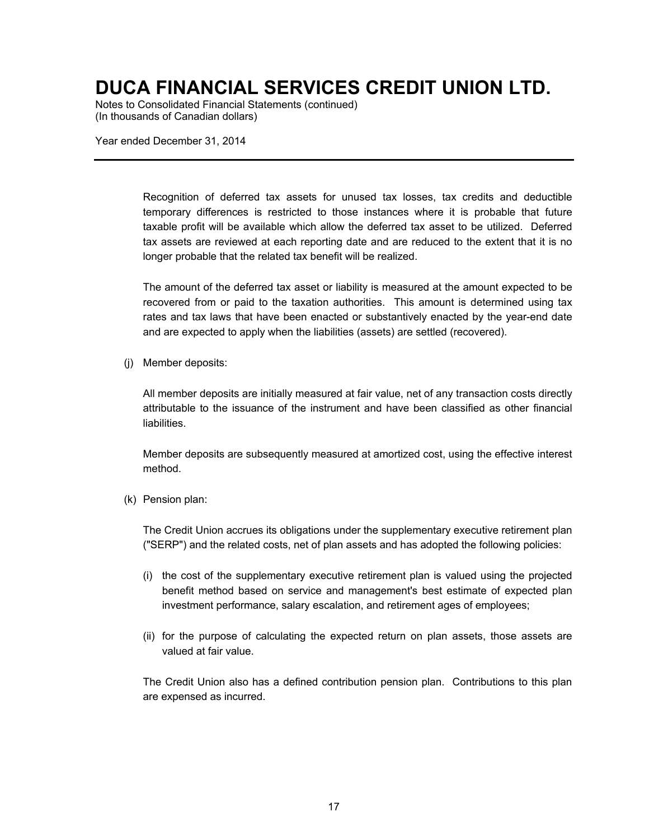Notes to Consolidated Financial Statements (continued) (In thousands of Canadian dollars)

Year ended December 31, 2014

Recognition of deferred tax assets for unused tax losses, tax credits and deductible temporary differences is restricted to those instances where it is probable that future taxable profit will be available which allow the deferred tax asset to be utilized. Deferred tax assets are reviewed at each reporting date and are reduced to the extent that it is no longer probable that the related tax benefit will be realized.

The amount of the deferred tax asset or liability is measured at the amount expected to be recovered from or paid to the taxation authorities. This amount is determined using tax rates and tax laws that have been enacted or substantively enacted by the year-end date and are expected to apply when the liabilities (assets) are settled (recovered).

(j) Member deposits:

All member deposits are initially measured at fair value, net of any transaction costs directly attributable to the issuance of the instrument and have been classified as other financial liabilities.

Member deposits are subsequently measured at amortized cost, using the effective interest method.

(k) Pension plan:

The Credit Union accrues its obligations under the supplementary executive retirement plan ("SERP") and the related costs, net of plan assets and has adopted the following policies:

- (i) the cost of the supplementary executive retirement plan is valued using the projected benefit method based on service and management's best estimate of expected plan investment performance, salary escalation, and retirement ages of employees;
- (ii) for the purpose of calculating the expected return on plan assets, those assets are valued at fair value.

The Credit Union also has a defined contribution pension plan. Contributions to this plan are expensed as incurred.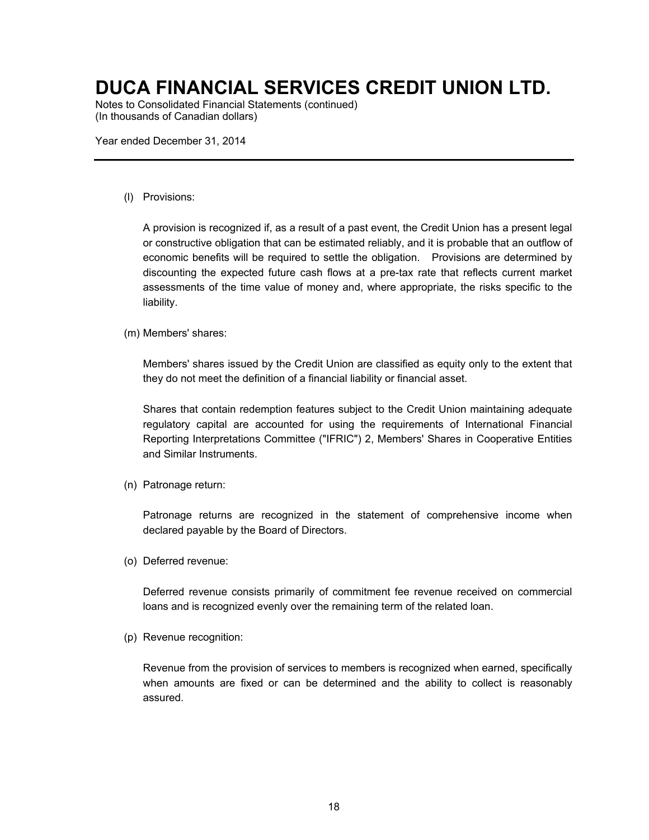Notes to Consolidated Financial Statements (continued) (In thousands of Canadian dollars)

Year ended December 31, 2014

(l) Provisions:

A provision is recognized if, as a result of a past event, the Credit Union has a present legal or constructive obligation that can be estimated reliably, and it is probable that an outflow of economic benefits will be required to settle the obligation. Provisions are determined by discounting the expected future cash flows at a pre-tax rate that reflects current market assessments of the time value of money and, where appropriate, the risks specific to the liability.

(m) Members' shares:

Members' shares issued by the Credit Union are classified as equity only to the extent that they do not meet the definition of a financial liability or financial asset.

Shares that contain redemption features subject to the Credit Union maintaining adequate regulatory capital are accounted for using the requirements of International Financial Reporting Interpretations Committee ("IFRIC") 2, Members' Shares in Cooperative Entities and Similar Instruments.

(n) Patronage return:

Patronage returns are recognized in the statement of comprehensive income when declared payable by the Board of Directors.

(o) Deferred revenue:

Deferred revenue consists primarily of commitment fee revenue received on commercial loans and is recognized evenly over the remaining term of the related loan.

(p) Revenue recognition:

Revenue from the provision of services to members is recognized when earned, specifically when amounts are fixed or can be determined and the ability to collect is reasonably assured.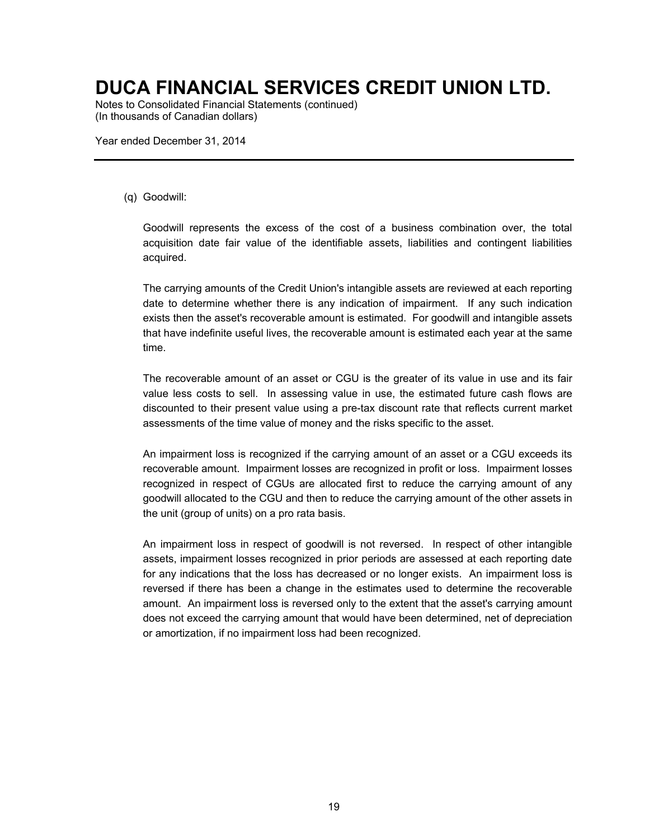Notes to Consolidated Financial Statements (continued) (In thousands of Canadian dollars)

Year ended December 31, 2014

#### (q) Goodwill:

Goodwill represents the excess of the cost of a business combination over, the total acquisition date fair value of the identifiable assets, liabilities and contingent liabilities acquired.

The carrying amounts of the Credit Union's intangible assets are reviewed at each reporting date to determine whether there is any indication of impairment. If any such indication exists then the asset's recoverable amount is estimated. For goodwill and intangible assets that have indefinite useful lives, the recoverable amount is estimated each year at the same time.

The recoverable amount of an asset or CGU is the greater of its value in use and its fair value less costs to sell. In assessing value in use, the estimated future cash flows are discounted to their present value using a pre-tax discount rate that reflects current market assessments of the time value of money and the risks specific to the asset.

An impairment loss is recognized if the carrying amount of an asset or a CGU exceeds its recoverable amount. Impairment losses are recognized in profit or loss. Impairment losses recognized in respect of CGUs are allocated first to reduce the carrying amount of any goodwill allocated to the CGU and then to reduce the carrying amount of the other assets in the unit (group of units) on a pro rata basis.

An impairment loss in respect of goodwill is not reversed. In respect of other intangible assets, impairment losses recognized in prior periods are assessed at each reporting date for any indications that the loss has decreased or no longer exists. An impairment loss is reversed if there has been a change in the estimates used to determine the recoverable amount. An impairment loss is reversed only to the extent that the asset's carrying amount does not exceed the carrying amount that would have been determined, net of depreciation or amortization, if no impairment loss had been recognized.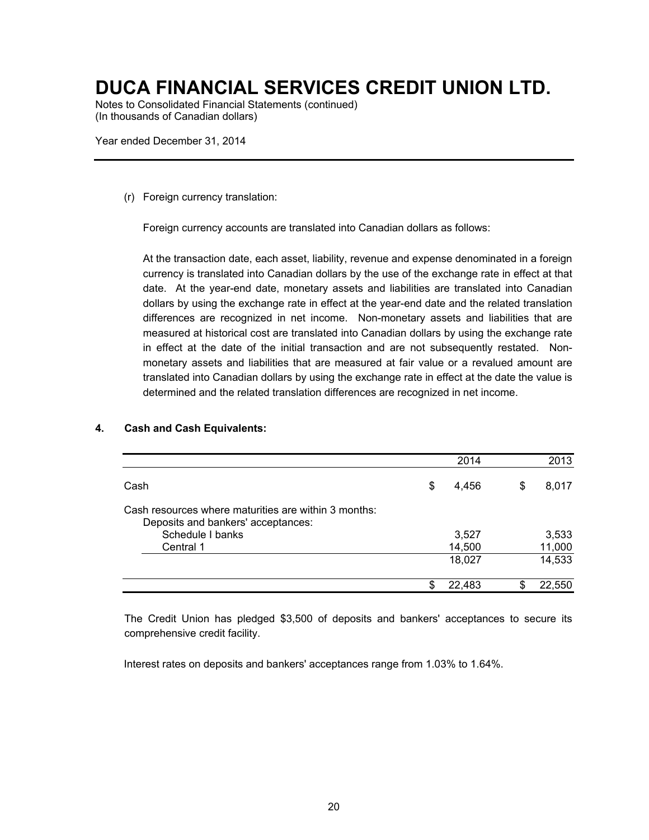Notes to Consolidated Financial Statements (continued) (In thousands of Canadian dollars)

Year ended December 31, 2014

(r) Foreign currency translation:

Foreign currency accounts are translated into Canadian dollars as follows:

At the transaction date, each asset, liability, revenue and expense denominated in a foreign currency is translated into Canadian dollars by the use of the exchange rate in effect at that date. At the year-end date, monetary assets and liabilities are translated into Canadian dollars by using the exchange rate in effect at the year-end date and the related translation differences are recognized in net income. Non-monetary assets and liabilities that are measured at historical cost are translated into Canadian dollars by using the exchange rate in effect at the date of the initial transaction and are not subsequently restated. Nonmonetary assets and liabilities that are measured at fair value or a revalued amount are translated into Canadian dollars by using the exchange rate in effect at the date the value is determined and the related translation differences are recognized in net income.

|                                                                                            |   | 2014   |    | 2013   |
|--------------------------------------------------------------------------------------------|---|--------|----|--------|
| Cash                                                                                       | S | 4.456  | \$ | 8,017  |
| Cash resources where maturities are within 3 months:<br>Deposits and bankers' acceptances: |   |        |    |        |
| Schedule I banks                                                                           |   | 3,527  |    | 3,533  |
| Central 1                                                                                  |   | 14,500 |    | 11,000 |
|                                                                                            |   | 18,027 |    | 14,533 |
|                                                                                            |   | 22,483 | S  | 22.550 |

#### **4. Cash and Cash Equivalents:**

The Credit Union has pledged \$3,500 of deposits and bankers' acceptances to secure its comprehensive credit facility.

Interest rates on deposits and bankers' acceptances range from 1.03% to 1.64%.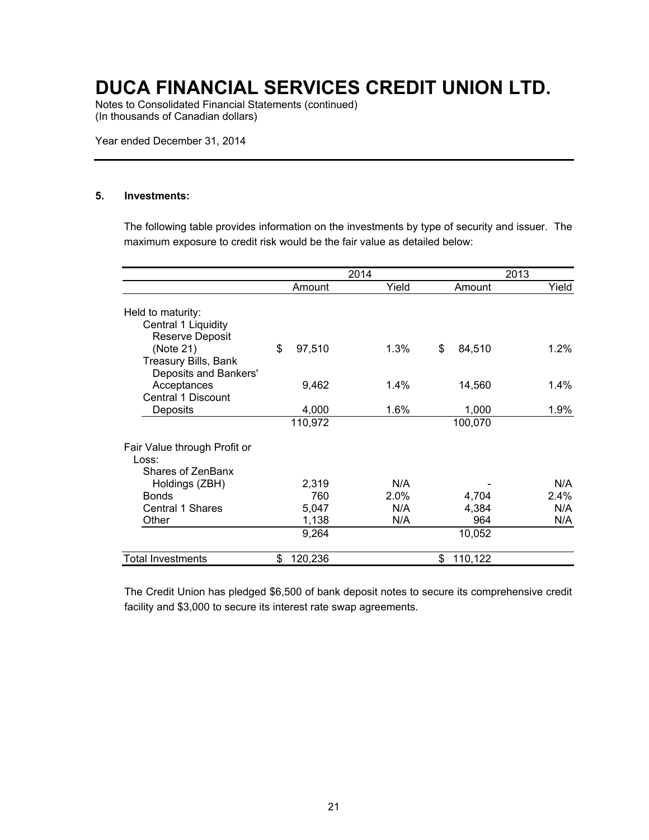Notes to Consolidated Financial Statements (continued) (In thousands of Canadian dollars)

Year ended December 31, 2014

#### **5. Investments:**

The following table provides information on the investments by type of security and issuer. The maximum exposure to credit risk would be the fair value as detailed below:

|                              |               | 2014 |         | 2013          |  |         |
|------------------------------|---------------|------|---------|---------------|--|---------|
|                              | Amount        |      | Yield   | Amount        |  | Yield   |
| Held to maturity:            |               |      |         |               |  |         |
| Central 1 Liquidity          |               |      |         |               |  |         |
| <b>Reserve Deposit</b>       |               |      |         |               |  |         |
| (Note 21)                    | \$<br>97,510  |      | $1.3\%$ | \$<br>84,510  |  | $1.2\%$ |
| Treasury Bills, Bank         |               |      |         |               |  |         |
| Deposits and Bankers'        |               |      |         |               |  |         |
| Acceptances                  | 9,462         |      | 1.4%    | 14,560        |  | $1.4\%$ |
| Central 1 Discount           |               |      |         |               |  |         |
| Deposits                     | 4,000         |      | 1.6%    | 1,000         |  | 1.9%    |
|                              | 110,972       |      |         | 100,070       |  |         |
| Fair Value through Profit or |               |      |         |               |  |         |
| Loss:                        |               |      |         |               |  |         |
| Shares of ZenBanx            |               |      |         |               |  |         |
| Holdings (ZBH)               | 2,319         |      | N/A     |               |  | N/A     |
| <b>Bonds</b>                 | 760           |      | 2.0%    | 4,704         |  | 2.4%    |
| Central 1 Shares             | 5,047         |      | N/A     | 4,384         |  | N/A     |
| Other                        | 1,138         |      | N/A     | 964           |  | N/A     |
|                              | 9,264         |      |         | 10,052        |  |         |
| Total Investments            | \$<br>120,236 |      |         | \$<br>110,122 |  |         |

The Credit Union has pledged \$6,500 of bank deposit notes to secure its comprehensive credit facility and \$3,000 to secure its interest rate swap agreements.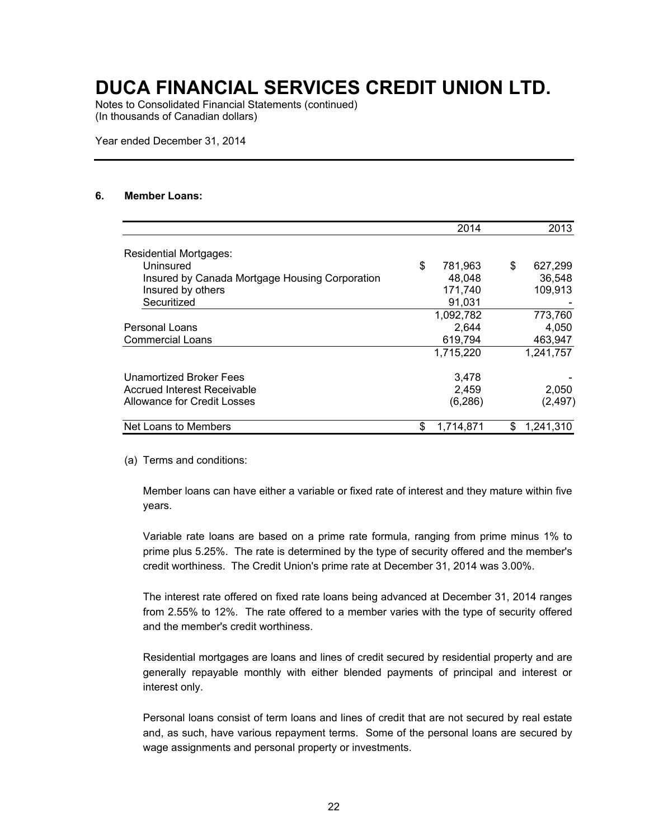Notes to Consolidated Financial Statements (continued) (In thousands of Canadian dollars)

Year ended December 31, 2014

#### **6. Member Loans:**

|                                                |    | 2014      |     | 2013      |
|------------------------------------------------|----|-----------|-----|-----------|
| <b>Residential Mortgages:</b>                  |    |           |     |           |
| Uninsured                                      | \$ | 781.963   | \$  | 627,299   |
| Insured by Canada Mortgage Housing Corporation |    | 48,048    |     | 36,548    |
| Insured by others                              |    | 171,740   |     | 109,913   |
| Securitized                                    |    | 91.031    |     |           |
|                                                |    | 1,092,782 |     | 773,760   |
| <b>Personal Loans</b>                          |    | 2,644     |     | 4,050     |
| <b>Commercial Loans</b>                        |    | 619,794   |     | 463,947   |
|                                                |    | 1,715,220 |     | 1,241,757 |
| Unamortized Broker Fees                        |    | 3,478     |     |           |
| <b>Accrued Interest Receivable</b>             |    | 2,459     |     | 2,050     |
| Allowance for Credit Losses                    |    | (6, 286)  |     | (2, 497)  |
| Net Loans to Members                           | S  | 1.714.871 | \$. | 1,241,310 |

(a) Terms and conditions:

Member loans can have either a variable or fixed rate of interest and they mature within five years.

Variable rate loans are based on a prime rate formula, ranging from prime minus 1% to prime plus 5.25%. The rate is determined by the type of security offered and the member's credit worthiness. The Credit Union's prime rate at December 31, 2014 was 3.00%.

The interest rate offered on fixed rate loans being advanced at December 31, 2014 ranges from 2.55% to 12%. The rate offered to a member varies with the type of security offered and the member's credit worthiness.

Residential mortgages are loans and lines of credit secured by residential property and are generally repayable monthly with either blended payments of principal and interest or interest only.

Personal loans consist of term loans and lines of credit that are not secured by real estate and, as such, have various repayment terms. Some of the personal loans are secured by wage assignments and personal property or investments.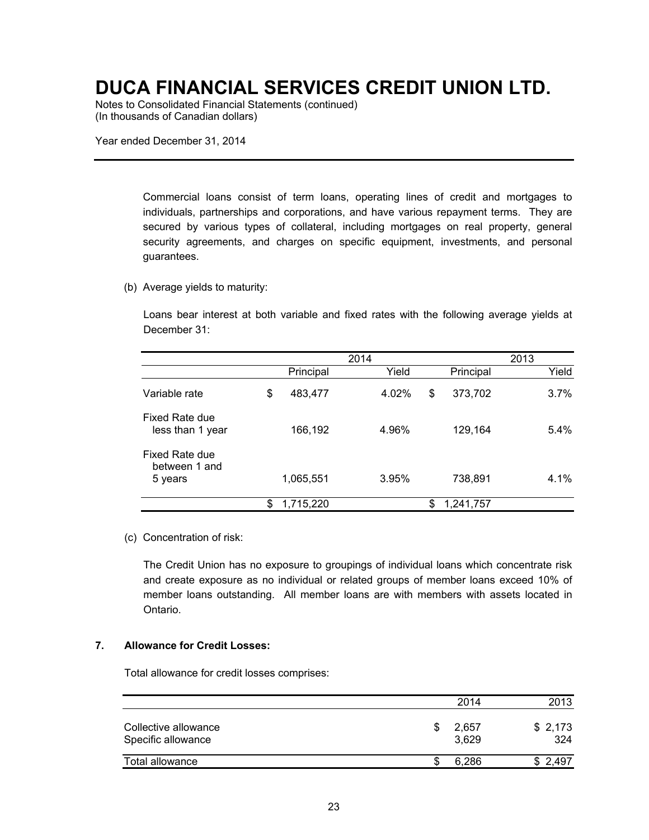Notes to Consolidated Financial Statements (continued) (In thousands of Canadian dollars)

Year ended December 31, 2014

Commercial loans consist of term loans, operating lines of credit and mortgages to individuals, partnerships and corporations, and have various repayment terms. They are secured by various types of collateral, including mortgages on real property, general security agreements, and charges on specific equipment, investments, and personal guarantees.

#### (b) Average yields to maturity:

Loans bear interest at both variable and fixed rates with the following average yields at December 31:

|                                                   |                 | 2014  |                 | 2013 |       |
|---------------------------------------------------|-----------------|-------|-----------------|------|-------|
|                                                   | Principal       | Yield | Principal       |      | Yield |
| Variable rate                                     | \$<br>483,477   | 4.02% | \$<br>373,702   |      | 3.7%  |
| Fixed Rate due<br>less than 1 year                | 166,192         | 4.96% | 129,164         |      | 5.4%  |
| <b>Fixed Rate due</b><br>between 1 and<br>5 years | 1,065,551       | 3.95% | 738,891         |      | 4.1%  |
|                                                   | \$<br>1,715,220 |       | \$<br>1,241,757 |      |       |

#### (c) Concentration of risk:

The Credit Union has no exposure to groupings of individual loans which concentrate risk and create exposure as no individual or related groups of member loans exceed 10% of member loans outstanding. All member loans are with members with assets located in Ontario.

#### **7. Allowance for Credit Losses:**

Total allowance for credit losses comprises:

|                                            | 2014                 | 2013           |
|--------------------------------------------|----------------------|----------------|
| Collective allowance<br>Specific allowance | \$<br>2.657<br>3.629 | \$2,173<br>324 |
| Total allowance                            | 6.286                | \$2.497        |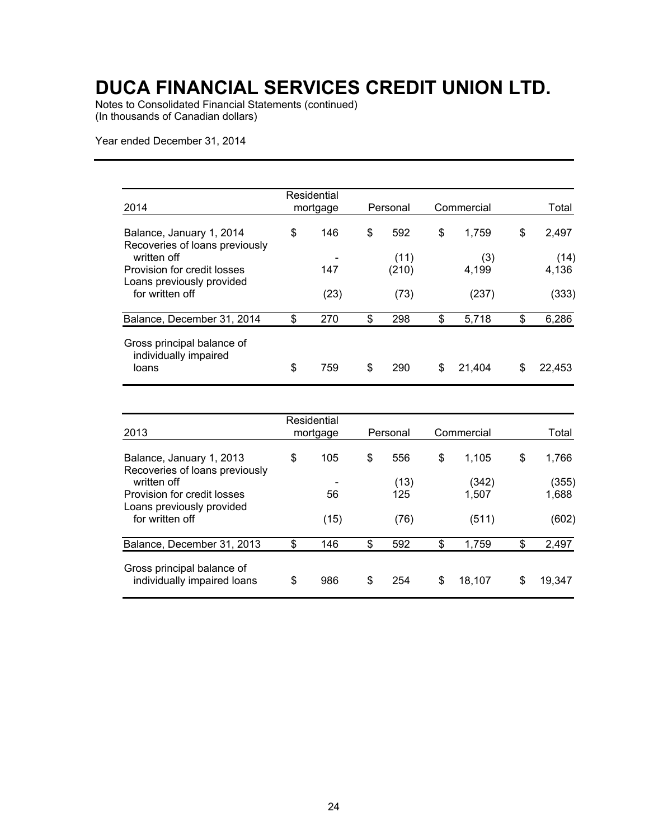Notes to Consolidated Financial Statements (continued) (In thousands of Canadian dollars)

Year ended December 31, 2014

| 2014                                                         | Residential<br>mortgage | Personal      | Commercial   | Total         |
|--------------------------------------------------------------|-------------------------|---------------|--------------|---------------|
| Balance, January 1, 2014<br>Recoveries of loans previously   | \$<br>146               | \$<br>592     | \$<br>1.759  | \$<br>2,497   |
| written off<br>Provision for credit losses                   | 147                     | (11)<br>(210) | (3)<br>4.199 | (14)<br>4,136 |
| Loans previously provided<br>for written off                 | (23)                    | (73)          | (237)        | (333)         |
| Balance, December 31, 2014                                   | \$<br>270               | \$<br>298     | \$<br>5,718  | \$<br>6,286   |
| Gross principal balance of<br>individually impaired<br>loans | \$<br>759               | \$<br>290     | \$<br>21.404 | \$<br>22,453  |

| 2013                                                                    | Residential<br>mortgage | Personal    | Commercial     | Total          |
|-------------------------------------------------------------------------|-------------------------|-------------|----------------|----------------|
| Balance, January 1, 2013<br>Recoveries of loans previously              | \$<br>105               | \$<br>556   | \$<br>1.105    | \$<br>1,766    |
| written off<br>Provision for credit losses<br>Loans previously provided | 56                      | (13)<br>125 | (342)<br>1,507 | (355)<br>1,688 |
| for written off                                                         | (15)                    | (76)        | (511)          | (602)          |
| Balance, December 31, 2013                                              | \$<br>146               | \$<br>592   | \$<br>1,759    | \$<br>2,497    |
| Gross principal balance of<br>individually impaired loans               | \$<br>986               | \$<br>254   | \$<br>18.107   | \$<br>19,347   |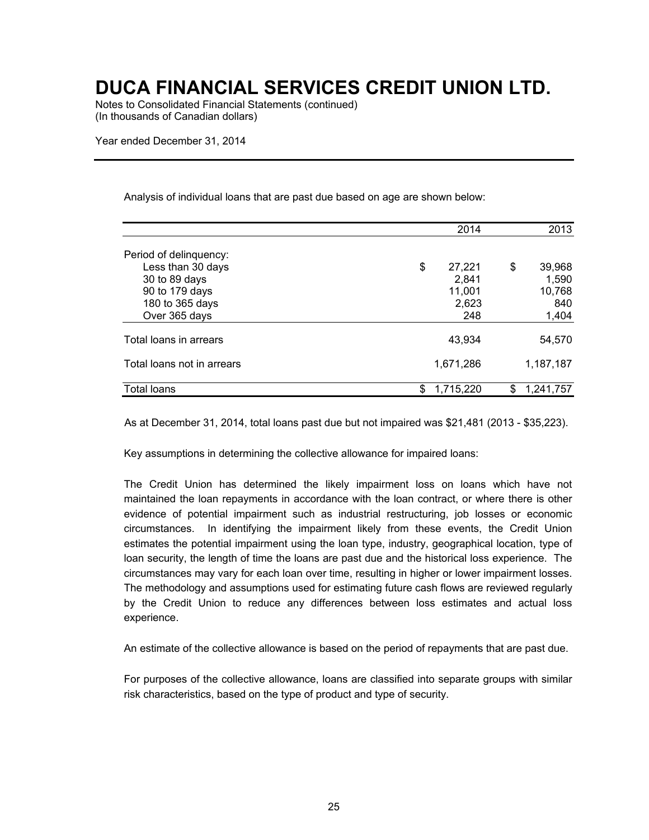Notes to Consolidated Financial Statements (continued) (In thousands of Canadian dollars)

Year ended December 31, 2014

Analysis of individual loans that are past due based on age are shown below:

|                            |                 | 2014  | 2013      |
|----------------------------|-----------------|-------|-----------|
| Period of delinquency:     |                 |       |           |
| Less than 30 days          | \$<br>27,221    | \$    | 39,968    |
| 30 to 89 days              |                 | 2,841 | 1,590     |
| 90 to 179 days             | 11,001          |       | 10,768    |
| 180 to 365 days            |                 | 2,623 | 840       |
| Over 365 days              |                 | 248   | 1,404     |
| Total loans in arrears     | 43,934          |       | 54.570    |
| Total loans not in arrears | 1,671,286       |       | 1,187,187 |
| Total loans                | \$<br>1.715.220 | \$    | 1.241.757 |

As at December 31, 2014, total loans past due but not impaired was \$21,481 (2013 - \$35,223).

Key assumptions in determining the collective allowance for impaired loans:

The Credit Union has determined the likely impairment loss on loans which have not maintained the loan repayments in accordance with the loan contract, or where there is other evidence of potential impairment such as industrial restructuring, job losses or economic circumstances. In identifying the impairment likely from these events, the Credit Union estimates the potential impairment using the loan type, industry, geographical location, type of loan security, the length of time the loans are past due and the historical loss experience. The circumstances may vary for each loan over time, resulting in higher or lower impairment losses. The methodology and assumptions used for estimating future cash flows are reviewed regularly by the Credit Union to reduce any differences between loss estimates and actual loss experience.

An estimate of the collective allowance is based on the period of repayments that are past due.

For purposes of the collective allowance, loans are classified into separate groups with similar risk characteristics, based on the type of product and type of security.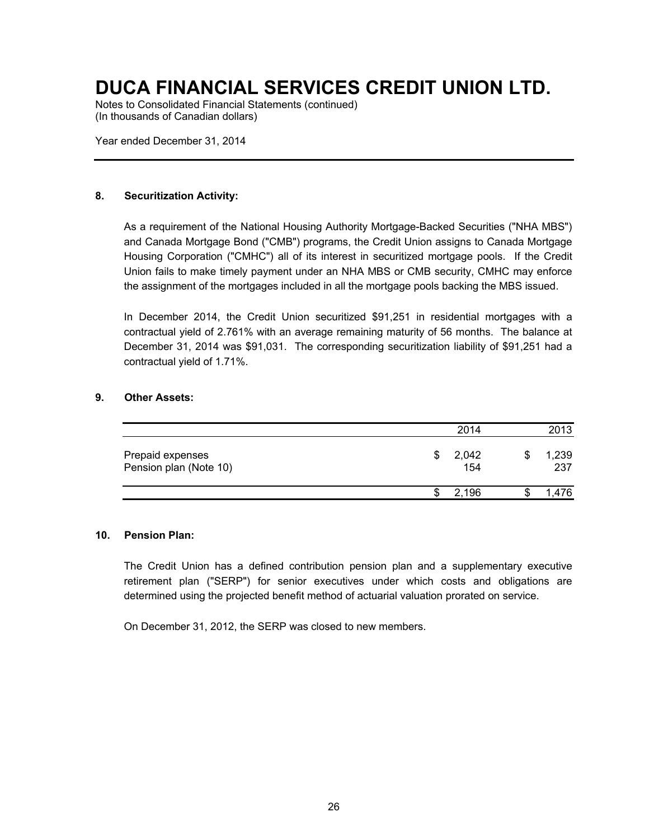Notes to Consolidated Financial Statements (continued) (In thousands of Canadian dollars)

Year ended December 31, 2014

#### **8. Securitization Activity:**

As a requirement of the National Housing Authority Mortgage-Backed Securities ("NHA MBS") and Canada Mortgage Bond ("CMB") programs, the Credit Union assigns to Canada Mortgage Housing Corporation ("CMHC") all of its interest in securitized mortgage pools. If the Credit Union fails to make timely payment under an NHA MBS or CMB security, CMHC may enforce the assignment of the mortgages included in all the mortgage pools backing the MBS issued.

In December 2014, the Credit Union securitized \$91,251 in residential mortgages with a contractual yield of 2.761% with an average remaining maturity of 56 months. The balance at December 31, 2014 was \$91,031. The corresponding securitization liability of \$91,251 had a contractual yield of 1.71%.

#### **9. Other Assets:**

|                                            |   | 2014         | 2013         |
|--------------------------------------------|---|--------------|--------------|
| Prepaid expenses<br>Pension plan (Note 10) | S | 2,042<br>154 | 1,239<br>237 |
|                                            |   | 2.196        | .476         |

#### **10. Pension Plan:**

The Credit Union has a defined contribution pension plan and a supplementary executive retirement plan ("SERP") for senior executives under which costs and obligations are determined using the projected benefit method of actuarial valuation prorated on service.

On December 31, 2012, the SERP was closed to new members.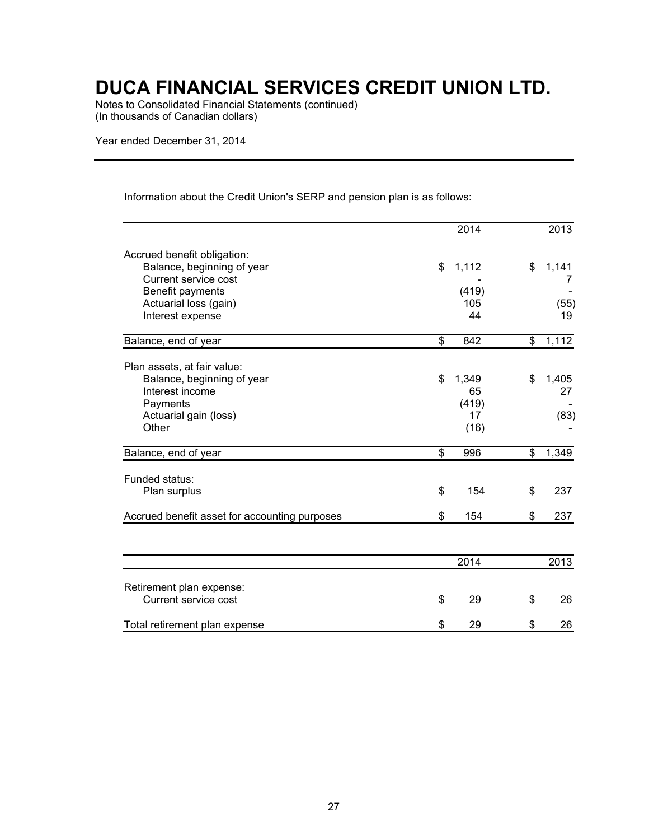Notes to Consolidated Financial Statements (continued) (In thousands of Canadian dollars)

Year ended December 31, 2014

Information about the Credit Union's SERP and pension plan is as follows:

|                                               | 2014        | 2013        |
|-----------------------------------------------|-------------|-------------|
| Accrued benefit obligation:                   |             |             |
| Balance, beginning of year                    | \$<br>1,112 | \$<br>1,141 |
| Current service cost                          |             | 7           |
| Benefit payments                              | (419)       |             |
| Actuarial loss (gain)                         | 105         | (55)        |
| Interest expense                              | 44          | 19          |
|                                               |             |             |
| Balance, end of year                          | \$<br>842   | \$<br>1,112 |
|                                               |             |             |
| Plan assets, at fair value:                   |             |             |
| Balance, beginning of year                    | \$<br>1,349 | \$<br>1,405 |
| Interest income                               | 65          | 27          |
| Payments                                      | (419)       |             |
| Actuarial gain (loss)                         | 17          | (83)        |
| Other                                         | (16)        |             |
| Balance, end of year                          | \$<br>996   | \$<br>1,349 |
| Funded status:                                |             |             |
| Plan surplus                                  | \$<br>154   | \$<br>237   |
|                                               |             |             |
| Accrued benefit asset for accounting purposes | \$<br>154   | \$<br>237   |
|                                               |             |             |
|                                               | 2014        | 2013        |
|                                               |             |             |
| Retirement plan expense:                      | \$          |             |
| Current service cost                          | 29          | \$<br>26    |
| Total retirement plan expense                 | \$<br>29    | \$<br>26    |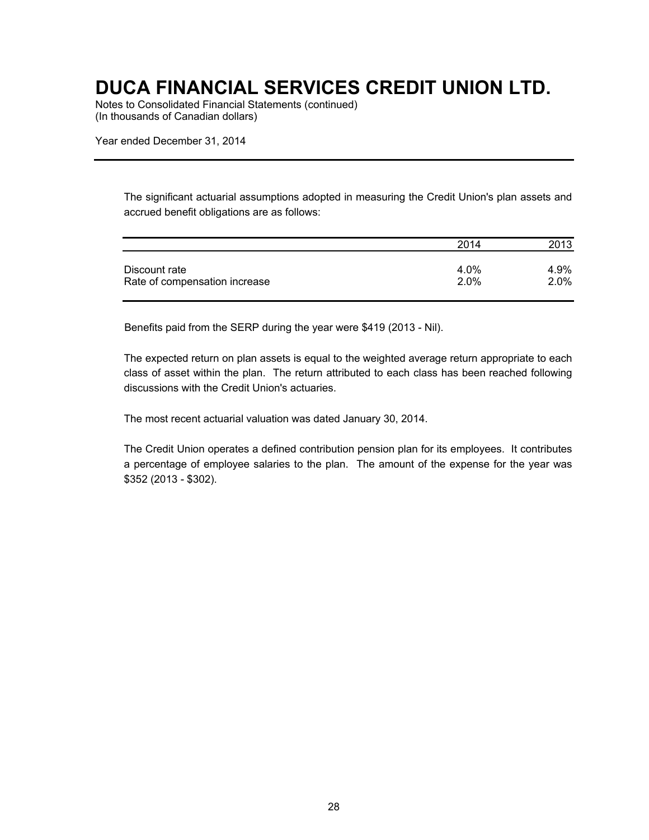Notes to Consolidated Financial Statements (continued) (In thousands of Canadian dollars)

Year ended December 31, 2014

The significant actuarial assumptions adopted in measuring the Credit Union's plan assets and accrued benefit obligations are as follows:

|                               | 2014 | 2013    |
|-------------------------------|------|---------|
| Discount rate                 | 4.0% | 4.9%    |
| Rate of compensation increase | 2.0% | $2.0\%$ |

Benefits paid from the SERP during the year were \$419 (2013 - Nil).

The expected return on plan assets is equal to the weighted average return appropriate to each class of asset within the plan. The return attributed to each class has been reached following discussions with the Credit Union's actuaries.

The most recent actuarial valuation was dated January 30, 2014.

The Credit Union operates a defined contribution pension plan for its employees. It contributes a percentage of employee salaries to the plan. The amount of the expense for the year was \$352 (2013 - \$302).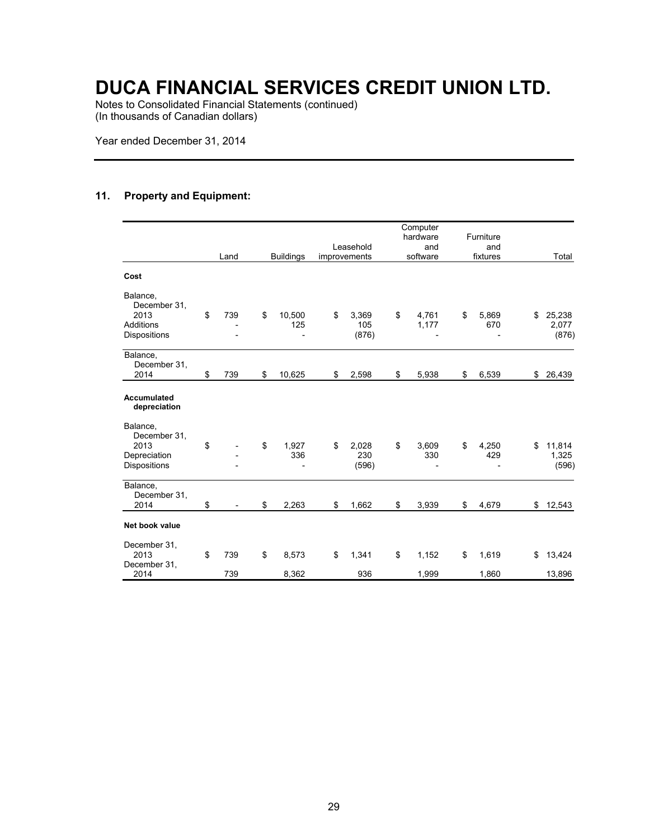Notes to Consolidated Financial Statements (continued) (In thousands of Canadian dollars)

Year ended December 31, 2014

### **11. Property and Equipment:**

|                                                                      | Land      | <b>Buildings</b>    | Leasehold<br>improvements   | Computer<br>hardware<br>and<br>software | Furniture<br>and<br>fixtures | Total                          |
|----------------------------------------------------------------------|-----------|---------------------|-----------------------------|-----------------------------------------|------------------------------|--------------------------------|
| Cost                                                                 |           |                     |                             |                                         |                              |                                |
| Balance,<br>December 31,<br>2013<br><b>Additions</b><br>Dispositions | \$<br>739 | \$<br>10,500<br>125 | \$<br>3,369<br>105<br>(876) | \$<br>4,761<br>1,177                    | \$<br>5,869<br>670           | \$<br>25,238<br>2,077<br>(876) |
| Balance,<br>December 31,<br>2014                                     | \$<br>739 | \$<br>10,625        | \$<br>2,598                 | \$<br>5,938                             | \$<br>6,539                  | \$<br>26,439                   |
| <b>Accumulated</b><br>depreciation                                   |           |                     |                             |                                         |                              |                                |
| Balance,<br>December 31,<br>2013<br>Depreciation<br>Dispositions     | \$        | \$<br>1,927<br>336  | \$<br>2,028<br>230<br>(596) | \$<br>3,609<br>330                      | \$<br>4,250<br>429           | \$<br>11,814<br>1,325<br>(596) |
| Balance,<br>December 31,<br>2014                                     | \$        | \$<br>2,263         | \$<br>1,662                 | \$<br>3,939                             | \$<br>4,679                  | \$12,543                       |
| Net book value                                                       |           |                     |                             |                                         |                              |                                |
| December 31,<br>2013<br>December 31,                                 | \$<br>739 | \$<br>8,573         | \$<br>1,341                 | \$<br>1,152                             | \$<br>1,619                  | \$<br>13,424                   |
| 2014                                                                 | 739       | 8,362               | 936                         | 1,999                                   | 1,860                        | 13,896                         |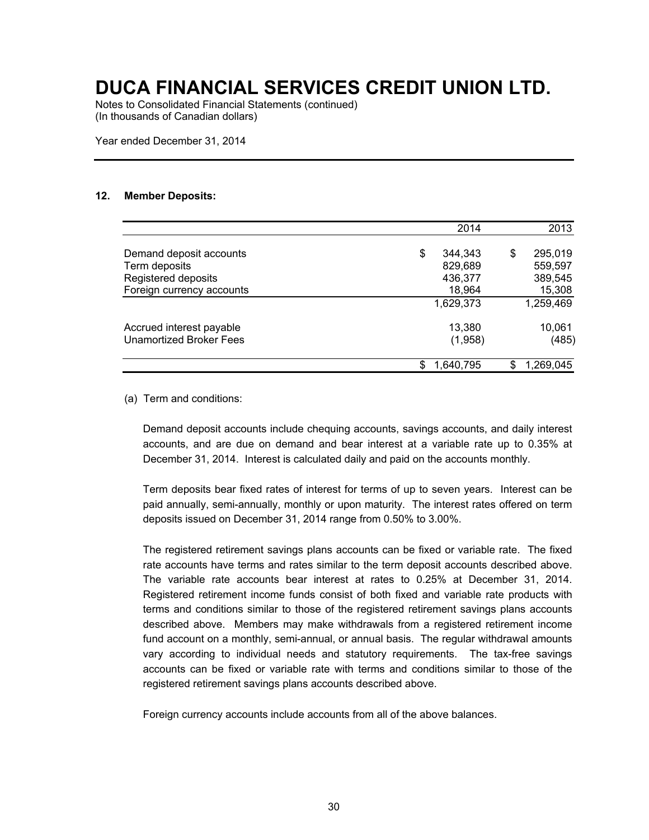Notes to Consolidated Financial Statements (continued) (In thousands of Canadian dollars)

Year ended December 31, 2014

#### **12. Member Deposits:**

|                                | 2014          |    | 2013      |
|--------------------------------|---------------|----|-----------|
| Demand deposit accounts        | \$<br>344,343 | \$ | 295,019   |
| Term deposits                  | 829,689       |    | 559,597   |
| Registered deposits            | 436,377       |    | 389,545   |
| Foreign currency accounts      | 18,964        |    | 15,308    |
|                                | 1,629,373     |    | 1,259,469 |
| Accrued interest payable       | 13,380        |    | 10,061    |
| <b>Unamortized Broker Fees</b> | (1,958)       |    | (485)     |
|                                | 1,640,795     | S  | 1,269,045 |

(a) Term and conditions:

Demand deposit accounts include chequing accounts, savings accounts, and daily interest accounts, and are due on demand and bear interest at a variable rate up to 0.35% at December 31, 2014. Interest is calculated daily and paid on the accounts monthly.

Term deposits bear fixed rates of interest for terms of up to seven years. Interest can be paid annually, semi-annually, monthly or upon maturity. The interest rates offered on term deposits issued on December 31, 2014 range from 0.50% to 3.00%.

The registered retirement savings plans accounts can be fixed or variable rate. The fixed rate accounts have terms and rates similar to the term deposit accounts described above. The variable rate accounts bear interest at rates to 0.25% at December 31, 2014. Registered retirement income funds consist of both fixed and variable rate products with terms and conditions similar to those of the registered retirement savings plans accounts described above. Members may make withdrawals from a registered retirement income fund account on a monthly, semi-annual, or annual basis. The regular withdrawal amounts vary according to individual needs and statutory requirements. The tax-free savings accounts can be fixed or variable rate with terms and conditions similar to those of the registered retirement savings plans accounts described above.

Foreign currency accounts include accounts from all of the above balances.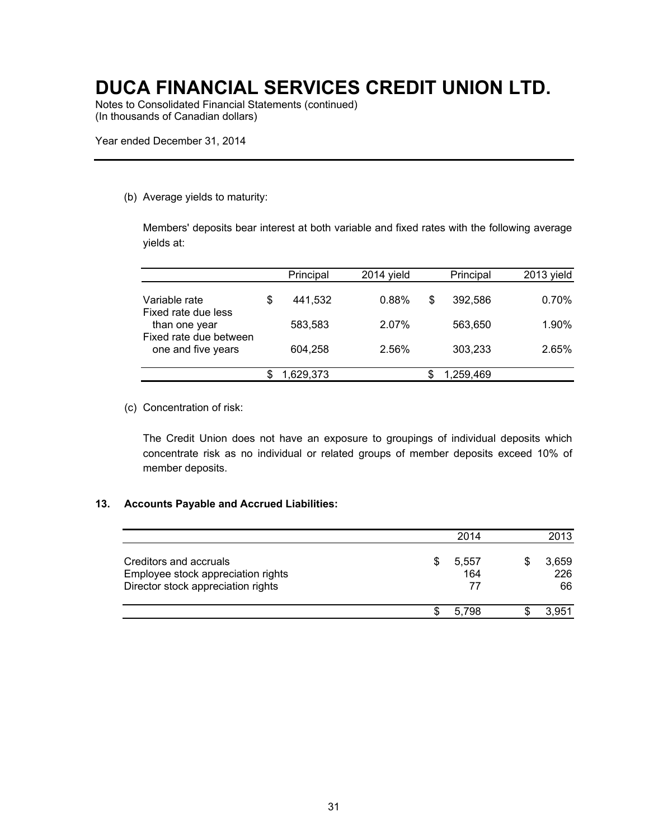Notes to Consolidated Financial Statements (continued) (In thousands of Canadian dollars)

Year ended December 31, 2014

#### (b) Average yields to maturity:

Members' deposits bear interest at both variable and fixed rates with the following average yields at:

|                                                               |   | Principal | $2014$ vield |         | Principal | 2013 yield |
|---------------------------------------------------------------|---|-----------|--------------|---------|-----------|------------|
| Variable rate<br>Fixed rate due less                          | S | 441,532   | 0.88%        | S       | 392.586   | 0.70%      |
| than one year<br>Fixed rate due between<br>one and five years |   | 583.583   | 2.07%        |         | 563.650   | 1.90%      |
|                                                               |   |           |              | 604.258 | 2.56%     |            |
|                                                               |   | 1,629,373 |              |         | 1,259,469 |            |

(c) Concentration of risk:

The Credit Union does not have an exposure to groupings of individual deposits which concentrate risk as no individual or related groups of member deposits exceed 10% of member deposits.

#### **13. Accounts Payable and Accrued Liabilities:**

|                                                                                                    |   | 2014               | 2013               |
|----------------------------------------------------------------------------------------------------|---|--------------------|--------------------|
| Creditors and accruals<br>Employee stock appreciation rights<br>Director stock appreciation rights | S | 5,557<br>164<br>77 | 3,659<br>226<br>66 |
|                                                                                                    |   | 5.798              | 3.951              |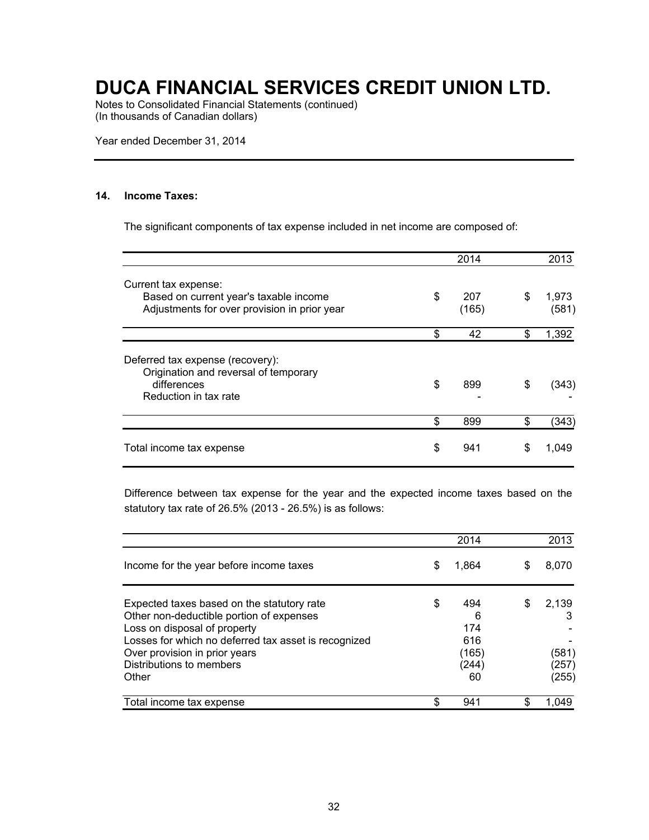Notes to Consolidated Financial Statements (continued) (In thousands of Canadian dollars)

Year ended December 31, 2014

#### **14. Income Taxes:**

The significant components of tax expense included in net income are composed of:

|                                                                                                                   |           | 2014         |    | 2013           |
|-------------------------------------------------------------------------------------------------------------------|-----------|--------------|----|----------------|
| Current tax expense:<br>Based on current year's taxable income<br>Adjustments for over provision in prior year    | \$        | 207<br>(165) | \$ | 1,973<br>(581) |
|                                                                                                                   | \$        | 42           | \$ | 1,392          |
| Deferred tax expense (recovery):<br>Origination and reversal of temporary<br>differences<br>Reduction in tax rate | \$<br>899 |              | \$ | (343)          |
|                                                                                                                   | \$        | 899          | \$ | (343)          |
| Total income tax expense                                                                                          | \$        | 941          | S  | 1.049          |

Difference between tax expense for the year and the expected income taxes based on the statutory tax rate of 26.5% (2013 - 26.5%) is as follows:

|                                                                                                                                                                                                                                                      |    | 2014                                           |   | 2013                             |
|------------------------------------------------------------------------------------------------------------------------------------------------------------------------------------------------------------------------------------------------------|----|------------------------------------------------|---|----------------------------------|
| Income for the year before income taxes                                                                                                                                                                                                              | S  | 1.864                                          | S | 8,070                            |
| Expected taxes based on the statutory rate<br>Other non-deductible portion of expenses<br>Loss on disposal of property<br>Losses for which no deferred tax asset is recognized<br>Over provision in prior years<br>Distributions to members<br>Other | \$ | 494<br>6<br>174<br>616<br>(165)<br>(244)<br>60 | S | 2.139<br>(581)<br>(257)<br>(255) |
| Total income tax expense                                                                                                                                                                                                                             | S  | 941                                            | S | 1.049                            |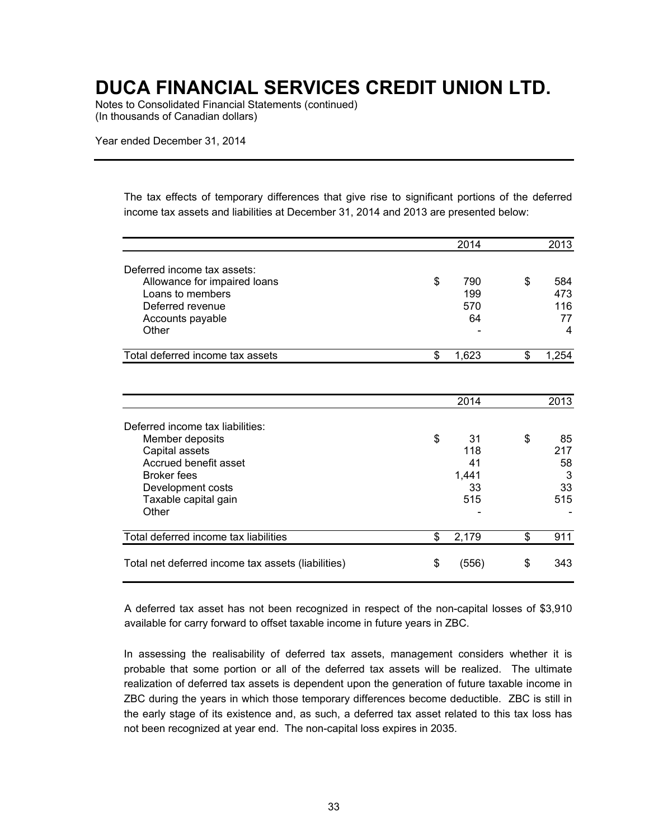Notes to Consolidated Financial Statements (continued) (In thousands of Canadian dollars)

Year ended December 31, 2014

The tax effects of temporary differences that give rise to significant portions of the deferred income tax assets and liabilities at December 31, 2014 and 2013 are presented below:

|                                                    | 2014        | 2013        |
|----------------------------------------------------|-------------|-------------|
| Deferred income tax assets:                        |             |             |
| Allowance for impaired loans                       | \$<br>790   | \$<br>584   |
| Loans to members                                   | 199         | 473         |
| Deferred revenue                                   | 570         | 116         |
| Accounts payable                                   | 64          | 77          |
| Other                                              |             | 4           |
| Total deferred income tax assets                   | \$<br>1,623 | \$<br>1,254 |
|                                                    |             |             |
|                                                    | 2014        | 2013        |
| Deferred income tax liabilities:                   |             |             |
| Member deposits                                    | \$<br>31    | \$<br>85    |
| Capital assets                                     | 118         | 217         |
| Accrued benefit asset                              | 41          | 58          |
| <b>Broker fees</b>                                 | 1,441       | 3           |
| Development costs                                  | 33          | 33          |
| Taxable capital gain                               | 515         | 515         |
| Other                                              |             |             |
| Total deferred income tax liabilities              | \$<br>2,179 | \$<br>911   |
| Total net deferred income tax assets (liabilities) | \$<br>(556) | \$<br>343   |

A deferred tax asset has not been recognized in respect of the non-capital losses of \$3,910 available for carry forward to offset taxable income in future years in ZBC.

In assessing the realisability of deferred tax assets, management considers whether it is probable that some portion or all of the deferred tax assets will be realized. The ultimate realization of deferred tax assets is dependent upon the generation of future taxable income in ZBC during the years in which those temporary differences become deductible. ZBC is still in the early stage of its existence and, as such, a deferred tax asset related to this tax loss has not been recognized at year end. The non-capital loss expires in 2035.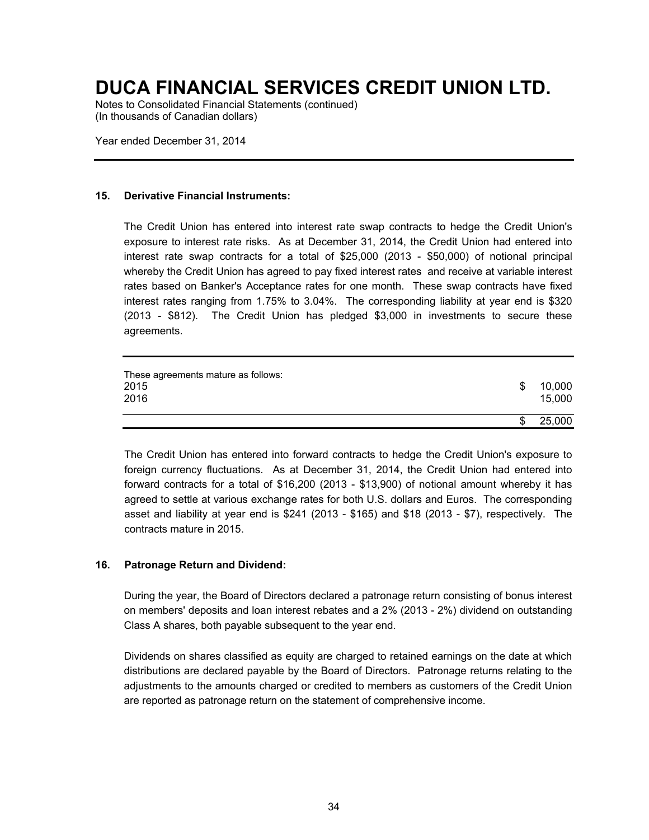Notes to Consolidated Financial Statements (continued) (In thousands of Canadian dollars)

Year ended December 31, 2014

#### **15. Derivative Financial Instruments:**

The Credit Union has entered into interest rate swap contracts to hedge the Credit Union's exposure to interest rate risks. As at December 31, 2014, the Credit Union had entered into interest rate swap contracts for a total of \$25,000 (2013 - \$50,000) of notional principal whereby the Credit Union has agreed to pay fixed interest rates and receive at variable interest rates based on Banker's Acceptance rates for one month. These swap contracts have fixed interest rates ranging from 1.75% to 3.04%. The corresponding liability at year end is \$320 (2013 - \$812). The Credit Union has pledged \$3,000 in investments to secure these agreements.

| These agreements mature as follows:<br>2015<br>2016 | \$<br>10,000<br>15,000 |
|-----------------------------------------------------|------------------------|
|                                                     | \$<br>25,000           |

The Credit Union has entered into forward contracts to hedge the Credit Union's exposure to foreign currency fluctuations. As at December 31, 2014, the Credit Union had entered into forward contracts for a total of \$16,200 (2013 - \$13,900) of notional amount whereby it has agreed to settle at various exchange rates for both U.S. dollars and Euros. The corresponding asset and liability at year end is \$241 (2013 - \$165) and \$18 (2013 - \$7), respectively. The contracts mature in 2015.

#### **16. Patronage Return and Dividend:**

During the year, the Board of Directors declared a patronage return consisting of bonus interest on members' deposits and loan interest rebates and a 2% (2013 - 2%) dividend on outstanding Class A shares, both payable subsequent to the year end.

Dividends on shares classified as equity are charged to retained earnings on the date at which distributions are declared payable by the Board of Directors. Patronage returns relating to the adjustments to the amounts charged or credited to members as customers of the Credit Union are reported as patronage return on the statement of comprehensive income.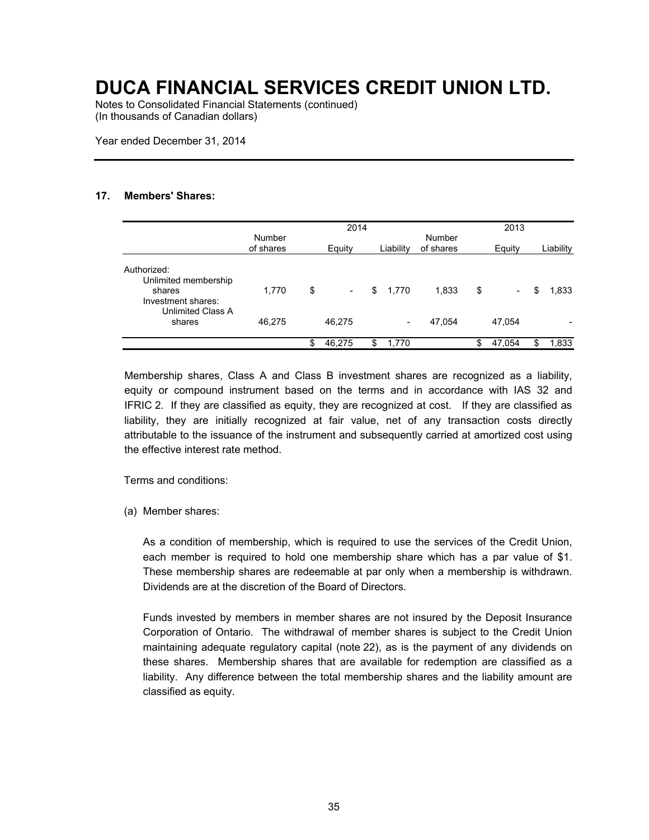Notes to Consolidated Financial Statements (continued) (In thousands of Canadian dollars)

Year ended December 31, 2014

#### **17. Members' Shares:**

|                                                          |                     | 2014   |                          |    |           |                     |    |                          |    | 2013      |  |  |  |  |
|----------------------------------------------------------|---------------------|--------|--------------------------|----|-----------|---------------------|----|--------------------------|----|-----------|--|--|--|--|
|                                                          | Number<br>of shares | Equity |                          |    | Liability | Number<br>of shares |    | Equity                   |    | Liability |  |  |  |  |
| Authorized:<br>Unlimited membership                      |                     |        |                          |    |           |                     |    |                          |    |           |  |  |  |  |
| shares<br>Investment shares:<br><b>Unlimited Class A</b> | 1,770               | \$     | $\overline{\phantom{a}}$ | \$ | 1,770     | 1,833               | \$ | $\overline{\phantom{a}}$ | \$ | 1,833     |  |  |  |  |
| shares                                                   | 46,275              |        | 46,275                   |    | -         | 47,054              |    | 47.054                   |    |           |  |  |  |  |
|                                                          |                     | \$     | 46,275                   |    | 1,770     |                     | \$ | 47,054                   | \$ | 1,833     |  |  |  |  |

Membership shares, Class A and Class B investment shares are recognized as a liability, equity or compound instrument based on the terms and in accordance with IAS 32 and IFRIC 2. If they are classified as equity, they are recognized at cost. If they are classified as liability, they are initially recognized at fair value, net of any transaction costs directly attributable to the issuance of the instrument and subsequently carried at amortized cost using the effective interest rate method.

Terms and conditions:

(a) Member shares:

As a condition of membership, which is required to use the services of the Credit Union, each member is required to hold one membership share which has a par value of \$1. These membership shares are redeemable at par only when a membership is withdrawn. Dividends are at the discretion of the Board of Directors.

Funds invested by members in member shares are not insured by the Deposit Insurance Corporation of Ontario. The withdrawal of member shares is subject to the Credit Union maintaining adequate regulatory capital (note 22), as is the payment of any dividends on these shares. Membership shares that are available for redemption are classified as a liability. Any difference between the total membership shares and the liability amount are classified as equity.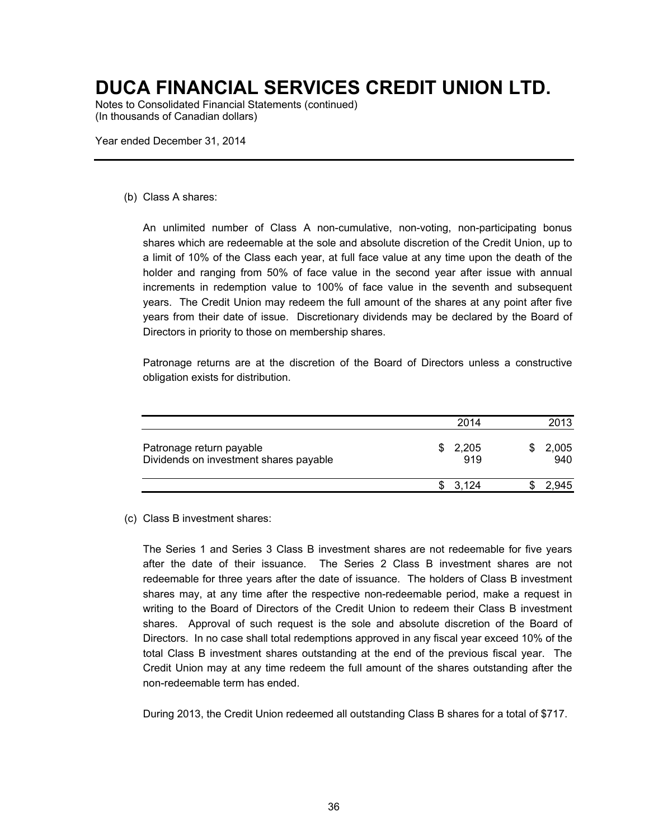Notes to Consolidated Financial Statements (continued) (In thousands of Canadian dollars)

Year ended December 31, 2014

#### (b) Class A shares:

An unlimited number of Class A non-cumulative, non-voting, non-participating bonus shares which are redeemable at the sole and absolute discretion of the Credit Union, up to a limit of 10% of the Class each year, at full face value at any time upon the death of the holder and ranging from 50% of face value in the second year after issue with annual increments in redemption value to 100% of face value in the seventh and subsequent years. The Credit Union may redeem the full amount of the shares at any point after five years from their date of issue. Discretionary dividends may be declared by the Board of Directors in priority to those on membership shares.

Patronage returns are at the discretion of the Board of Directors unless a constructive obligation exists for distribution.

|                                                                    |    | 2014         |   | 2013         |
|--------------------------------------------------------------------|----|--------------|---|--------------|
| Patronage return payable<br>Dividends on investment shares payable | S. | 2,205<br>919 |   | 2,005<br>940 |
|                                                                    |    | \$3.124      | Œ |              |

#### (c) Class B investment shares:

The Series 1 and Series 3 Class B investment shares are not redeemable for five years after the date of their issuance. The Series 2 Class B investment shares are not redeemable for three years after the date of issuance. The holders of Class B investment shares may, at any time after the respective non-redeemable period, make a request in writing to the Board of Directors of the Credit Union to redeem their Class B investment shares. Approval of such request is the sole and absolute discretion of the Board of Directors. In no case shall total redemptions approved in any fiscal year exceed 10% of the total Class B investment shares outstanding at the end of the previous fiscal year. The Credit Union may at any time redeem the full amount of the shares outstanding after the non-redeemable term has ended.

During 2013, the Credit Union redeemed all outstanding Class B shares for a total of \$717.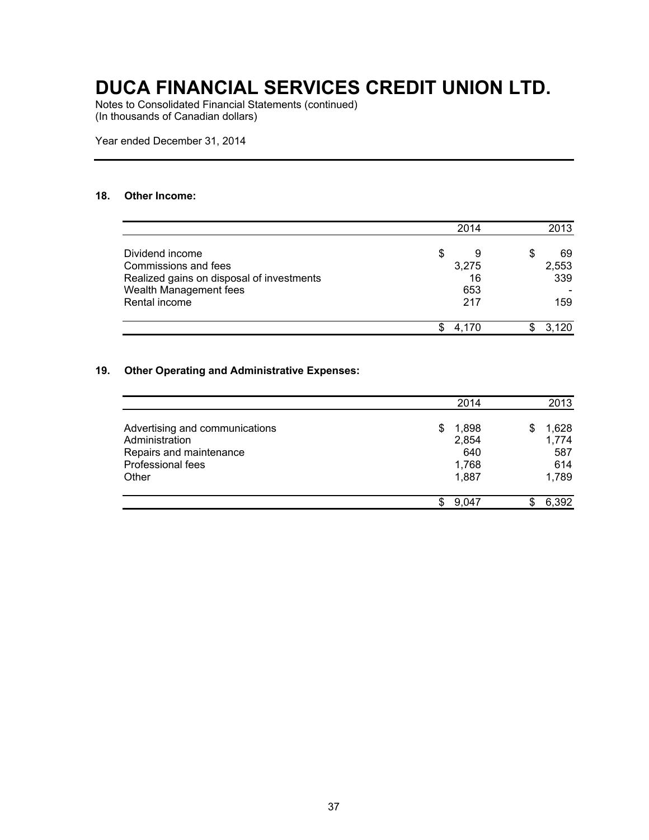Notes to Consolidated Financial Statements (continued) (In thousands of Canadian dollars)

Year ended December 31, 2014

#### **18. Other Income:**

|                                           | 2014    | 2013     |
|-------------------------------------------|---------|----------|
| Dividend income                           | \$<br>9 | \$<br>69 |
| Commissions and fees                      | 3,275   | 2,553    |
| Realized gains on disposal of investments | 16      | 339      |
| Wealth Management fees                    | 653     |          |
| Rental income                             | 217     | 159      |
|                                           | 4.170   | 3.120    |

#### **19. Other Operating and Administrative Expenses:**

|                                |    | 2014  |   | 2013  |
|--------------------------------|----|-------|---|-------|
| Advertising and communications | S. | 1,898 | S | 1,628 |
| Administration                 |    | 2,854 |   | 1,774 |
| Repairs and maintenance        |    | 640   |   | 587   |
| Professional fees              |    | 1,768 |   | 614   |
| Other                          |    | 1,887 |   | 1,789 |
|                                |    | 9.047 | S | 6.392 |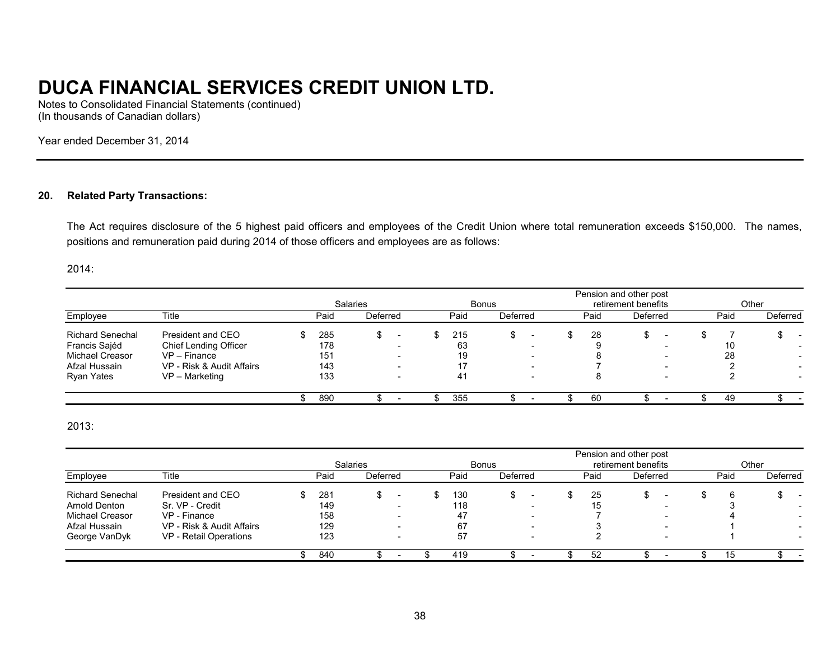Notes to Consolidated Financial Statements (continued) (In thousands of Canadian dollars)

Year ended December 31, 2014

#### **20. Related Party Transactions:**

The Act requires disclosure of the 5 highest paid officers and employees of the Credit Union where total remuneration exceeds \$150,000. The names, positions and remuneration paid during 2014 of those officers and employees are as follows:

2014:

|                         |                           |  |      |                 |              |  |      |          |                     |  |      | Pension and other post |                          |  |      |          |
|-------------------------|---------------------------|--|------|-----------------|--------------|--|------|----------|---------------------|--|------|------------------------|--------------------------|--|------|----------|
|                         |                           |  |      | <b>Salaries</b> | <b>Bonus</b> |  |      |          | retirement benefits |  |      |                        | Other                    |  |      |          |
| Employee                | Title                     |  | Paid | Deferred        |              |  | Paid | Deferred |                     |  | Paid | Deferred               |                          |  | Paid | Deferred |
| <b>Richard Senechal</b> | President and CEO         |  | 285  |                 |              |  | 215  |          |                     |  | 28   |                        |                          |  |      |          |
| Francis Sajéd           | Chief Lending Officer     |  | 178  |                 | -            |  | 63   |          | -                   |  |      |                        | $\overline{\phantom{0}}$ |  | 10   | -        |
| <b>Michael Creasor</b>  | $VP - Finance$            |  | 151  |                 | -            |  | 19   |          | -                   |  |      |                        |                          |  | 28   |          |
| Afzal Hussain           | VP - Risk & Audit Affairs |  | 143  |                 |              |  |      |          |                     |  |      |                        |                          |  |      |          |
| <b>Ryan Yates</b>       | VP - Marketing            |  | 133  |                 | -            |  | -41  |          | -                   |  |      |                        |                          |  |      |          |
|                         |                           |  | 890  |                 |              |  | 355  |          |                     |  | 60   |                        |                          |  | 49   |          |

#### 2013:

|                         |                           |      |                 |  |      |              |                          |  |      | Pension and other post |                          |  |      |                          |
|-------------------------|---------------------------|------|-----------------|--|------|--------------|--------------------------|--|------|------------------------|--------------------------|--|------|--------------------------|
|                         |                           |      | <b>Salaries</b> |  |      | <b>Bonus</b> | retirement benefits      |  |      |                        | Other                    |  |      |                          |
| Employee                | Title                     | Paid | Deferred        |  | Paid | Deferred     |                          |  | Paid | Deferred               |                          |  | Paid | Deferred                 |
| <b>Richard Senechal</b> | President and CEO         | 281  |                 |  | 130  |              |                          |  | 25   |                        |                          |  |      |                          |
| <b>Arnold Denton</b>    | Sr. VP - Credit           | 149  |                 |  | 118  |              |                          |  | 15   |                        |                          |  |      |                          |
| <b>Michael Creasor</b>  | VP - Finance              | 158  |                 |  | 47   |              | $\overline{\phantom{0}}$ |  |      |                        | $\overline{\phantom{0}}$ |  |      | $\overline{\phantom{a}}$ |
| Afzal Hussain           | VP - Risk & Audit Affairs | 129  |                 |  | 67   |              |                          |  |      |                        |                          |  |      |                          |
| George VanDyk           | VP - Retail Operations    | 123  |                 |  | 57   |              | $\overline{\phantom{0}}$ |  |      |                        |                          |  |      |                          |
|                         |                           | 840  |                 |  | 419  |              |                          |  | 52   |                        |                          |  | 15   |                          |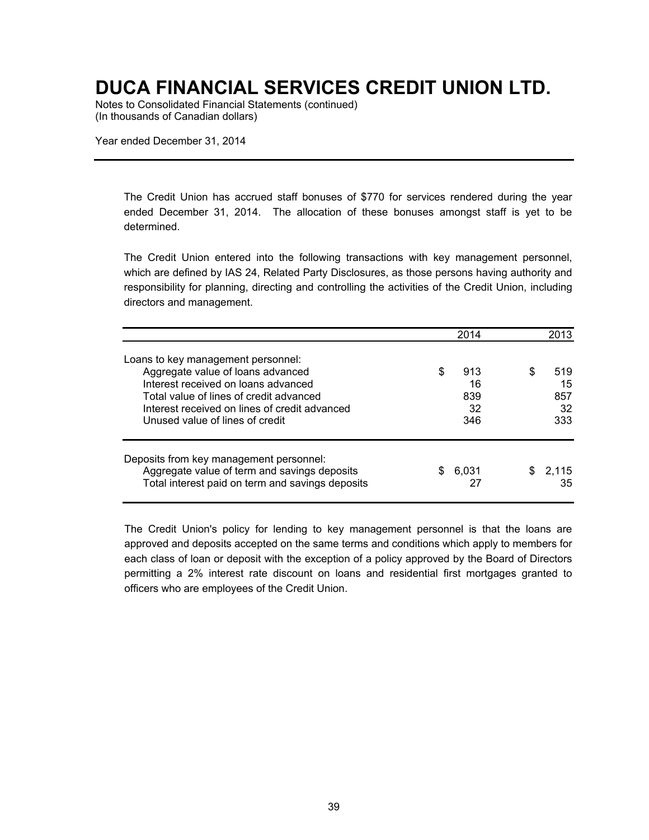Notes to Consolidated Financial Statements (continued) (In thousands of Canadian dollars)

Year ended December 31, 2014

The Credit Union has accrued staff bonuses of \$770 for services rendered during the year ended December 31, 2014. The allocation of these bonuses amongst staff is yet to be determined.

The Credit Union entered into the following transactions with key management personnel, which are defined by IAS 24, Related Party Disclosures, as those persons having authority and responsibility for planning, directing and controlling the activities of the Credit Union, including directors and management.

|                                                                                                                                                                                                                                               |   | 2014                          |     | 2013                          |
|-----------------------------------------------------------------------------------------------------------------------------------------------------------------------------------------------------------------------------------------------|---|-------------------------------|-----|-------------------------------|
| Loans to key management personnel:<br>Aggregate value of loans advanced<br>Interest received on loans advanced<br>Total value of lines of credit advanced<br>Interest received on lines of credit advanced<br>Unused value of lines of credit | S | 913<br>16<br>839<br>32<br>346 | S   | 519<br>15<br>857<br>32<br>333 |
| Deposits from key management personnel:<br>Aggregate value of term and savings deposits<br>Total interest paid on term and savings deposits                                                                                                   |   | 6.031<br>27                   | SS. | 2.115<br>35                   |

The Credit Union's policy for lending to key management personnel is that the loans are approved and deposits accepted on the same terms and conditions which apply to members for each class of loan or deposit with the exception of a policy approved by the Board of Directors permitting a 2% interest rate discount on loans and residential first mortgages granted to officers who are employees of the Credit Union.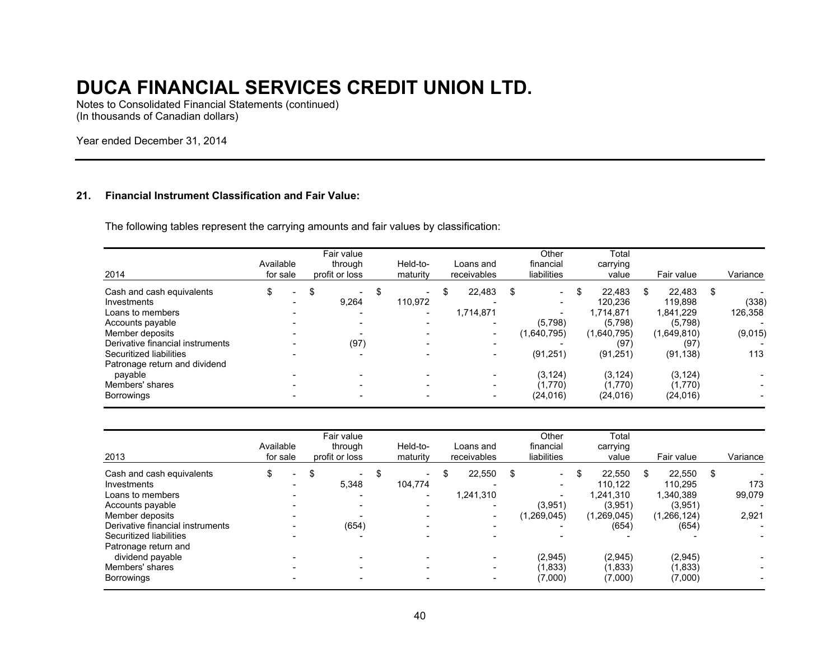Notes to Consolidated Financial Statements (continued) (In thousands of Canadian dollars)

Year ended December 31, 2014

#### **21. Financial Instrument Classification and Fair Value:**

The following tables represent the carrying amounts and fair values by classification:

| 2014                             | Available<br>for sale |                          | Fair value<br>through<br>profit or loss | Held-to-<br>maturity           | Loans and<br>receivables | Other<br>financial<br>liabilities | Total<br>carrying<br>value |   | Fair value  |     | Variance |
|----------------------------------|-----------------------|--------------------------|-----------------------------------------|--------------------------------|--------------------------|-----------------------------------|----------------------------|---|-------------|-----|----------|
| Cash and cash equivalents        | \$                    | $\overline{\phantom{a}}$ | \$<br>۰.                                | \$<br>$\overline{\phantom{a}}$ | \$<br>22,483             | \$<br>$\overline{\phantom{0}}$    | \$<br>22.483               | S | 22.483      | \$. |          |
| Investments                      |                       | -                        | 9.264                                   | 110.972                        | -                        | $\overline{\phantom{a}}$          | 120.236                    |   | 119.898     |     | (338)    |
| Loans to members                 |                       |                          | -                                       | $\blacksquare$                 | 1,714,871                | $\blacksquare$                    | 1.714.871                  |   | 1.841.229   |     | 126,358  |
| Accounts payable                 |                       |                          |                                         | $\overline{\phantom{0}}$       |                          | (5,798)                           | (5,798)                    |   | (5,798)     |     |          |
| Member deposits                  |                       |                          |                                         |                                |                          | (1,640,795)                       | (1,640,795)                |   | (1,649,810) |     | (9,015)  |
| Derivative financial instruments |                       |                          | (97)                                    | -                              |                          |                                   | (97)                       |   | (97)        |     |          |
| Securitized liabilities          |                       |                          |                                         | $\overline{\phantom{0}}$       |                          | (91, 251)                         | (91, 251)                  |   | (91, 138)   |     | 113      |
| Patronage return and dividend    |                       |                          |                                         |                                |                          |                                   |                            |   |             |     |          |
| payable                          |                       |                          |                                         |                                |                          | (3.124)                           | (3, 124)                   |   | (3, 124)    |     |          |
| Members' shares                  |                       |                          |                                         | $\sim$                         | -                        | (1,770)                           | (1,770)                    |   | (1,770)     |     |          |
| <b>Borrowings</b>                |                       |                          |                                         | -                              |                          | (24.016)                          | (24, 016)                  |   | (24, 016)   |     |          |

| 2013                                                                                                                                                               | Available<br>for sale |                | Fair value<br>through<br>profit or loss | Held-to-<br>maturity                                                  | Loans and<br>receivables  | Other<br>financial<br>liabilities                                                                                          |    | Total<br>carrying<br>value                                        |    | Fair value                                                        |      | Variance               |
|--------------------------------------------------------------------------------------------------------------------------------------------------------------------|-----------------------|----------------|-----------------------------------------|-----------------------------------------------------------------------|---------------------------|----------------------------------------------------------------------------------------------------------------------------|----|-------------------------------------------------------------------|----|-------------------------------------------------------------------|------|------------------------|
| Cash and cash equivalents<br>Investments<br>Loans to members<br>Accounts payable<br>Member deposits<br>Derivative financial instruments<br>Securitized liabilities | \$                    | $\blacksquare$ | \$<br>$\sim$<br>5.348<br>(654)          | \$<br>$\overline{\phantom{0}}$<br>104.774<br>$\overline{\phantom{a}}$ | \$<br>22.550<br>1,241,310 | \$<br>$\sim$<br>$\overline{\phantom{0}}$<br>$\overline{\phantom{a}}$<br>(3,951)<br>(1,269,045)<br>$\overline{\phantom{0}}$ | £. | 22.550<br>110.122<br>1.241.310<br>(3,951)<br>(1,269,045)<br>(654) | S. | 22,550<br>110,295<br>1,340,389<br>(3.951)<br>(1,266,124)<br>(654) | - \$ | 173<br>99,079<br>2,921 |
| Patronage return and<br>dividend payable<br>Members' shares<br>Borrowings                                                                                          |                       |                | -                                       | $\overline{\phantom{0}}$                                              | $\overline{\phantom{a}}$  | (2,945)<br>(1,833)<br>(7,000)                                                                                              |    | (2,945)<br>(1,833)<br>(7,000)                                     |    | (2,945)<br>(1,833)<br>(7,000)                                     |      |                        |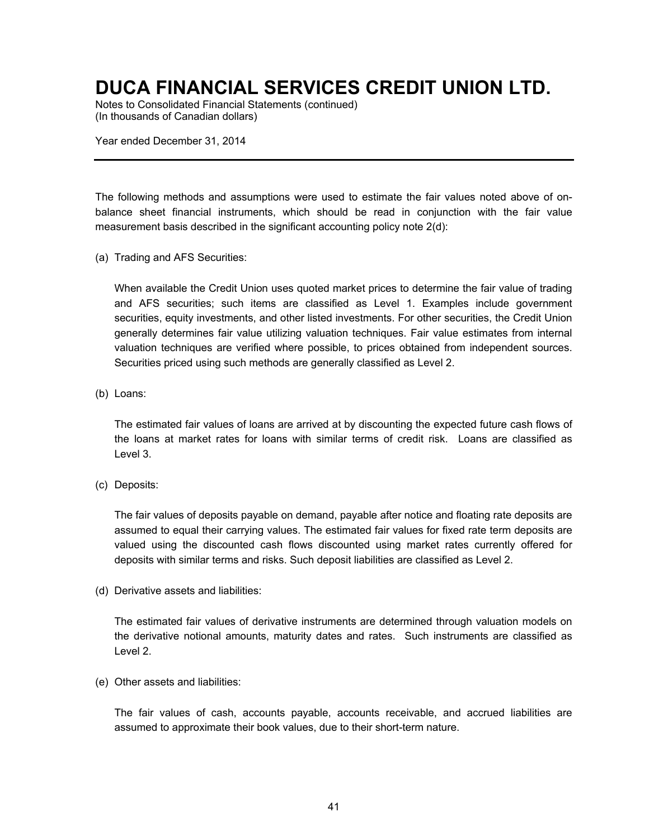Notes to Consolidated Financial Statements (continued) (In thousands of Canadian dollars)

Year ended December 31, 2014

The following methods and assumptions were used to estimate the fair values noted above of onbalance sheet financial instruments, which should be read in conjunction with the fair value measurement basis described in the significant accounting policy note 2(d):

(a) Trading and AFS Securities:

When available the Credit Union uses quoted market prices to determine the fair value of trading and AFS securities; such items are classified as Level 1. Examples include government securities, equity investments, and other listed investments. For other securities, the Credit Union generally determines fair value utilizing valuation techniques. Fair value estimates from internal valuation techniques are verified where possible, to prices obtained from independent sources. Securities priced using such methods are generally classified as Level 2.

(b) Loans:

The estimated fair values of loans are arrived at by discounting the expected future cash flows of the loans at market rates for loans with similar terms of credit risk. Loans are classified as Level 3.

(c) Deposits:

The fair values of deposits payable on demand, payable after notice and floating rate deposits are assumed to equal their carrying values. The estimated fair values for fixed rate term deposits are valued using the discounted cash flows discounted using market rates currently offered for deposits with similar terms and risks. Such deposit liabilities are classified as Level 2.

(d) Derivative assets and liabilities:

The estimated fair values of derivative instruments are determined through valuation models on the derivative notional amounts, maturity dates and rates. Such instruments are classified as Level 2.

(e) Other assets and liabilities:

The fair values of cash, accounts payable, accounts receivable, and accrued liabilities are assumed to approximate their book values, due to their short-term nature.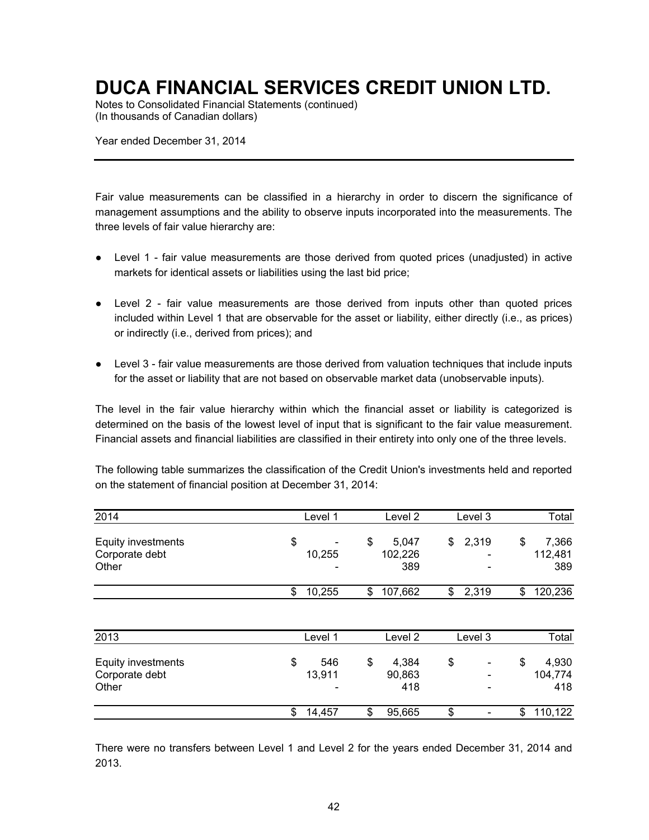Notes to Consolidated Financial Statements (continued) (In thousands of Canadian dollars)

Year ended December 31, 2014

Fair value measurements can be classified in a hierarchy in order to discern the significance of management assumptions and the ability to observe inputs incorporated into the measurements. The three levels of fair value hierarchy are:

- Level 1 fair value measurements are those derived from quoted prices (unadjusted) in active markets for identical assets or liabilities using the last bid price;
- Level 2 fair value measurements are those derived from inputs other than quoted prices included within Level 1 that are observable for the asset or liability, either directly (i.e., as prices) or indirectly (i.e., derived from prices); and
- Level 3 fair value measurements are those derived from valuation techniques that include inputs for the asset or liability that are not based on observable market data (unobservable inputs).

The level in the fair value hierarchy within which the financial asset or liability is categorized is determined on the basis of the lowest level of input that is significant to the fair value measurement. Financial assets and financial liabilities are classified in their entirety into only one of the three levels.

The following table summarizes the classification of the Credit Union's investments held and reported on the statement of financial position at December 31, 2014:

| 2014                                                 | Level 1             | Level <sub>2</sub>            | Level 3                        | Total                         |
|------------------------------------------------------|---------------------|-------------------------------|--------------------------------|-------------------------------|
| <b>Equity investments</b><br>Corporate debt<br>Other | \$<br>10,255        | \$<br>5,047<br>102,226<br>389 | \$<br>2,319<br>۰               | 7,366<br>\$<br>112,481<br>389 |
|                                                      | \$<br>10,255        | 107,662<br>\$                 | \$<br>2,319                    | 120,236<br>\$                 |
| 2013                                                 | Level 1             | Level <sub>2</sub>            | Level 3                        | Total                         |
| Equity investments<br>Corporate debt<br>Other        | \$<br>546<br>13,911 | \$<br>4,384<br>90,863<br>418  | \$<br>$\overline{\phantom{a}}$ | \$<br>4,930<br>104,774<br>418 |
|                                                      | \$<br>14,457        | \$<br>95,665                  | \$                             | 110,122<br>\$                 |

There were no transfers between Level 1 and Level 2 for the years ended December 31, 2014 and 2013.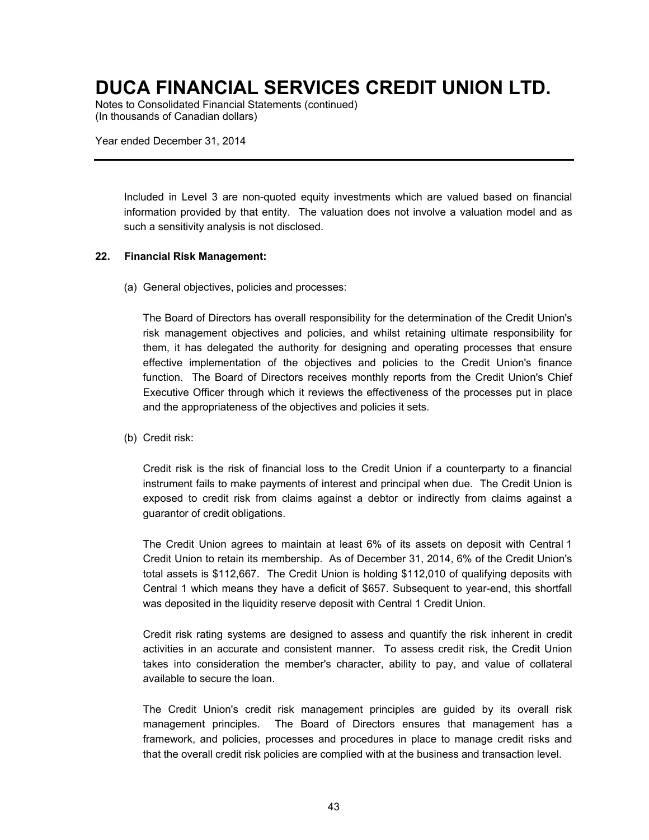Notes to Consolidated Financial Statements (continued) (In thousands of Canadian dollars)

Year ended December 31, 2014

Included in Level 3 are non-quoted equity investments which are valued based on financial information provided by that entity. The valuation does not involve a valuation model and as such a sensitivity analysis is not disclosed.

#### **22. Financial Risk Management:**

(a) General objectives, policies and processes:

The Board of Directors has overall responsibility for the determination of the Credit Union's risk management objectives and policies, and whilst retaining ultimate responsibility for them, it has delegated the authority for designing and operating processes that ensure effective implementation of the objectives and policies to the Credit Union's finance function. The Board of Directors receives monthly reports from the Credit Union's Chief Executive Officer through which it reviews the effectiveness of the processes put in place and the appropriateness of the objectives and policies it sets.

(b) Credit risk:

Credit risk is the risk of financial loss to the Credit Union if a counterparty to a financial instrument fails to make payments of interest and principal when due. The Credit Union is exposed to credit risk from claims against a debtor or indirectly from claims against a guarantor of credit obligations.

The Credit Union agrees to maintain at least 6% of its assets on deposit with Central 1 Credit Union to retain its membership. As of December 31, 2014, 6% of the Credit Union's total assets is \$112,667. The Credit Union is holding \$112,010 of qualifying deposits with Central 1 which means they have a deficit of \$657. Subsequent to year-end, this shortfall was deposited in the liquidity reserve deposit with Central 1 Credit Union.

Credit risk rating systems are designed to assess and quantify the risk inherent in credit activities in an accurate and consistent manner. To assess credit risk, the Credit Union takes into consideration the member's character, ability to pay, and value of collateral available to secure the loan.

The Credit Union's credit risk management principles are guided by its overall risk management principles. The Board of Directors ensures that management has a framework, and policies, processes and procedures in place to manage credit risks and that the overall credit risk policies are complied with at the business and transaction level.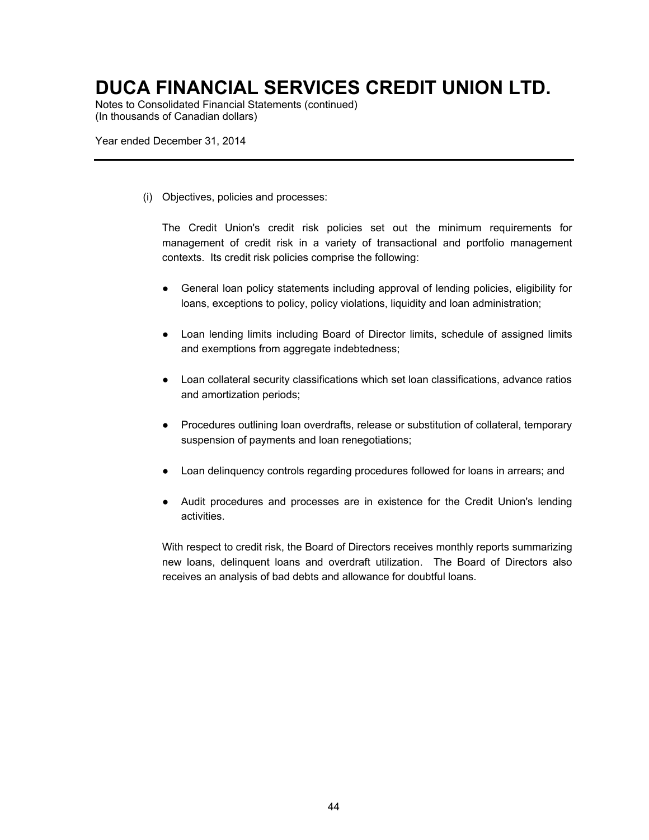Notes to Consolidated Financial Statements (continued) (In thousands of Canadian dollars)

Year ended December 31, 2014

(i) Objectives, policies and processes:

The Credit Union's credit risk policies set out the minimum requirements for management of credit risk in a variety of transactional and portfolio management contexts. Its credit risk policies comprise the following:

- General loan policy statements including approval of lending policies, eligibility for loans, exceptions to policy, policy violations, liquidity and loan administration;
- Loan lending limits including Board of Director limits, schedule of assigned limits and exemptions from aggregate indebtedness;
- Loan collateral security classifications which set loan classifications, advance ratios and amortization periods;
- Procedures outlining loan overdrafts, release or substitution of collateral, temporary suspension of payments and loan renegotiations;
- Loan delinquency controls regarding procedures followed for loans in arrears; and
- Audit procedures and processes are in existence for the Credit Union's lending activities.

With respect to credit risk, the Board of Directors receives monthly reports summarizing new loans, delinquent loans and overdraft utilization. The Board of Directors also receives an analysis of bad debts and allowance for doubtful loans.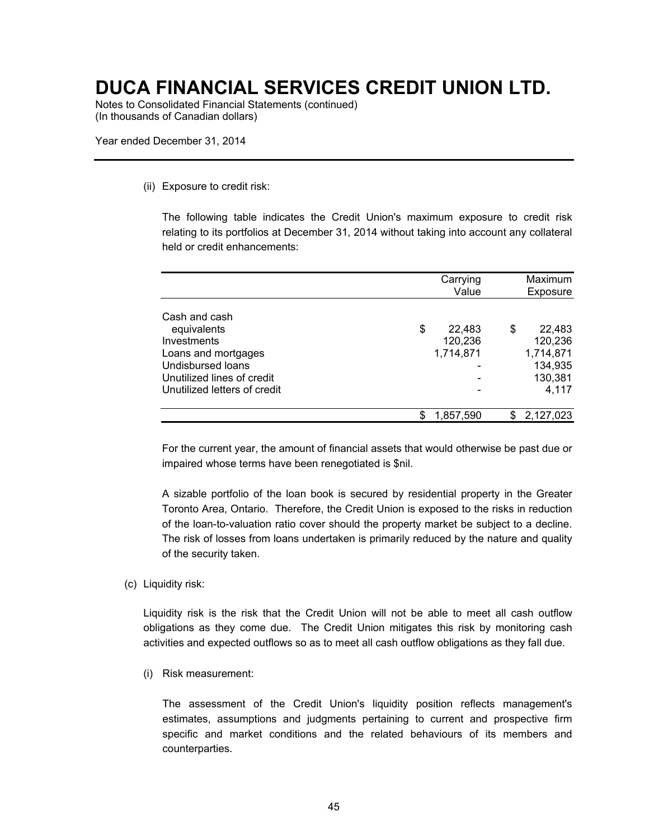Notes to Consolidated Financial Statements (continued) (In thousands of Canadian dollars)

Year ended December 31, 2014

#### (ii) Exposure to credit risk:

The following table indicates the Credit Union's maximum exposure to credit risk relating to its portfolios at December 31, 2014 without taking into account any collateral held or credit enhancements:

|                              | Carrying<br>Value |   | Maximum<br>Exposure |
|------------------------------|-------------------|---|---------------------|
| Cash and cash                |                   |   |                     |
| equivalents                  | \$<br>22,483      | S | 22,483              |
| Investments                  | 120,236           |   | 120,236             |
| Loans and mortgages          | 1,714,871         |   | 1,714,871           |
| Undisbursed loans            |                   |   | 134,935             |
| Unutilized lines of credit   |                   |   | 130,381             |
| Unutilized letters of credit |                   |   | 4,117               |
|                              | 1,857,590         |   | 2,127,023           |

For the current year, the amount of financial assets that would otherwise be past due or impaired whose terms have been renegotiated is \$nil.

A sizable portfolio of the loan book is secured by residential property in the Greater Toronto Area, Ontario. Therefore, the Credit Union is exposed to the risks in reduction of the loan-to-valuation ratio cover should the property market be subject to a decline. The risk of losses from loans undertaken is primarily reduced by the nature and quality of the security taken.

#### (c) Liquidity risk:

Liquidity risk is the risk that the Credit Union will not be able to meet all cash outflow obligations as they come due. The Credit Union mitigates this risk by monitoring cash activities and expected outflows so as to meet all cash outflow obligations as they fall due.

(i) Risk measurement:

The assessment of the Credit Union's liquidity position reflects management's estimates, assumptions and judgments pertaining to current and prospective firm specific and market conditions and the related behaviours of its members and counterparties.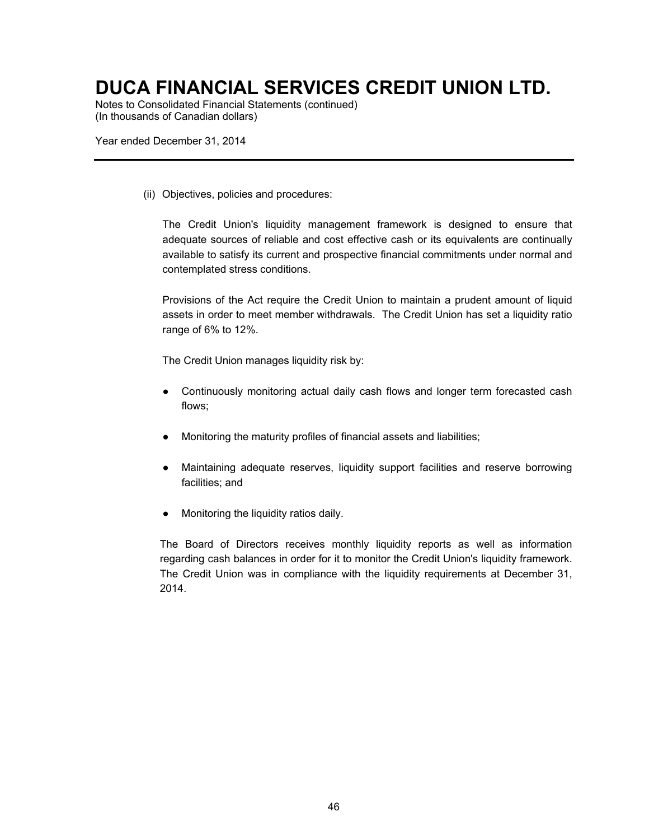Notes to Consolidated Financial Statements (continued) (In thousands of Canadian dollars)

Year ended December 31, 2014

(ii) Objectives, policies and procedures:

The Credit Union's liquidity management framework is designed to ensure that adequate sources of reliable and cost effective cash or its equivalents are continually available to satisfy its current and prospective financial commitments under normal and contemplated stress conditions.

Provisions of the Act require the Credit Union to maintain a prudent amount of liquid assets in order to meet member withdrawals. The Credit Union has set a liquidity ratio range of 6% to 12%.

The Credit Union manages liquidity risk by:

- Continuously monitoring actual daily cash flows and longer term forecasted cash flows;
- Monitoring the maturity profiles of financial assets and liabilities;
- Maintaining adequate reserves, liquidity support facilities and reserve borrowing facilities; and
- Monitoring the liquidity ratios daily.

The Board of Directors receives monthly liquidity reports as well as information regarding cash balances in order for it to monitor the Credit Union's liquidity framework. The Credit Union was in compliance with the liquidity requirements at December 31, 2014.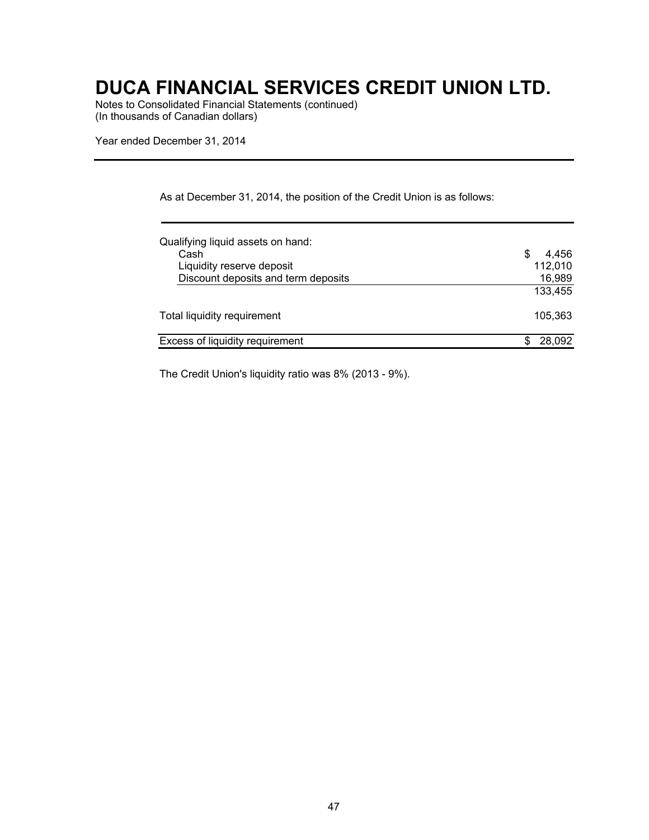Notes to Consolidated Financial Statements (continued) (In thousands of Canadian dollars)

Year ended December 31, 2014

|  |  | As at December 31, 2014, the position of the Credit Union is as follows: |
|--|--|--------------------------------------------------------------------------|
|--|--|--------------------------------------------------------------------------|

| Qualifying liquid assets on hand:   |             |
|-------------------------------------|-------------|
| Cash                                | 4.456<br>\$ |
| Liquidity reserve deposit           | 112,010     |
| Discount deposits and term deposits | 16,989      |
|                                     | 133,455     |
| Total liquidity requirement         | 105.363     |
| Excess of liquidity requirement     | 28,092      |

The Credit Union's liquidity ratio was 8% (2013 - 9%).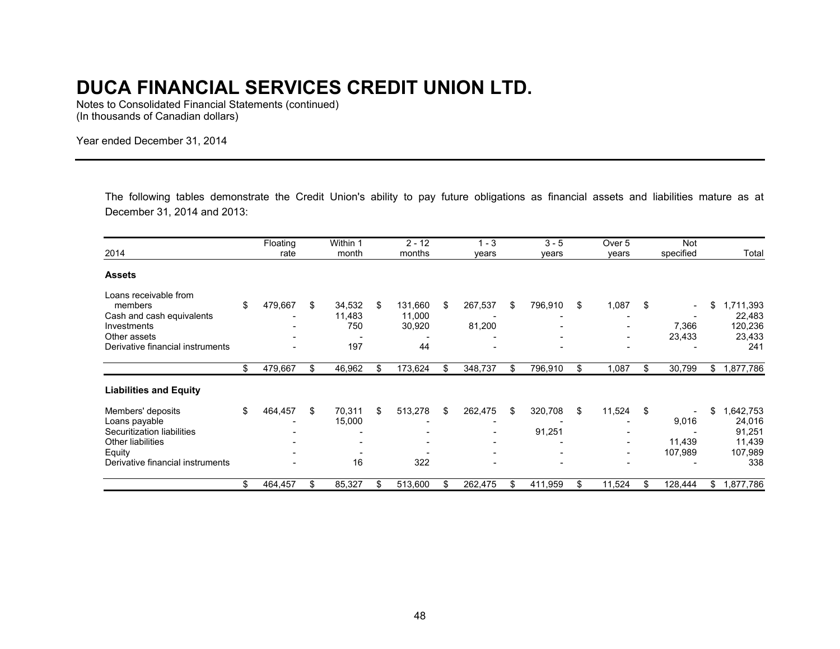Notes to Consolidated Financial Statements (continued) (In thousands of Canadian dollars)

Year ended December 31, 2014

The following tables demonstrate the Credit Union's ability to pay future obligations as financial assets and liabilities mature as at December 31, 2014 and 2013:

|                                  | Floating      | Within 1     |     | $2 - 12$ |     | $1 - 3$ | $3 - 5$       |     | Over <sub>5</sub>        | Not           |                 |
|----------------------------------|---------------|--------------|-----|----------|-----|---------|---------------|-----|--------------------------|---------------|-----------------|
| 2014                             | rate          | month        |     | months   |     | years   | years         |     | years                    | specified     | Total           |
| <b>Assets</b>                    |               |              |     |          |     |         |               |     |                          |               |                 |
| Loans receivable from            |               |              |     |          |     |         |               |     |                          |               |                 |
| members                          | \$<br>479,667 | \$<br>34,532 | S.  | 131,660  | \$  | 267,537 | \$<br>796,910 | \$  | 1,087                    | \$<br>$\sim$  | \$<br>1,711,393 |
| Cash and cash equivalents        |               | 11,483       |     | 11,000   |     |         |               |     |                          |               | 22,483          |
| Investments                      |               | 750          |     | 30,920   |     | 81,200  |               |     |                          | 7,366         | 120,236         |
| Other assets                     |               |              |     |          |     |         |               |     |                          | 23,433        | 23,433          |
| Derivative financial instruments |               | 197          |     | 44       |     |         |               |     |                          |               | 241             |
|                                  | \$<br>479,667 | \$<br>46,962 | \$  | 173,624  | \$. | 348,737 | \$<br>796,910 | \$  | 1,087                    | \$<br>30,799  | \$<br>1,877,786 |
| <b>Liabilities and Equity</b>    |               |              |     |          |     |         |               |     |                          |               |                 |
| Members' deposits                | \$<br>464,457 | \$<br>70,311 | \$  | 513,278  | \$  | 262,475 | \$<br>320,708 | \$  | 11,524                   | \$            | \$<br>1,642,753 |
| Loans payable                    |               | 15,000       |     |          |     |         |               |     |                          | 9,016         | 24,016          |
| Securitization liabilities       |               |              |     |          |     |         | 91,251        |     |                          |               | 91,251          |
| Other liabilities                |               |              |     |          |     |         |               |     | $\overline{\phantom{a}}$ | 11,439        | 11,439          |
| Equity                           |               |              |     |          |     |         |               |     |                          | 107,989       | 107,989         |
| Derivative financial instruments |               | 16           |     | 322      |     |         |               |     |                          |               | 338             |
|                                  | \$<br>464,457 | \$<br>85,327 | \$. | 513,600  |     | 262,475 | 411,959       | \$. | 11,524                   | \$<br>128,444 | \$<br>1,877,786 |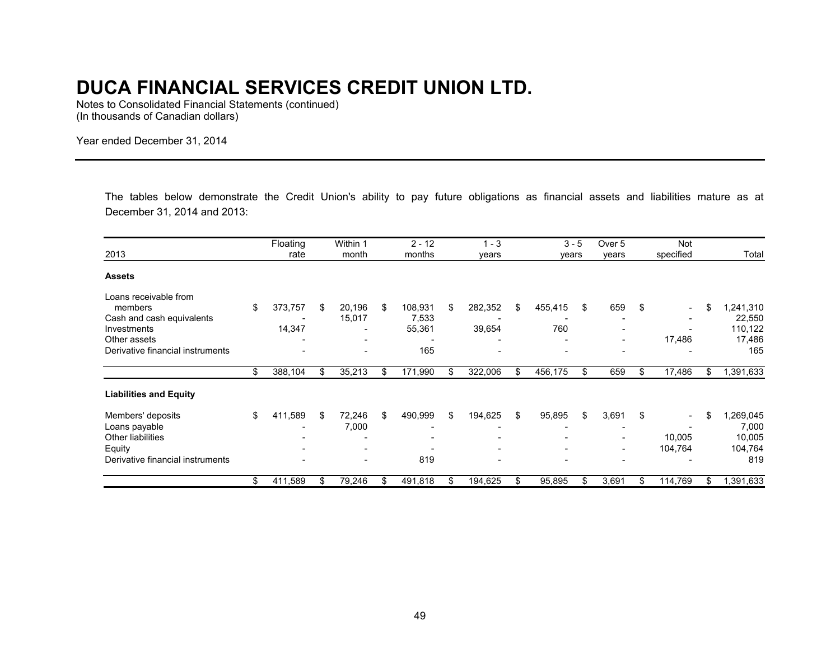Notes to Consolidated Financial Statements (continued) (In thousands of Canadian dollars)

Year ended December 31, 2014

The tables below demonstrate the Credit Union's ability to pay future obligations as financial assets and liabilities mature as at December 31, 2014 and 2013:

|                                  | Floating                 |    | Within 1                 | $2 - 12$      |     | $1 - 3$                  | $3 - 5$        | Over <sub>5</sub>        | Not                            |                        |
|----------------------------------|--------------------------|----|--------------------------|---------------|-----|--------------------------|----------------|--------------------------|--------------------------------|------------------------|
| 2013                             | rate                     |    | month                    | months        |     | years                    | years          | years                    | specified                      | Total                  |
| <b>Assets</b>                    |                          |    |                          |               |     |                          |                |                          |                                |                        |
| Loans receivable from            |                          |    |                          |               |     |                          |                |                          |                                |                        |
| members                          | \$<br>373,757            | S. | 20,196                   | \$<br>108,931 | \$  | 282,352                  | \$<br>455,415  | \$<br>659                | \$<br>۰.                       | \$<br>,241,310         |
| Cash and cash equivalents        |                          |    | 15,017                   | 7,533         |     |                          |                |                          |                                | 22,550                 |
| Investments                      | 14,347                   |    |                          | 55,361        |     | 39,654                   | 760            |                          |                                | 110,122                |
| Other assets                     |                          |    |                          |               |     |                          |                | $\overline{\phantom{a}}$ | 17,486                         | 17,486                 |
| Derivative financial instruments |                          |    |                          | 165           |     |                          |                |                          |                                | 165                    |
|                                  | \$<br>388,104            | \$ | 35,213                   | \$<br>171,990 | \$  | 322,006                  | \$<br>456,175  | \$<br>659                | \$<br>17,486                   | \$<br>$\sqrt{391,633}$ |
| <b>Liabilities and Equity</b>    |                          |    |                          |               |     |                          |                |                          |                                |                        |
| Members' deposits                | \$<br>411,589            | \$ | 72,246                   | \$<br>490,999 | \$  | 194,625                  | \$<br>95,895   | \$<br>3,691              | \$<br>$\overline{\phantom{a}}$ | \$<br>,269,045         |
| Loans payable                    |                          |    | 7,000                    |               |     |                          |                |                          |                                | 7,000                  |
| <b>Other liabilities</b>         |                          |    |                          |               |     |                          |                |                          | 10,005                         | 10,005                 |
| Equity                           |                          |    |                          |               |     |                          |                |                          | 104,764                        | 104,764                |
| Derivative financial instruments | $\overline{\phantom{0}}$ |    | $\overline{\phantom{0}}$ | 819           |     | $\overline{\phantom{a}}$ | $\blacksquare$ | $\overline{\phantom{0}}$ |                                | 819                    |
|                                  | \$<br>411,589            |    | 79,246                   | 491,818       | \$. | 194,625                  | 95,895         | \$<br>3,691              | \$<br>114,769                  | \$<br>1,391,633        |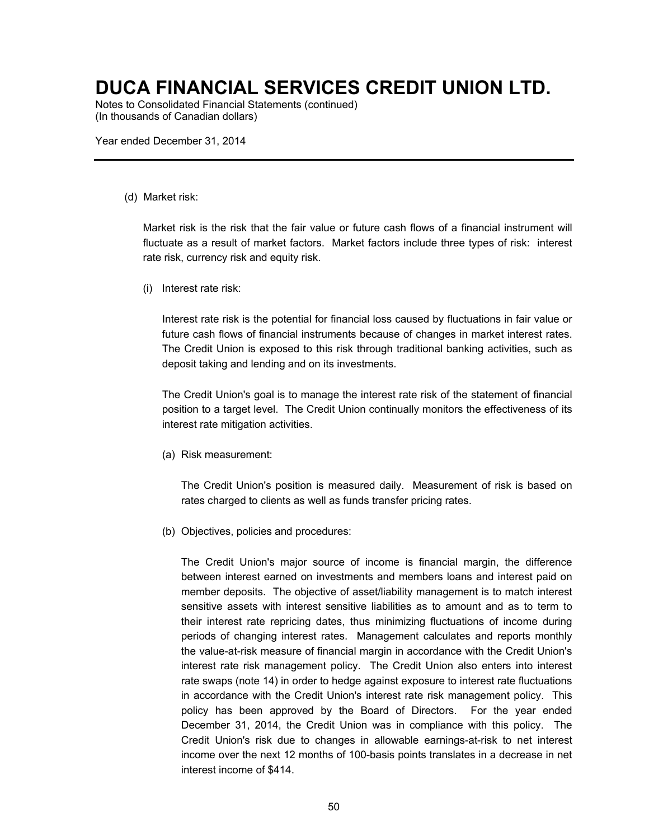Notes to Consolidated Financial Statements (continued) (In thousands of Canadian dollars)

Year ended December 31, 2014

#### (d) Market risk:

Market risk is the risk that the fair value or future cash flows of a financial instrument will fluctuate as a result of market factors. Market factors include three types of risk: interest rate risk, currency risk and equity risk.

(i) Interest rate risk:

Interest rate risk is the potential for financial loss caused by fluctuations in fair value or future cash flows of financial instruments because of changes in market interest rates. The Credit Union is exposed to this risk through traditional banking activities, such as deposit taking and lending and on its investments.

The Credit Union's goal is to manage the interest rate risk of the statement of financial position to a target level. The Credit Union continually monitors the effectiveness of its interest rate mitigation activities.

(a) Risk measurement:

The Credit Union's position is measured daily. Measurement of risk is based on rates charged to clients as well as funds transfer pricing rates.

(b) Objectives, policies and procedures:

The Credit Union's major source of income is financial margin, the difference between interest earned on investments and members loans and interest paid on member deposits. The objective of asset/liability management is to match interest sensitive assets with interest sensitive liabilities as to amount and as to term to their interest rate repricing dates, thus minimizing fluctuations of income during periods of changing interest rates. Management calculates and reports monthly the value-at-risk measure of financial margin in accordance with the Credit Union's interest rate risk management policy. The Credit Union also enters into interest rate swaps (note 14) in order to hedge against exposure to interest rate fluctuations in accordance with the Credit Union's interest rate risk management policy. This policy has been approved by the Board of Directors. For the year ended December 31, 2014, the Credit Union was in compliance with this policy. The Credit Union's risk due to changes in allowable earnings-at-risk to net interest income over the next 12 months of 100-basis points translates in a decrease in net interest income of \$414.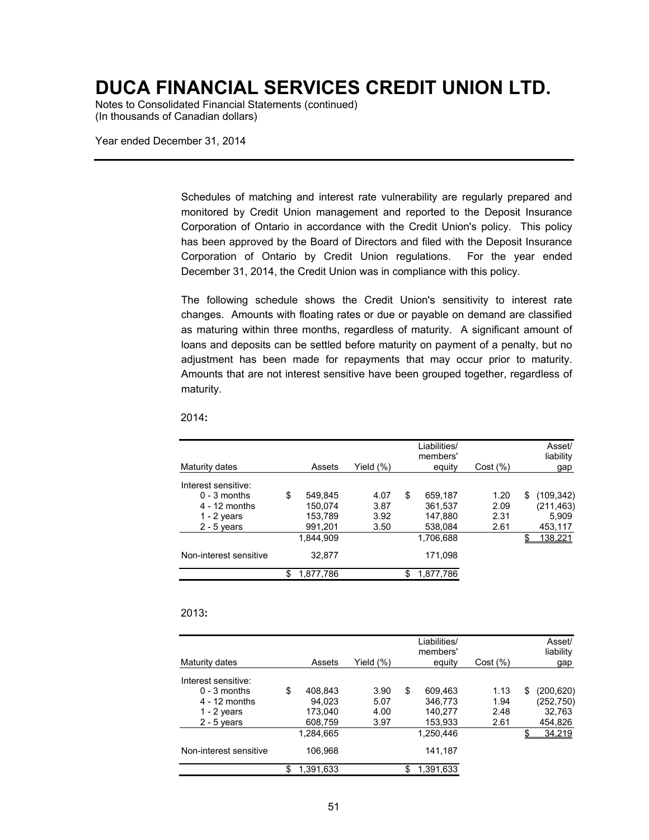Notes to Consolidated Financial Statements (continued) (In thousands of Canadian dollars)

Year ended December 31, 2014

Schedules of matching and interest rate vulnerability are regularly prepared and monitored by Credit Union management and reported to the Deposit Insurance Corporation of Ontario in accordance with the Credit Union's policy. This policy has been approved by the Board of Directors and filed with the Deposit Insurance Corporation of Ontario by Credit Union regulations. For the year ended December 31, 2014, the Credit Union was in compliance with this policy.

The following schedule shows the Credit Union's sensitivity to interest rate changes. Amounts with floating rates or due or payable on demand are classified as maturing within three months, regardless of maturity. A significant amount of loans and deposits can be settled before maturity on payment of a penalty, but no adjustment has been made for repayments that may occur prior to maturity. Amounts that are not interest sensitive have been grouped together, regardless of maturity.

|                        |                 |              | Liabilities/<br>members' |          |   | Asset/<br>liability |
|------------------------|-----------------|--------------|--------------------------|----------|---|---------------------|
| Maturity dates         | Assets          | Yield $(\%)$ | equity                   | Cost (%) |   | gap                 |
| Interest sensitive:    |                 |              |                          |          |   |                     |
| $0 - 3$ months         | \$<br>549,845   | 4.07         | \$<br>659.187            | 1.20     | S | (109, 342)          |
| $4 - 12$ months        | 150.074         | 3.87         | 361,537                  | 2.09     |   | (211, 463)          |
| 1 - 2 years            | 153.789         | 3.92         | 147.880                  | 2.31     |   | 5.909               |
| $2 - 5$ years          | 991,201         | 3.50         | 538,084                  | 2.61     |   | 453,117             |
|                        | 1.844.909       |              | 1,706,688                |          |   | 138,221             |
| Non-interest sensitive | 32.877          |              | 171.098                  |          |   |                     |
|                        | \$<br>1,877,786 |              | 1,877,786                |          |   |                     |

2014**:** 

#### 2013**:**

| Maturity dates         | Assets          | Yield (%) | Liabilities/<br>members'<br>equity | Cost (%) | Asset/<br>liability<br>gap |
|------------------------|-----------------|-----------|------------------------------------|----------|----------------------------|
| Interest sensitive:    |                 |           |                                    |          |                            |
| $0 - 3$ months         | \$<br>408,843   | 3.90      | \$<br>609,463                      | 1.13     | \$<br>(200, 620)           |
| $4 - 12$ months        | 94.023          | 5.07      | 346.773                            | 1.94     | (252, 750)                 |
| 1 - 2 years            | 173.040         | 4.00      | 140.277                            | 2.48     | 32,763                     |
| $2 - 5$ years          | 608,759         | 3.97      | 153,933                            | 2.61     | 454,826                    |
|                        | 1.284.665       |           | 1.250.446                          |          | 34.219                     |
| Non-interest sensitive | 106.968         |           | 141.187                            |          |                            |
|                        | \$<br>1,391,633 |           | \$<br>1,391,633                    |          |                            |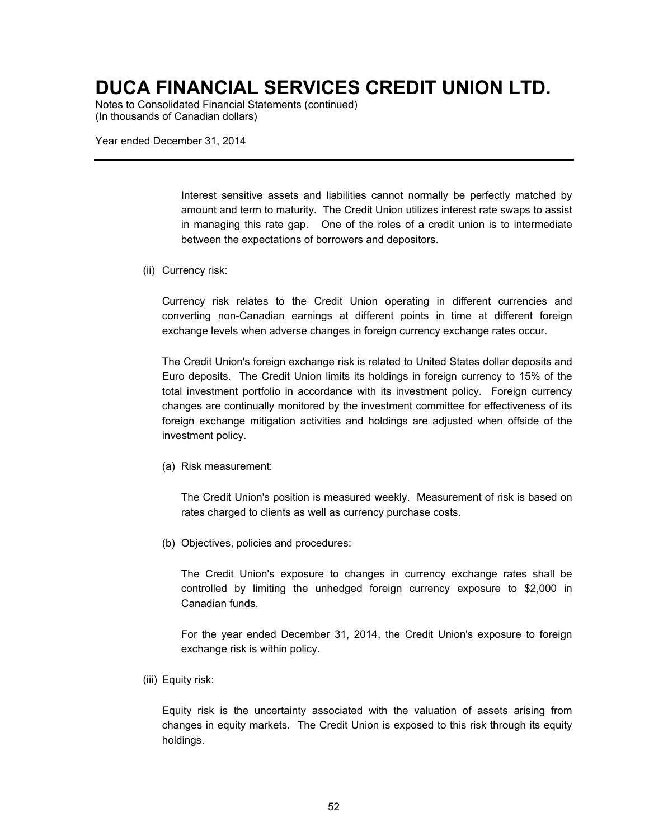Notes to Consolidated Financial Statements (continued) (In thousands of Canadian dollars)

Year ended December 31, 2014

Interest sensitive assets and liabilities cannot normally be perfectly matched by amount and term to maturity. The Credit Union utilizes interest rate swaps to assist in managing this rate gap. One of the roles of a credit union is to intermediate between the expectations of borrowers and depositors.

(ii) Currency risk:

Currency risk relates to the Credit Union operating in different currencies and converting non-Canadian earnings at different points in time at different foreign exchange levels when adverse changes in foreign currency exchange rates occur.

The Credit Union's foreign exchange risk is related to United States dollar deposits and Euro deposits. The Credit Union limits its holdings in foreign currency to 15% of the total investment portfolio in accordance with its investment policy. Foreign currency changes are continually monitored by the investment committee for effectiveness of its foreign exchange mitigation activities and holdings are adjusted when offside of the investment policy.

(a) Risk measurement:

The Credit Union's position is measured weekly. Measurement of risk is based on rates charged to clients as well as currency purchase costs.

(b) Objectives, policies and procedures:

The Credit Union's exposure to changes in currency exchange rates shall be controlled by limiting the unhedged foreign currency exposure to \$2,000 in Canadian funds.

For the year ended December 31, 2014, the Credit Union's exposure to foreign exchange risk is within policy.

(iii) Equity risk:

Equity risk is the uncertainty associated with the valuation of assets arising from changes in equity markets. The Credit Union is exposed to this risk through its equity holdings.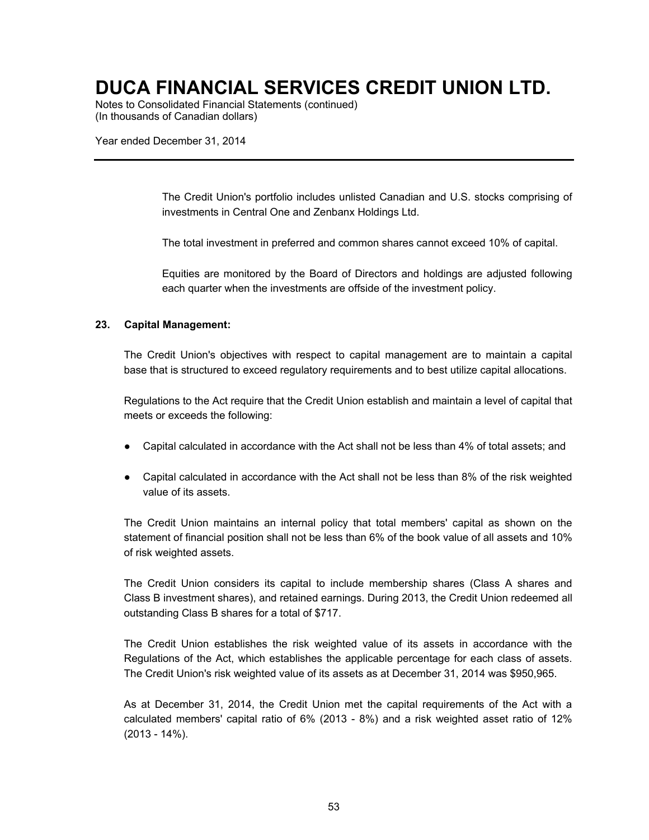Notes to Consolidated Financial Statements (continued) (In thousands of Canadian dollars)

Year ended December 31, 2014

The Credit Union's portfolio includes unlisted Canadian and U.S. stocks comprising of investments in Central One and Zenbanx Holdings Ltd.

The total investment in preferred and common shares cannot exceed 10% of capital.

Equities are monitored by the Board of Directors and holdings are adjusted following each quarter when the investments are offside of the investment policy.

#### **23. Capital Management:**

The Credit Union's objectives with respect to capital management are to maintain a capital base that is structured to exceed regulatory requirements and to best utilize capital allocations.

Regulations to the Act require that the Credit Union establish and maintain a level of capital that meets or exceeds the following:

- Capital calculated in accordance with the Act shall not be less than 4% of total assets; and
- Capital calculated in accordance with the Act shall not be less than 8% of the risk weighted value of its assets.

The Credit Union maintains an internal policy that total members' capital as shown on the statement of financial position shall not be less than 6% of the book value of all assets and 10% of risk weighted assets.

The Credit Union considers its capital to include membership shares (Class A shares and Class B investment shares), and retained earnings. During 2013, the Credit Union redeemed all outstanding Class B shares for a total of \$717.

The Credit Union establishes the risk weighted value of its assets in accordance with the Regulations of the Act, which establishes the applicable percentage for each class of assets. The Credit Union's risk weighted value of its assets as at December 31, 2014 was \$950,965.

As at December 31, 2014, the Credit Union met the capital requirements of the Act with a calculated members' capital ratio of 6% (2013 - 8%) and a risk weighted asset ratio of 12% (2013 - 14%).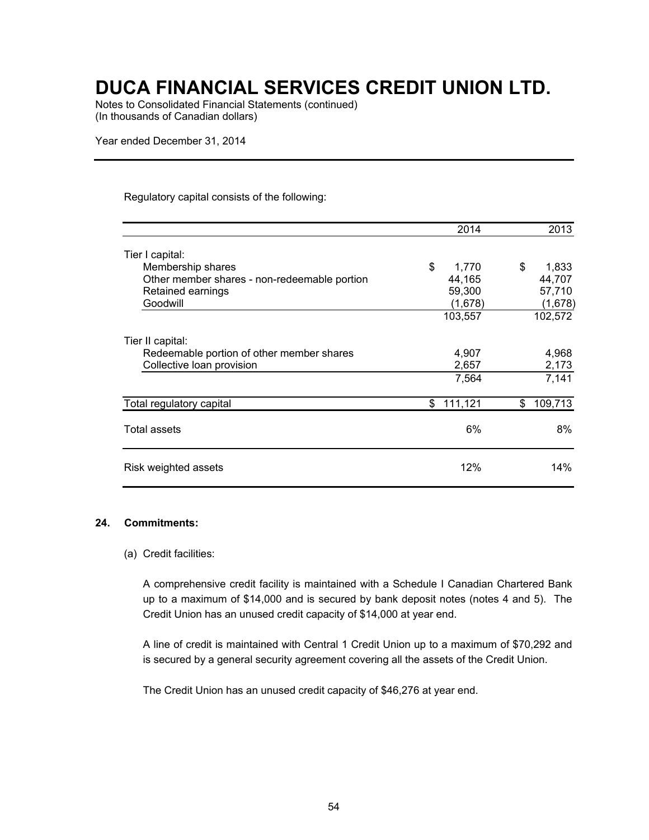Notes to Consolidated Financial Statements (continued) (In thousands of Canadian dollars)

Year ended December 31, 2014

#### Regulatory capital consists of the following:

|                                              | 2014          | 2013          |
|----------------------------------------------|---------------|---------------|
| Tier I capital:                              |               |               |
| Membership shares                            | \$<br>1,770   | \$<br>1,833   |
| Other member shares - non-redeemable portion | 44,165        | 44,707        |
| Retained earnings                            | 59,300        | 57,710        |
| Goodwill                                     | (1,678)       | (1,678)       |
|                                              | 103,557       | 102,572       |
| Tier II capital:                             |               |               |
| Redeemable portion of other member shares    | 4,907         | 4,968         |
| Collective loan provision                    | 2,657         | 2,173         |
|                                              | 7,564         | 7,141         |
| Total regulatory capital                     | 111,121<br>\$ | 109,713<br>\$ |
| Total assets                                 | 6%            | 8%            |
| Risk weighted assets                         | 12%           | 14%           |

#### **24. Commitments:**

#### (a) Credit facilities:

A comprehensive credit facility is maintained with a Schedule I Canadian Chartered Bank up to a maximum of \$14,000 and is secured by bank deposit notes (notes 4 and 5). The Credit Union has an unused credit capacity of \$14,000 at year end.

A line of credit is maintained with Central 1 Credit Union up to a maximum of \$70,292 and is secured by a general security agreement covering all the assets of the Credit Union.

The Credit Union has an unused credit capacity of \$46,276 at year end.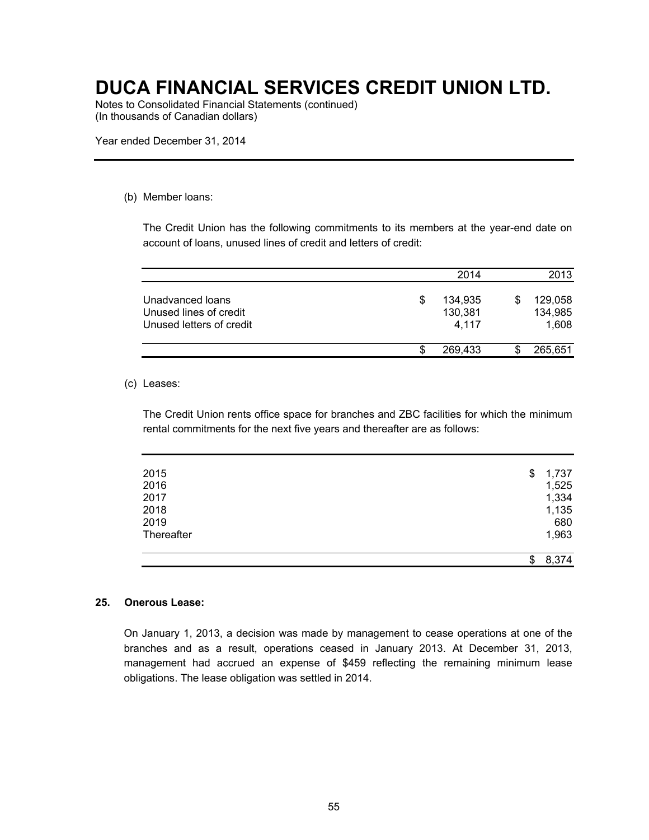Notes to Consolidated Financial Statements (continued) (In thousands of Canadian dollars)

Year ended December 31, 2014

#### (b) Member loans:

The Credit Union has the following commitments to its members at the year-end date on account of loans, unused lines of credit and letters of credit:

|                                                                        |   | 2014                        | 2013                        |
|------------------------------------------------------------------------|---|-----------------------------|-----------------------------|
| Unadvanced loans<br>Unused lines of credit<br>Unused letters of credit | S | 134,935<br>130,381<br>4,117 | 129,058<br>134,985<br>1,608 |
|                                                                        | S | 269,433                     | 265,651                     |

#### (c) Leases:

The Credit Union rents office space for branches and ZBC facilities for which the minimum rental commitments for the next five years and thereafter are as follows:

| <b>Thereafter</b> | 1,963       |
|-------------------|-------------|
| 2019              | 680         |
| 2018              | 1,135       |
| 2017              | 1,334       |
| 2016              | 1,525       |
| 2015              | \$<br>1,737 |

#### **25. Onerous Lease:**

On January 1, 2013, a decision was made by management to cease operations at one of the branches and as a result, operations ceased in January 2013. At December 31, 2013, management had accrued an expense of \$459 reflecting the remaining minimum lease obligations. The lease obligation was settled in 2014.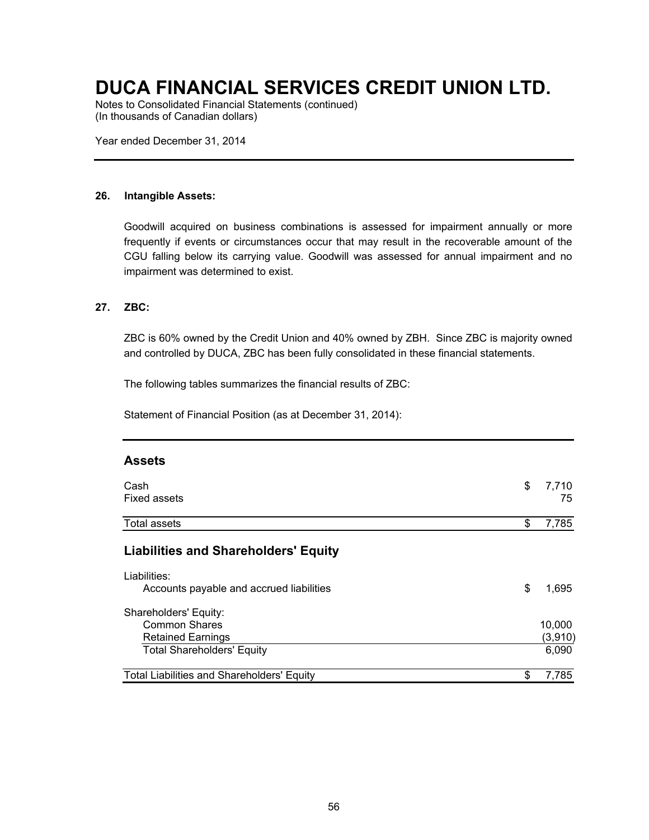Notes to Consolidated Financial Statements (continued) (In thousands of Canadian dollars)

Year ended December 31, 2014

#### **26. Intangible Assets:**

Goodwill acquired on business combinations is assessed for impairment annually or more frequently if events or circumstances occur that may result in the recoverable amount of the CGU falling below its carrying value. Goodwill was assessed for annual impairment and no impairment was determined to exist.

#### **27. ZBC:**

ZBC is 60% owned by the Credit Union and 40% owned by ZBH. Since ZBC is majority owned and controlled by DUCA, ZBC has been fully consolidated in these financial statements.

The following tables summarizes the financial results of ZBC:

Statement of Financial Position (as at December 31, 2014):

#### **Assets**

| Cash<br><b>Fixed assets</b>                                                                                    | \$<br>7,710<br>75          |
|----------------------------------------------------------------------------------------------------------------|----------------------------|
| Total assets                                                                                                   | \$<br>7,785                |
| <b>Liabilities and Shareholders' Equity</b>                                                                    |                            |
| Liabilities:<br>Accounts payable and accrued liabilities                                                       | \$<br>1,695                |
| Shareholders' Equity:<br><b>Common Shares</b><br><b>Retained Earnings</b><br><b>Total Shareholders' Equity</b> | 10,000<br>(3,910)<br>6,090 |
| <b>Total Liabilities and Shareholders' Equity</b>                                                              | \$<br>7,785                |